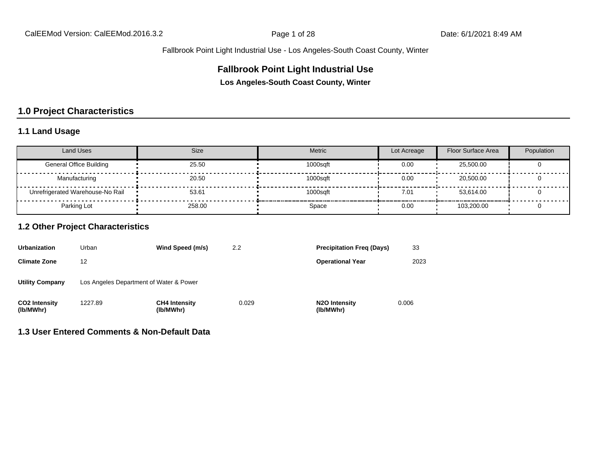## **Fallbrook Point Light Industrial Use**

**Los Angeles-South Coast County, Winter**

# **1.0 Project Characteristics**

## **1.1 Land Usage**

| <b>Land Uses</b>                 | <b>Size</b> | <b>Metric</b> | Lot Acreage | Floor Surface Area | Population |
|----------------------------------|-------------|---------------|-------------|--------------------|------------|
| <b>General Office Building</b>   | 25.50       | 1000sqft      | 0.00        | 25,500.00          |            |
| Manufacturing                    | 20.50       | 1000sqft      | 0.00        | 20,500.00          |            |
| Unrefrigerated Warehouse-No Rail | 53.61       | 1000saft      | 7.01        | 53.614.00          |            |
| Parking Lot                      | 258.00      | Space         | 0.00        | 103.200.00         |            |

## **1.2 Other Project Characteristics**

| <b>Urbanization</b>               | Urban   | Wind Speed (m/s)                        | 2.2   | <b>Precipitation Freg (Days)</b>        | 33    |
|-----------------------------------|---------|-----------------------------------------|-------|-----------------------------------------|-------|
| <b>Climate Zone</b>               | 12      |                                         |       | <b>Operational Year</b>                 | 2023  |
| <b>Utility Company</b>            |         | Los Angeles Department of Water & Power |       |                                         |       |
| <b>CO2 Intensity</b><br>(lb/MWhr) | 1227.89 | <b>CH4 Intensity</b><br>(lb/MWhr)       | 0.029 | N <sub>2</sub> O Intensity<br>(lb/MWhr) | 0.006 |

#### **1.3 User Entered Comments & Non-Default Data**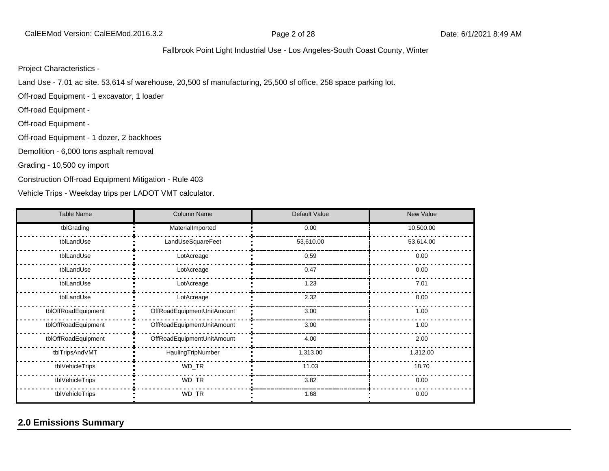Project Characteristics -

Land Use - 7.01 ac site. 53,614 sf warehouse, 20,500 sf manufacturing, 25,500 sf office, 258 space parking lot.

Off-road Equipment - 1 excavator, 1 loader

Off-road Equipment -

Off-road Equipment -

Off-road Equipment - 1 dozer, 2 backhoes

Demolition - 6,000 tons asphalt removal

Grading - 10,500 cy import

Construction Off-road Equipment Mitigation - Rule 403

Vehicle Trips - Weekday trips per LADOT VMT calculator.

| <b>Table Name</b>   | <b>Column Name</b>         | Default Value | <b>New Value</b> |
|---------------------|----------------------------|---------------|------------------|
| tblGrading          | MaterialImported           | 0.00          | 10,500.00        |
| tblLandUse          | LandUseSquareFeet          | 53,610.00     | 53,614.00        |
| tblLandUse          | LotAcreage                 | 0.59          | 0.00             |
| tblLandUse          | LotAcreage                 | 0.47          | 0.00             |
| tblLandUse          | LotAcreage                 | 1.23          | 7.01             |
| tblLandUse          | LotAcreage                 | 2.32          | 0.00             |
| tblOffRoadEquipment | OffRoadEquipmentUnitAmount | 3.00          | 1.00             |
| tblOffRoadEquipment | OffRoadEquipmentUnitAmount | 3.00          | 1.00             |
| tblOffRoadEquipment | OffRoadEquipmentUnitAmount | 4.00          | 2.00             |
| tblTripsAndVMT      | HaulingTripNumber          | 1,313.00      | 1,312.00         |
| tblVehicleTrips     | WD_TR                      | 11.03         | 18.70            |
| tblVehicleTrips     | WD_TR                      | 3.82          | 0.00             |
| tblVehicleTrips     | WD_TR                      | 1.68          | 0.00             |

# **2.0 Emissions Summary**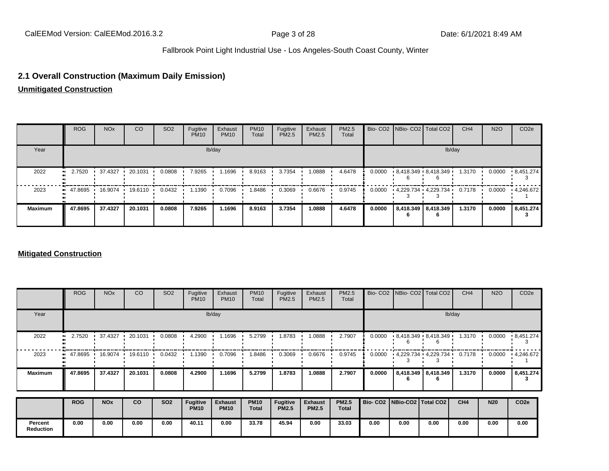## **2.1 Overall Construction (Maximum Daily Emission)**

**Unmitigated Construction**

|                | <b>ROG</b>                                                                          | <b>NO<sub>x</sub></b> | CO      | SO <sub>2</sub> | Fugitive<br><b>PM10</b> | Exhaust<br><b>PM10</b> | <b>PM10</b><br>Total | Fugitive<br>PM2.5 | Exhaust<br>PM2.5 | PM2.5<br>Total |        |                       | Bio- CO2   NBio- CO2   Total CO2 | CH <sub>4</sub> | <b>N2O</b> | CO <sub>2e</sub>  |
|----------------|-------------------------------------------------------------------------------------|-----------------------|---------|-----------------|-------------------------|------------------------|----------------------|-------------------|------------------|----------------|--------|-----------------------|----------------------------------|-----------------|------------|-------------------|
| Year           |                                                                                     |                       |         |                 |                         | lb/day                 |                      |                   |                  |                |        |                       |                                  | lb/day          |            |                   |
| 2022           | 2.7520<br>. .                                                                       | 37.4327 1 20.1031     |         | 0.0808          | 7.9265                  | 1.1696                 | 8.9163               | 3.7354            | 1.0888           | 4.6478         | 0.0000 |                       | 8,418.349 8,418.349              | 1.3170          | 0.0000     | $\cdot$ 8,451.274 |
| 2023           | $\blacksquare$ 47.8695 $\blacksquare$ 16.9074 $\blacksquare$ 19.6110 $\blacksquare$ |                       |         | 0.0432          | 1.1390                  | 0.7096                 | 8486. ا              | 0.3069            | 0.6676           | 0.9745         | 0.0000 |                       | - 4.229.734 - 4.229.734          | 0.7178          | 0.0000     | $\cdot$ 4,246.672 |
| <b>Maximum</b> | 47.8695                                                                             | 37.4327               | 20.1031 | 0.0808          | 7.9265                  | 1.1696                 | 8.9163               | 3.7354            | 1.0888           | 4.6478         | 0.0000 | 8,418.349   8,418.349 |                                  | 1.3170          | 0.0000     | 8,451.274         |

#### **Mitigated Construction**

|                             | <b>ROG</b> | <b>NO<sub>x</sub></b> | CO      | SO <sub>2</sub> | Fugitive<br><b>PM10</b>        | Exhaust<br><b>PM10</b>        | <b>PM10</b><br>Total        | Fugitive<br>PM2.5        | Exhaust<br><b>PM2.5</b>        | PM2.5<br>Total               |        | Bio- CO2 NBio- CO2 Total CO2    |                          | CH <sub>4</sub> | <b>N2O</b> | CO <sub>2e</sub> |
|-----------------------------|------------|-----------------------|---------|-----------------|--------------------------------|-------------------------------|-----------------------------|--------------------------|--------------------------------|------------------------------|--------|---------------------------------|--------------------------|-----------------|------------|------------------|
| Year                        |            |                       |         |                 |                                | lb/day                        |                             |                          |                                |                              |        |                                 |                          | lb/day          |            |                  |
| 2022                        | 2.7520     | 37.4327               | 20.1031 | 0.0808          | 4.2900                         | 1.1696                        | 5.2799                      | .8783                    | 1.0888                         | 2.7907                       | 0.0000 |                                 | $-8,418.349 - 8,418.349$ | 1.3170          | 0.0000     | .8,451.274       |
| 2023                        | 47.8695 .  | 16.9074               | 19.6110 | 0.0432          | 1.1390                         | 0.7096                        | .8486                       | 0.3069                   | 0.6676                         | 0.9745                       | 0.0000 | - 4,229.734 - 4,229.734         |                          | 0.7178          | 0.0000     | .4,246.672       |
| <b>Maximum</b>              | 47.8695    | 37.4327               | 20.1031 | 0.0808          | 4.2900                         | 1.1696                        | 5.2799                      | 1.8783                   | 1.0888                         | 2.7907                       | 0.0000 |                                 | 8,418.349   8,418.349    | 1.3170          | 0.0000     | 8,451.274<br>з   |
|                             | <b>ROG</b> | <b>NO<sub>x</sub></b> | CO      | <b>SO2</b>      | <b>Fugitive</b><br><b>PM10</b> | <b>Exhaust</b><br><b>PM10</b> | <b>PM10</b><br><b>Total</b> | Fugitive<br><b>PM2.5</b> | <b>Exhaust</b><br><b>PM2.5</b> | <b>PM2.5</b><br><b>Total</b> |        | Bio- CO2   NBio-CO2   Total CO2 |                          | CH <sub>4</sub> | <b>N20</b> | CO <sub>2e</sub> |
| Percent<br><b>Reduction</b> | 0.00       | 0.00                  | 0.00    | 0.00            | 40.11                          | 0.00                          | 33.78                       | 45.94                    | 0.00                           | 33.03                        | 0.00   | 0.00                            | 0.00                     | 0.00            | 0.00       | 0.00             |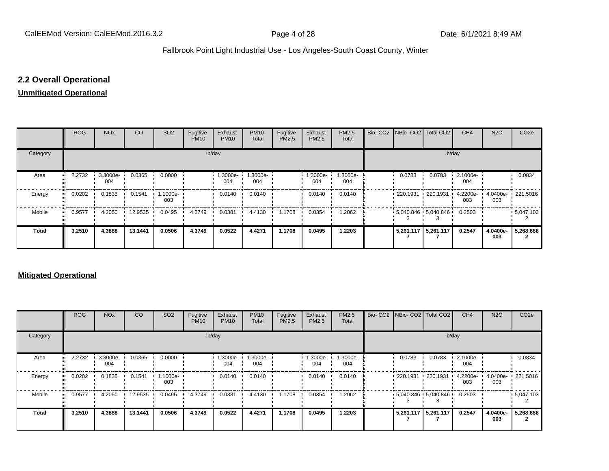# **2.2 Overall Operational**

#### **Unmitigated Operational**

|              | <b>ROG</b> | <b>NO<sub>x</sub></b> | <b>CO</b> | SO <sub>2</sub> | Fugitive<br><b>PM10</b> | Exhaust<br><b>PM10</b> | <b>PM10</b><br>Total | Fugitive<br>PM2.5 | Exhaust<br>PM2.5 | PM2.5<br>Total  |                       | Bio- CO2   NBio- CO2   Total CO2            | CH <sub>4</sub> | <b>N2O</b>               | CO <sub>2e</sub> |
|--------------|------------|-----------------------|-----------|-----------------|-------------------------|------------------------|----------------------|-------------------|------------------|-----------------|-----------------------|---------------------------------------------|-----------------|--------------------------|------------------|
| Category     |            |                       |           |                 |                         | lb/day                 |                      |                   |                  |                 |                       | lb/day                                      |                 |                          |                  |
| Area         | 2.2732     | 3.3000e-<br>004       | 0.0365    | 0.0000          |                         | 1.3000e-<br>004        | 1.3000e-<br>004      |                   | 1.3000e-<br>004  | 1.3000e-<br>004 | 0.0783                | 0.0783                                      | 2.1000e-<br>004 |                          | 0.0834           |
| Energy       | 0.0202     | 0.1835                | 0.1541    | 1.1000e-<br>003 |                         | 0.0140                 | 0.0140               |                   | 0.0140           | 0.0140          | • 220.1931 • 220.1931 |                                             | 4.2200e-<br>003 | 4.0400e- 221.5016<br>003 |                  |
| Mobile       | 0.9577     | 4.2050                | 12.9535   | 0.0495          | 4.3749                  | 0.0381                 | 4.4130               | 1.1708            | 0.0354           | 1.2062          |                       | $\cdot$ 5,040.846 $\cdot$ 5,040.846 $\cdot$ | 0.2503          |                          | $-5,047.103$     |
| <b>Total</b> | 3.2510     | 4.3888                | 13.1441   | 0.0506          | 4.3749                  | 0.0522                 | 4.4271               | 1.1708            | 0.0495           | 1.2203          | 5,261.117 5,261.117   |                                             | 0.2547          | 4.0400e-<br>003          | 5,268.688        |

#### **Mitigated Operational**

|          | ROG    | <b>NO<sub>x</sub></b> | CO      | SO <sub>2</sub> | Fugitive<br><b>PM10</b> | Exhaust<br><b>PM10</b> | <b>PM10</b><br>Total | Fugitive<br>PM2.5 | Exhaust<br>PM2.5 | PM2.5<br>Total  |                       | Bio- CO2 NBio- CO2 Total CO2                | CH <sub>4</sub> | <b>N2O</b>      | CO <sub>2</sub> e |
|----------|--------|-----------------------|---------|-----------------|-------------------------|------------------------|----------------------|-------------------|------------------|-----------------|-----------------------|---------------------------------------------|-----------------|-----------------|-------------------|
| Category |        |                       |         |                 |                         | lb/day                 |                      |                   |                  |                 |                       | lb/day                                      |                 |                 |                   |
| Area     | 2.2732 | 3.3000e-<br>004       | 0.0365  | 0.0000          |                         | --3000e<br>004         | 1.3000e-<br>004      |                   | 1.3000e-<br>004  | 1.3000e-<br>004 | 0.0783                | 0.0783                                      | 2.1000e-<br>004 |                 | 0.0834            |
| Energy   | 0.0202 | 0.1835                | 0.1541  | .1000e-<br>003  |                         | 0.0140                 | 0.0140               |                   | 0.0140           | 0.0140          | • 220.1931 • 220.1931 |                                             | 4.2200e-<br>003 | 4.0400e-<br>003 | $\cdot$ 221.5016  |
| Mobile   | 0.9577 | 4.2050                | 12.9535 | 0.0495          | 4.3749                  | 0.0381                 | 4.4130               | 1.1708            | 0.0354           | 1.2062          |                       | $\cdot$ 5.040.846 $\cdot$ 5.040.846 $\cdot$ | 0.2503          |                 | $-5,047.103$      |
| Total    | 3.2510 | 4.3888                | 13.1441 | 0.0506          | 4.3749                  | 0.0522                 | 4.4271               | 1.1708            | 0.0495           | 1.2203          | 5,261.117 5,261.117   |                                             | 0.2547          | 4.0400e-<br>003 | 5,268.688         |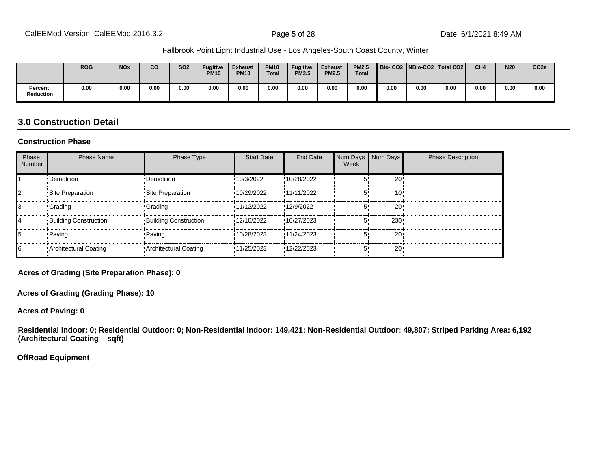|                             | <b>ROG</b> | <b>NO<sub>x</sub></b> | CO.  | <b>SO2</b> | <b>Fugitive</b><br><b>PM10</b> | <b>Exhaust</b><br><b>PM10</b> | <b>PM10</b><br><b>Total</b> | <b>Fugitive</b><br><b>PM2.5</b> | <b>Exhaust</b><br><b>PM2.5</b> | <b>PM2.5</b><br><b>Total</b> | Bio-CO2   NBio-CO2   Total CO2 |      |      | CH <sub>4</sub> | <b>N20</b> | CO <sub>2e</sub> |
|-----------------------------|------------|-----------------------|------|------------|--------------------------------|-------------------------------|-----------------------------|---------------------------------|--------------------------------|------------------------------|--------------------------------|------|------|-----------------|------------|------------------|
| Percent<br><b>Reduction</b> | 0.00       | 0.00                  | 0.00 | 0.00       | 0.00                           | 0.00                          | 0.00                        | 0.00                            | 0.00                           | 0.00                         | 0.00                           | 0.00 | 0.00 | 0.00            | 0.00       | 0.00             |

## **3.0 Construction Detail**

#### **Construction Phase**

| Phase<br>Number | <b>Phase Name</b>            | Phase Type                   | <b>Start Date</b> | End Date    | Num Days<br>Week | Num Days        | <b>Phase Description</b> |
|-----------------|------------------------------|------------------------------|-------------------|-------------|------------------|-----------------|--------------------------|
|                 | •Demolition                  | •Demolition                  | 10/3/2022         | !10/28/2022 |                  | 20              |                          |
|                 | Site Preparation             | • Site Preparation           | 10/29/2022        | !11/11/2022 |                  | 10              |                          |
|                 | <b>Crading</b>               | <b>Grading</b>               | 11/12/2022        | !12/9/2022  |                  | 20              |                          |
| 14              | <b>Building Construction</b> | <b>Building Construction</b> | 12/10/2022        | !10/27/2023 |                  | 230             |                          |
|                 | • Paving                     | • Paving                     | 10/28/2023        | !11/24/2023 |                  | 20:             |                          |
| 16              | • Architectural Coating      | • Architectural Coating      | '11/25/2023       | '12/22/2023 | 5.               | 20 <sup>1</sup> |                          |

**Acres of Grading (Site Preparation Phase): 0**

**Acres of Grading (Grading Phase): 10**

**Acres of Paving: 0**

**Residential Indoor: 0; Residential Outdoor: 0; Non-Residential Indoor: 149,421; Non-Residential Outdoor: 49,807; Striped Parking Area: 6,192 (Architectural Coating – sqft)**

**OffRoad Equipment**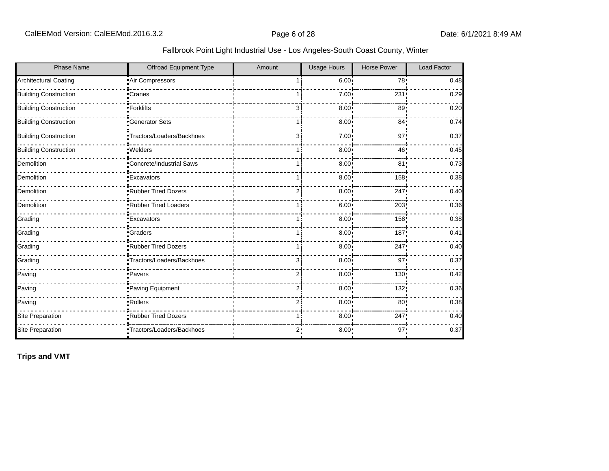| <b>Phase Name</b>            | Offroad Equipment Type     | Amount         | <b>Usage Hours</b> | <b>Horse Power</b> | <b>Load Factor</b> |
|------------------------------|----------------------------|----------------|--------------------|--------------------|--------------------|
| Architectural Coating        | Air Compressors            |                | 6.00 <sup>1</sup>  | 78!                | 0.48               |
| <b>Building Construction</b> | •Cranes                    |                | 7.00 <sub>1</sub>  | 231                | 0.29               |
| <b>Building Construction</b> | •Forklifts                 | 3i             | 8.00               | 89                 | 0.20               |
| <b>Building Construction</b> | <b>Generator Sets</b>      |                | 8.00               | 84 <sub>1</sub>    | 0.74               |
| <b>Building Construction</b> | •Tractors/Loaders/Backhoes | 3i             | 7.00 <sub>1</sub>  | 97                 | 0.37               |
| <b>Building Construction</b> | ·Welders                   | 11             | 8.00               | 46                 | 0.45               |
| Demolition                   | Concrete/Industrial Saws   |                | 8.00               | 81                 | 0.73               |
| Demolition                   | <b>Excavators</b>          |                | 8.00               | 158                | 0.38               |
| Demolition                   | Rubber Tired Dozers        | 2i             | 8.00               | 247                | 0.40               |
| Demolition                   | Rubber Tired Loaders       |                | 6.00               | 203                | 0.36               |
| Grading                      | <b>Excavators</b>          |                | 8.00               | 158!               | 0.38               |
| Grading                      | •Graders                   |                | 8.00               | 187                | 0.41               |
| Grading                      | Rubber Tired Dozers        | 1 i            | 8.00               | 247                | 0.40               |
| Grading                      | •Tractors/Loaders/Backhoes | 3i             | 8.00               | 97'                | 0.37               |
| Paving                       | ·Pavers                    | 2 <sup>1</sup> | 8.00               | 130                | 0.42               |
| Paving                       | Paving Equipment           | 2i             | 8.00               | 132                | 0.36               |
| Paving                       | • Rollers                  | 2i             | 8.00               | 80 <sub>1</sub>    | 0.38               |
| Site Preparation             | .Rubber Tired Dozers       | 1 i            | 8.00               | 247!               | 0.40               |
| Site Preparation             | Tractors/Loaders/Backhoes  | 2:             | 8.00:              | 97:                | 0.37               |

**Trips and VMT**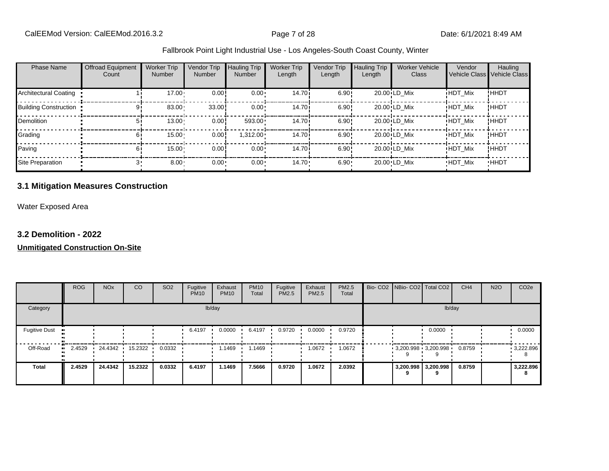| <b>Phase Name</b>            | <b>Offroad Equipment</b><br>Count | <b>Worker Trip</b><br><b>Number</b> | Vendor Trip<br><b>Number</b> | <b>Hauling Trip</b><br><b>Number</b> | <b>Worker Trip</b><br>Length | Vendor Trip<br>Length | <b>Hauling Trip</b><br>Length | <b>Worker Vehicle</b><br>Class | Vendor<br><b>Vehicle Class</b> | Hauling<br>Vehicle Class |
|------------------------------|-----------------------------------|-------------------------------------|------------------------------|--------------------------------------|------------------------------|-----------------------|-------------------------------|--------------------------------|--------------------------------|--------------------------|
| Architectural Coating        |                                   | $17.00 \cdot$                       | 0.00                         | $0.00 \cdot$                         | 14.70 <sup>i</sup>           | 6.90!                 |                               | 20.00 LD Mix                   | <b>HDT Mix</b>                 | !HHDT                    |
| <b>Building Construction</b> |                                   | 83.00                               | 33.00                        | $0.00 \cdot$                         | 14.70i                       | 6.90!                 |                               | 20.00 LD Mix                   | <b>HDT Mix</b>                 | !HHDT                    |
| Demolition                   | 51                                | 13.00                               | 0.00!                        | $593.00 \cdot$                       | 14.70 <sup>i</sup>           | 6.90!                 |                               | 20.00 LD Mix                   | <b>HDT Mix</b>                 | !HHDT                    |
| Grading                      | 61                                | 15.00                               | 0.00                         | 1,312.00                             | 14.70 <sup>i</sup>           | 6.90!                 |                               | 20.00 LD Mix                   | <b>HDT Mix</b>                 | !HHDT                    |
| Paving                       | 61                                | 15.00                               | 0.00                         | $0.00 \cdot$                         | 14.70 <sup>i</sup>           | 6.90!                 |                               | 20.00 LD Mix                   | <b>HDT Mix</b>                 | !HHDT                    |
| Site Preparation             |                                   | $8.00 -$                            | $0.00 -$                     | 0.00                                 | $14.70 \cdot$                | $6.90 -$              |                               | 20.00 LD Mix                   | <b>HDT Mix</b>                 | <b>HHDT</b>              |

## **3.1 Mitigation Measures Construction**

Water Exposed Area

#### **3.2 Demolition - 2022**

|                              | <b>ROG</b> | <b>NO<sub>x</sub></b> | CO      | SO <sub>2</sub> | Fugitive<br><b>PM10</b> | Exhaust<br><b>PM10</b> | <b>PM10</b><br>Total | Fugitive<br><b>PM2.5</b> | Exhaust<br>PM2.5 | PM2.5<br>Total |  | Bio- CO2 NBio- CO2 Total CO2  | CH <sub>4</sub> | <b>N2O</b> | CO <sub>2e</sub> |
|------------------------------|------------|-----------------------|---------|-----------------|-------------------------|------------------------|----------------------|--------------------------|------------------|----------------|--|-------------------------------|-----------------|------------|------------------|
| Category                     |            |                       |         |                 |                         | lb/day                 |                      |                          |                  |                |  | lb/day                        |                 |            |                  |
| <b>Fugitive Dust</b>         |            |                       |         |                 | 6.4197                  | 0.0000                 | 6.4197               | 0.9720                   | 0.0000           | 0.9720         |  | 0.0000                        |                 |            | 0.0000           |
| Off-Road<br>$\bullet\bullet$ | 2.4529     | 24.4342               | 15.2322 | 0.0332          |                         | 1.1469                 | i.1469               |                          | 1.0672           | 1.0672         |  | $-3,200.998$ $-3,200.998$ $-$ | 0.8759          |            | 9,222.896        |
| <b>Total</b>                 | 2.4529     | 24.4342               | 15.2322 | 0.0332          | 6.4197                  | 1.1469                 | 7.5666               | 0.9720                   | 1.0672           | 2.0392         |  | 3,200.998 3,200.998           | 0.8759          |            | 3,222.896<br>8   |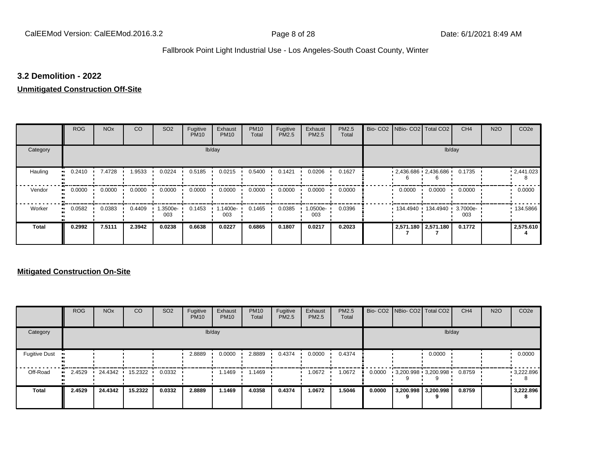#### **3.2 Demolition - 2022**

#### **Unmitigated Construction Off-Site**

|                           | <b>ROG</b>          | <b>NO<sub>x</sub></b> | CO     | SO <sub>2</sub> | Fugitive<br><b>PM10</b> | Exhaust<br><b>PM10</b> | <b>PM10</b><br>Total | Fugitive<br>PM2.5 | Exhaust<br>PM2.5 | PM2.5<br>Total |        | Bio- CO2   NBio- CO2   Total CO2 | CH <sub>4</sub> | <b>N2O</b> | CO <sub>2e</sub> |
|---------------------------|---------------------|-----------------------|--------|-----------------|-------------------------|------------------------|----------------------|-------------------|------------------|----------------|--------|----------------------------------|-----------------|------------|------------------|
| Category                  |                     |                       |        |                 |                         | lb/day                 |                      |                   |                  |                |        |                                  | lb/day          |            |                  |
| Hauling<br>$\blacksquare$ | 0.2410              | 7.4728                | 1.9533 | 0.0224          | 0.5185                  | 0.0215                 | 0.5400               | 0.1421            | 0.0206           | 0.1627         |        | $2,436.686$ $2,436.686$          | 0.1735          |            | 12,441.023       |
| Vendor<br>$\bullet$       | 0.0000              | 0.0000                | 0.0000 | 0.0000          | 0.0000                  | 0.0000                 | 0.0000               | 0.0000            | 0.0000           | 0.0000         | 0.0000 | 0.0000                           | 0.0000          |            | 0.0000           |
| Worker                    | 0.0582<br>$\bullet$ | 0.0383                | 0.4409 | .3500e-<br>003  | 0.1453                  | .1400e-<br>003         | 0.1465               | 0.0385            | 1.0500e-<br>003  | 0.0396         |        | 134.4940  134.4940  3.7000e-     | 003             |            | 134.5866         |
| <b>Total</b>              | 0.2992              | 7.5111                | 2.3942 | 0.0238          | 0.6638                  | 0.0227                 | 0.6865               | 0.1807            | 0.0217           | 0.2023         |        | 2,571.180 2,571.180              | 0.1772          |            | 2,575.610        |

|                      | <b>ROG</b>   | <b>NO<sub>x</sub></b> | <b>CO</b> | SO <sub>2</sub> | Fugitive<br><b>PM10</b> | Exhaust<br><b>PM10</b> | <b>PM10</b><br>Total | Fugitive<br><b>PM2.5</b> | Exhaust<br><b>PM2.5</b> | PM2.5<br>Total |        | Bio- CO2   NBio- CO2   Total CO2 |                          | CH <sub>4</sub> | <b>N2O</b> | CO <sub>2e</sub> |
|----------------------|--------------|-----------------------|-----------|-----------------|-------------------------|------------------------|----------------------|--------------------------|-------------------------|----------------|--------|----------------------------------|--------------------------|-----------------|------------|------------------|
| Category             |              |                       |           |                 |                         | lb/day                 |                      |                          |                         |                |        |                                  | lb/day                   |                 |            |                  |
| <b>Fugitive Dust</b> |              |                       |           |                 | 2.8889                  | 0.0000                 | 2.8889               | 0.4374                   | 0.0000                  | 0.4374         |        |                                  | 0.0000                   |                 |            | 0.0000           |
| Off-Road             | 2.4529<br>ш. | 24.4342               | 15.2322   | 0.0332          |                         | 1.1469                 | 1.1469               |                          | 1.0672                  | 1.0672         | 0.0000 | $3,200.998$ $3,200.998$          |                          | 0.8759          |            | 9,222.896        |
| <b>Total</b>         | 2.4529       | 24.4342               | 15.2322   | 0.0332          | 2.8889                  | 1.1469                 | 4.0358               | 0.4374                   | 1.0672                  | 1.5046         | 0.0000 |                                  | 3,200.998 3,200.998<br>9 | 0.8759          |            | 3,222.896<br>8   |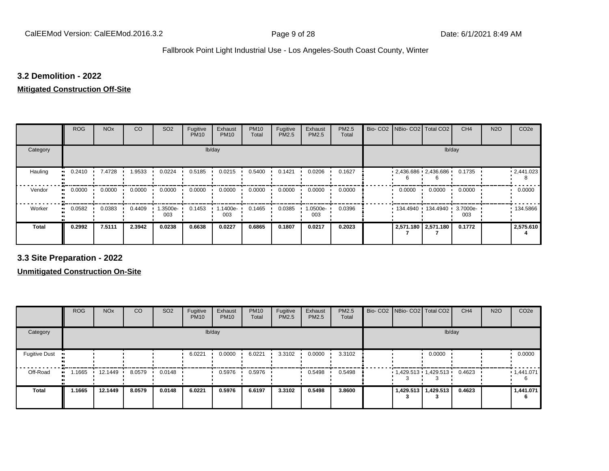#### **3.2 Demolition - 2022**

# **Mitigated Construction Off-Site**

|                      | <b>ROG</b> | <b>NO<sub>x</sub></b> | CO     | SO <sub>2</sub> | Fugitive<br><b>PM10</b> | Exhaust<br><b>PM10</b> | <b>PM10</b><br>Total | Fugitive<br>PM2.5 | Exhaust<br>PM2.5 | PM2.5<br>Total |        | Bio- CO2   NBio- CO2   Total CO2 | CH <sub>4</sub> | <b>N2O</b> | CO <sub>2e</sub>  |
|----------------------|------------|-----------------------|--------|-----------------|-------------------------|------------------------|----------------------|-------------------|------------------|----------------|--------|----------------------------------|-----------------|------------|-------------------|
| Category             |            |                       |        |                 | lb/day                  |                        |                      |                   |                  |                |        | lb/day                           |                 |            |                   |
| Hauling<br>$\bullet$ | 0.2410     | 7.4728                | 1.9533 | 0.0224          | 0.5185                  | 0.0215                 | 0.5400               | 0.1421            | 0.0206           | 0.1627         |        | $2,436.686$ $2,436.686$          | 0.1735          |            | $\cdot$ 2,441.023 |
| Vendor<br>$\bullet$  | 0.0000     | 0.0000                | 0.0000 | 0.0000          | 0.0000                  | 0.0000                 | 0.0000               | 0.0000            | 0.0000           | 0.0000         | 0.0000 | 0.0000                           | 0.0000          |            | 0.0000            |
| Worker<br>$\bullet$  | 0.0582     | 0.0383                | 0.4409 | 1.3500e-<br>003 | 0.1453                  | 1.1400e-<br>003        | 0.1465               | 0.0385            | -0500e.<br>003   | 0.0396         |        | $134.4940$ 134.4940 13.7000e-    | 003             |            | ■ 134.5866        |
| <b>Total</b>         | 0.2992     | 7.5111                | 2.3942 | 0.0238          | 0.6638                  | 0.0227                 | 0.6865               | 0.1807            | 0.0217           | 0.2023         |        | 2,571.180 2,571.180              | 0.1772          |            | 2,575.610         |

**3.3 Site Preparation - 2022**

|                       | <b>ROG</b> | <b>NO<sub>x</sub></b> | CO     | SO <sub>2</sub> | Fugitive<br><b>PM10</b> | Exhaust<br><b>PM10</b> | <b>PM10</b><br>Total | Fugitive<br><b>PM2.5</b> | Exhaust<br>PM2.5 | <b>PM2.5</b><br>Total | Bio- CO2 NBio- CO2 Total CO2 |                       | CH <sub>4</sub> | <b>N2O</b> | CO <sub>2e</sub> |
|-----------------------|------------|-----------------------|--------|-----------------|-------------------------|------------------------|----------------------|--------------------------|------------------|-----------------------|------------------------------|-----------------------|-----------------|------------|------------------|
| Category              |            |                       |        |                 |                         | lb/day                 |                      |                          |                  |                       |                              | lb/day                |                 |            |                  |
| <b>Fugitive Dust</b>  |            |                       |        |                 | 6.0221                  | 0.0000                 | 6.0221               | 3.3102                   | 0.0000           | 3.3102                |                              | 0.0000                |                 |            | 0.0000           |
| Off-Road<br>$\bullet$ | 1.1665     | 12.1449               | 8.0579 | 0.0148          |                         | 0.5976                 | 0.5976               |                          | 0.5498           | 0.5498                | $1,429.513$ $1,429.513$ $1$  |                       | 0.4623          |            | 1,441.071        |
| <b>Total</b>          | 1.1665     | 12.1449               | 8.0579 | 0.0148          | 6.0221                  | 0.5976                 | 6.6197               | 3.3102                   | 0.5498           | 3.8600                |                              | 1,429.513   1,429.513 | 0.4623          |            | 1,441.071<br>6   |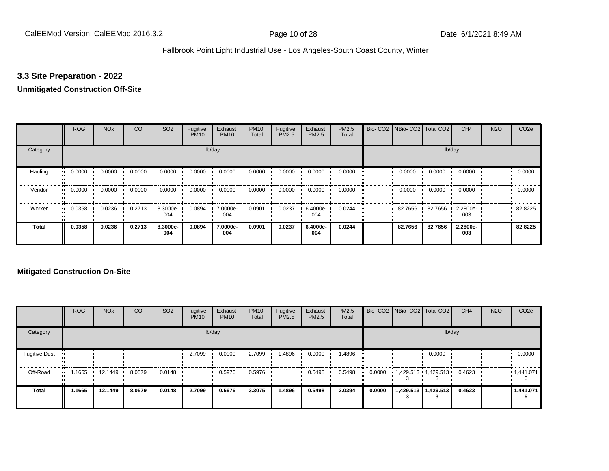## **3.3 Site Preparation - 2022**

#### **Unmitigated Construction Off-Site**

|                      | <b>ROG</b> | <b>NO<sub>x</sub></b> | CO     | SO <sub>2</sub> | Fugitive<br><b>PM10</b> | Exhaust<br><b>PM10</b> | <b>PM10</b><br>Total | Fugitive<br><b>PM2.5</b> | Exhaust<br>PM2.5 | <b>PM2.5</b><br>Total | Bio- CO2   NBio- CO2   Total CO2 |         | CH <sub>4</sub> | <b>N2O</b> | CO <sub>2e</sub> |
|----------------------|------------|-----------------------|--------|-----------------|-------------------------|------------------------|----------------------|--------------------------|------------------|-----------------------|----------------------------------|---------|-----------------|------------|------------------|
| Category             |            |                       |        |                 |                         | lb/day                 |                      |                          |                  |                       |                                  | lb/day  |                 |            |                  |
| Hauling<br>$\bullet$ | 0.0000     | 0.0000                | 0.0000 | 0.0000          | 0.0000                  | 0.0000                 | 0.0000               | 0.0000                   | 0.0000           | 0.0000                | 0.0000                           | 0.0000  | 0.0000          |            | 0.0000           |
| Vendor<br>$\bullet$  | 0.0000     | 0.0000                | 0.0000 | 0.0000          | 0.0000                  | 0.0000                 | 0.0000               | 0.0000                   | 0.0000           | 0.0000                | 0.0000                           | 0.0000  | 0.0000          |            | 0.0000           |
| Worker<br>$\bullet$  | 0.0358     | 0.0236                | 0.2713 | 8.3000e-<br>004 | 0.0894                  | 7.0000e-<br>004        | 0.0901               | 0.0237                   | 6.4000e-<br>004  | 0.0244                | 82.7656                          | 82.7656 | 2.2800e-<br>003 |            | 82.8225          |
| <b>Total</b>         | 0.0358     | 0.0236                | 0.2713 | 8.3000e-<br>004 | 0.0894                  | 7.0000e-<br>004        | 0.0901               | 0.0237                   | 6.4000e-<br>004  | 0.0244                | 82.7656                          | 82.7656 | 2.2800e-<br>003 |            | 82.8225          |

|                      | <b>ROG</b> | <b>NO<sub>x</sub></b> | CO     | SO <sub>2</sub> | Fugitive<br><b>PM10</b> | Exhaust<br><b>PM10</b> | <b>PM10</b><br>Total | Fugitive<br><b>PM2.5</b> | Exhaust<br><b>PM2.5</b> | PM2.5<br>Total |        | Bio- CO2   NBio- CO2   Total CO2 |                       | CH <sub>4</sub> | <b>N2O</b> | CO <sub>2e</sub> |
|----------------------|------------|-----------------------|--------|-----------------|-------------------------|------------------------|----------------------|--------------------------|-------------------------|----------------|--------|----------------------------------|-----------------------|-----------------|------------|------------------|
| Category             |            |                       |        |                 |                         | lb/day                 |                      |                          |                         |                |        |                                  | lb/day                |                 |            |                  |
| <b>Fugitive Dust</b> |            |                       |        |                 | 2.7099                  | 0.0000                 | 2.7099               | 1.4896                   | 0.0000                  | 1.4896         |        |                                  | 0.0000                |                 |            | 0.0000           |
| Off-Road             | .1665      | 12.1449               | 8.0579 | 0.0148          |                         | 0.5976                 | 0.5976               |                          | 0.5498                  | 0.5498         | 0.0000 | $1,429.513$ $1,429.513$ $1$      |                       | 0.4623          |            | .1,441.071       |
| <b>Total</b>         | 1.1665     | 12.1449               | 8.0579 | 0.0148          | 2.7099                  | 0.5976                 | 3.3075               | 1.4896                   | 0.5498                  | 2.0394         | 0.0000 |                                  | 1,429.513   1,429.513 | 0.4623          |            | 1,441.071<br>6   |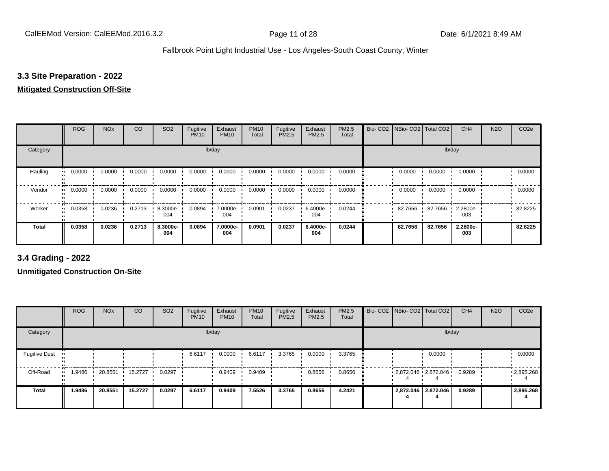## **3.3 Site Preparation - 2022**

#### **Mitigated Construction Off-Site**

|                     | <b>ROG</b> | <b>NO<sub>x</sub></b> | CO     | SO <sub>2</sub> | Fugitive<br><b>PM10</b> | Exhaust<br><b>PM10</b> | <b>PM10</b><br>Total | Fugitive<br>PM2.5 | Exhaust<br>PM2.5 | PM2.5<br>Total | Bio-CO <sub>2</sub> | NBio- CO2   Total CO2 |         | CH <sub>4</sub> | <b>N2O</b> | CO <sub>2e</sub> |
|---------------------|------------|-----------------------|--------|-----------------|-------------------------|------------------------|----------------------|-------------------|------------------|----------------|---------------------|-----------------------|---------|-----------------|------------|------------------|
| Category            |            |                       |        |                 | lb/day                  |                        |                      |                   |                  |                |                     |                       | lb/day  |                 |            |                  |
| Hauling             | 0.0000     | 0.0000                | 0.0000 | 0.0000          | 0.0000                  | 0.0000                 | 0.0000               | 0.0000            | 0.0000           | 0.0000         |                     | 0.0000                | 0.0000  | 0.0000          |            | 0.0000           |
| Vendor<br>$\bullet$ | 0.0000     | 0.0000                | 0.0000 | 0.0000          | 0.0000                  | 0.0000                 | 0.0000               | 0.0000            | 0.0000           | 0.0000         |                     | 0.0000                | 0.0000  | 0.0000          |            | 0.0000           |
| Worker<br>$\bullet$ | 0.0358     | 0.0236                | 0.2713 | 8.3000e-<br>004 | 0.0894                  | 7.0000e-<br>004        | 0.0901               | 0.0237            | 6.4000e-<br>004  | 0.0244         |                     | 82.7656               | 82.7656 | 2.2800e-<br>003 |            | 82.8225          |
| Total               | 0.0358     | 0.0236                | 0.2713 | 8.3000e-<br>004 | 0.0894                  | 7.0000e-<br>004        | 0.0901               | 0.0237            | 6.4000e-<br>004  | 0.0244         |                     | 82.7656               | 82.7656 | 2.2800e-<br>003 |            | 82.8225          |

**3.4 Grading - 2022**

|                      | <b>ROG</b> | <b>NO<sub>x</sub></b> | CO      | SO <sub>2</sub> | Fugitive<br><b>PM10</b> | Exhaust<br><b>PM10</b> | <b>PM10</b><br>Total | Fugitive<br><b>PM2.5</b> | Exhaust<br>PM2.5 | <b>PM2.5</b><br>Total |  | Bio- CO2   NBio- CO2   Total CO2 | CH <sub>4</sub> | <b>N2O</b> | CO <sub>2e</sub>  |
|----------------------|------------|-----------------------|---------|-----------------|-------------------------|------------------------|----------------------|--------------------------|------------------|-----------------------|--|----------------------------------|-----------------|------------|-------------------|
| Category             |            |                       |         |                 |                         | lb/day                 |                      |                          |                  |                       |  | lb/day                           |                 |            |                   |
| <b>Fugitive Dust</b> |            |                       |         |                 | 6.6117                  | 0.0000                 | 6.6117               | 3.3765                   | 0.0000           | 3.3765                |  | 0.0000                           |                 |            | 0.0000            |
| Off-Road             | .9486      | 20.8551               | 15.2727 | 0.0297          |                         | 0.9409                 | 0.9409               |                          | 0.8656           | 0.8656                |  | $2,872.046$ $2,872.046$          | 0.9289          |            | $\cdot$ 2,895.268 |
| <b>Total</b>         | 1.9486     | 20.8551               | 15.2727 | 0.0297          | 6.6117                  | 0.9409                 | 7.5526               | 3.3765                   | 0.8656           | 4.2421                |  | 2,872.046 2,872.046              | 0.9289          |            | 2,895.268         |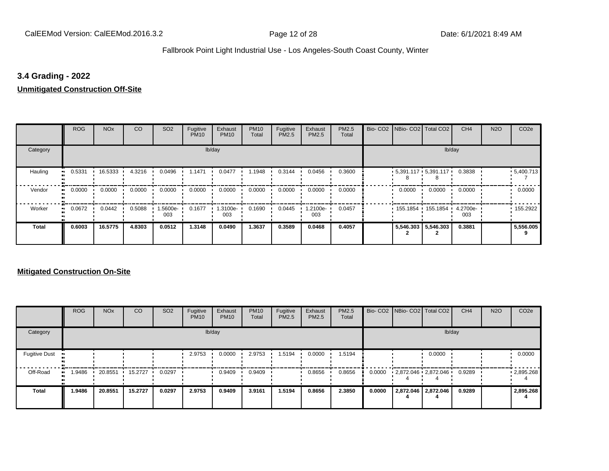## **3.4 Grading - 2022**

#### **Unmitigated Construction Off-Site**

|                      | <b>ROG</b>                 | <b>NO<sub>x</sub></b> | CO     | SO <sub>2</sub> | Fugitive<br><b>PM10</b> | Exhaust<br><b>PM10</b> | <b>PM10</b><br>Total | Fugitive<br>PM2.5 | Exhaust<br>PM2.5 | PM2.5<br>Total | Bio- CO2 NBio- CO2 Total CO2           |                     | CH <sub>4</sub> | <b>N2O</b> | CO <sub>2e</sub> |
|----------------------|----------------------------|-----------------------|--------|-----------------|-------------------------|------------------------|----------------------|-------------------|------------------|----------------|----------------------------------------|---------------------|-----------------|------------|------------------|
| Category             |                            |                       |        |                 |                         | lb/day                 |                      |                   |                  |                |                                        |                     | lb/day          |            |                  |
| Hauling<br>$\bullet$ | 0.5331                     | 16.5333 ·             | 4.3216 | 0.0496          | 1.1471                  | 0.0477                 | 1.1948               | 0.3144            | 0.0456           | 0.3600         | $5,391.117$ $5,391.117$ $\blacksquare$ |                     | 0.3838          |            | .5,400.713       |
| Vendor               | 0.0000<br>$\bullet\bullet$ | 0.0000                | 0.0000 | 0.0000          | 0.0000                  | 0.0000                 | 0.0000               | 0.0000            | 0.0000           | 0.0000         | 0.0000                                 | 0.0000              | 0.0000          |            | 0.0000           |
| Worker               | 0.0672<br>$\bullet$        | 0.0442                | 0.5088 | 1.5600e-<br>003 | 0.1677                  | 1.3100e-<br>003        | 0.1690               | 0.0445            | .2100e-<br>003   | 0.0457         | 155.1854 155.1854                      |                     | 4.2700e-<br>003 |            | $\cdot$ 155.2922 |
| <b>Total</b>         | 0.6003                     | 16.5775               | 4.8303 | 0.0512          | 1.3148                  | 0.0490                 | 1.3637               | 0.3589            | 0.0468           | 0.4057         |                                        | 5,546.303 5,546.303 | 0.3881          |            | 5,556.005        |

|                      | <b>ROG</b>  | <b>NO<sub>x</sub></b> | <b>CO</b> | SO <sub>2</sub> | Fugitive<br><b>PM10</b> | Exhaust<br><b>PM10</b> | <b>PM10</b><br>Total | Fugitive<br><b>PM2.5</b> | Exhaust<br><b>PM2.5</b> | PM2.5<br>Total |        | Bio- CO2   NBio- CO2   Total CO2 |                     | CH <sub>4</sub> | <b>N2O</b> | CO <sub>2e</sub> |
|----------------------|-------------|-----------------------|-----------|-----------------|-------------------------|------------------------|----------------------|--------------------------|-------------------------|----------------|--------|----------------------------------|---------------------|-----------------|------------|------------------|
| Category             |             |                       |           |                 |                         | lb/day                 |                      |                          |                         |                |        |                                  | lb/day              |                 |            |                  |
| <b>Fugitive Dust</b> |             |                       |           |                 | 2.9753                  | 0.0000                 | 2.9753               | 1.5194                   | 0.0000                  | 1.5194         |        |                                  | 0.0000              |                 |            | 0.0000           |
| Off-Road             | .9486<br>ш. | 20.8551               | 15.2727   | 0.0297          |                         | 0.9409                 | 0.9409               |                          | 0.8656                  | 0.8656         | 0.0000 | 2,872.046 2,872.046              |                     | 0.9289          |            | .2,895.268       |
| Total                | 1.9486      | 20.8551               | 15.2727   | 0.0297          | 2.9753                  | 0.9409                 | 3.9161               | 1.5194                   | 0.8656                  | 2.3850         | 0.0000 |                                  | 2,872.046 2,872.046 | 0.9289          |            | 2,895.268        |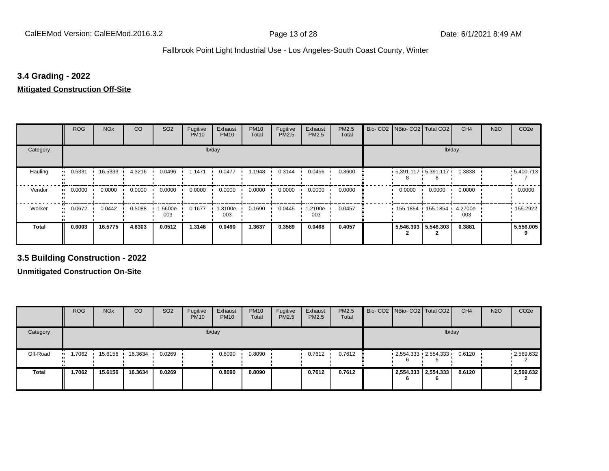## **3.4 Grading - 2022**

**Mitigated Construction Off-Site**

|                     | <b>ROG</b> | <b>NO<sub>x</sub></b> | CO     | SO <sub>2</sub> | Fugitive<br><b>PM10</b> | Exhaust<br><b>PM10</b> | <b>PM10</b><br>Total | Fugitive<br>PM2.5 | Exhaust<br>PM2.5 | PM2.5<br>Total | Bio- CO2 NBio- CO2 Total CO2    |                     | CH <sub>4</sub> | <b>N2O</b> | CO <sub>2e</sub> |
|---------------------|------------|-----------------------|--------|-----------------|-------------------------|------------------------|----------------------|-------------------|------------------|----------------|---------------------------------|---------------------|-----------------|------------|------------------|
| Category            |            |                       |        |                 |                         | lb/day                 |                      |                   |                  |                |                                 |                     | lb/day          |            |                  |
| Hauling             | 0.5331     | 16.5333               | 4.3216 | 0.0496          | 1.1471                  | 0.0477                 | 1.1948               | 0.3144            | 0.0456           | 0.3600         | $5,391.117$ $5,391.117$ $\cdot$ |                     | 0.3838          |            | .5,400.713       |
| Vendor<br>$\bullet$ | 0.0000     | 0.0000                | 0.0000 | 0.0000          | 0.0000                  | 0.0000                 | 0.0000               | 0.0000            | 0.0000           | 0.0000         | 0.0000                          | 0.0000              | 0.0000          |            | 0.0000           |
| Worker<br>$\bullet$ | 0.0672     | 0.0442                | 0.5088 | 1.5600e-<br>003 | 0.1677                  | 1.3100e-<br>003        | 0.1690               | 0.0445            | .2100e-<br>003   | 0.0457         | 155.1854 155.1854               |                     | 4.2700e-<br>003 |            | $\cdot$ 155.2922 |
| <b>Total</b>        | 0.6003     | 16.5775               | 4.8303 | 0.0512          | 1.3148                  | 0.0490                 | 1.3637               | 0.3589            | 0.0468           | 0.4057         |                                 | 5,546.303 5,546.303 | 0.3881          |            | 5,556.005        |

**3.5 Building Construction - 2022**

|              | <b>ROG</b>   | <b>NO<sub>x</sub></b> | CO      | SO <sub>2</sub> | Fugitive<br><b>PM10</b> | Exhaust<br><b>PM10</b> | <b>PM10</b><br>Total | Fugitive<br><b>PM2.5</b> | Exhaust<br>PM2.5 | <b>PM2.5</b><br>Total |    | Bio- CO2   NBio- CO2   Total CO2 | CH <sub>4</sub> | <b>N2O</b> | CO <sub>2e</sub> |
|--------------|--------------|-----------------------|---------|-----------------|-------------------------|------------------------|----------------------|--------------------------|------------------|-----------------------|----|----------------------------------|-----------------|------------|------------------|
| Category     |              |                       |         |                 |                         | lb/day                 |                      |                          |                  |                       |    |                                  | lb/day          |            |                  |
| Off-Road     | 1.7062<br>ш. | 15.6156               | 16.3634 | 0.0269          |                         | 0.8090                 | 0.8090               |                          | 0.7612           | 0.7612                | b  | $2,554.333$ $2,554.333$          | 0.6120          |            | .2,569.632       |
| <b>Total</b> | 1.7062       | 15.6156               | 16.3634 | 0.0269          |                         | 0.8090                 | 0.8090               |                          | 0.7612           | 0.7612                | 'n | 2,554.333 2,554.333              | 0.6120          |            | 2,569.632        |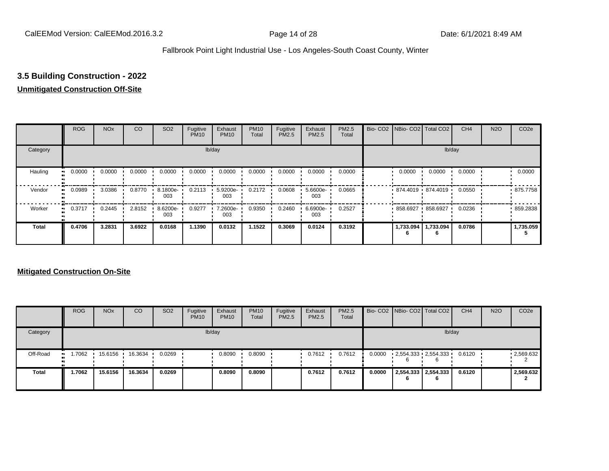# **3.5 Building Construction - 2022**

#### **Unmitigated Construction Off-Site**

|                        | <b>ROG</b> | <b>NO<sub>x</sub></b> | CO     | SO <sub>2</sub> | Fugitive<br><b>PM10</b> | Exhaust<br><b>PM10</b> | <b>PM10</b><br>Total | Fugitive<br><b>PM2.5</b> | Exhaust<br>PM2.5 | PM2.5<br>Total | Bio- CO2   NBio- CO2   Total CO2 |                     | CH <sub>4</sub> | <b>N2O</b> | CO <sub>2e</sub> |
|------------------------|------------|-----------------------|--------|-----------------|-------------------------|------------------------|----------------------|--------------------------|------------------|----------------|----------------------------------|---------------------|-----------------|------------|------------------|
| Category               |            |                       |        |                 |                         | lb/day                 |                      |                          |                  |                |                                  |                     | lb/day          |            |                  |
| Hauling<br>œ           | 0.0000     | 0.0000                | 0.0000 | 0.0000          | 0.0000                  | 0.0000                 | 0.0000               | 0.0000                   | 0.0000           | 0.0000         | 0.0000                           | 0.0000              | 0.0000          |            | 0.0000           |
| Vendor<br>œ            | 0.0989     | 3.0386                | 0.8770 | 8.1800e-<br>003 | 0.2113                  | 5.9200e-<br>003        | 0.2172               | 0.0608                   | 5.6600e-<br>003  | 0.0665         | 874.4019 874.4019                |                     | 0.0550          |            | 875.7758         |
| Worker<br>$\mathbf{u}$ | 0.3717     | 0.2445                | 2.8152 | 8.6200e-<br>003 | 0.9277                  | 7.2600e-<br>003        | 0.9350               | 0.2460                   | 6.6900e-<br>003  | 0.2527         | $858.6927$ 858.6927              |                     | 0.0236          |            | .859.2838        |
| <b>Total</b>           | 0.4706     | 3.2831                | 3.6922 | 0.0168          | 1.1390                  | 0.0132                 | 1.1522               | 0.3069                   | 0.0124           | 0.3192         |                                  | 1,733.094 1,733.094 | 0.0786          |            | 1,735.059        |

|              | <b>ROG</b>           | <b>NO<sub>x</sub></b> | CO      | SO <sub>2</sub> | Fugitive<br><b>PM10</b> | Exhaust<br><b>PM10</b> | <b>PM10</b><br>Total | Fugitive<br><b>PM2.5</b> | Exhaust<br><b>PM2.5</b> | PM2.5<br>Total |        | Bio- CO2   NBio- CO2   Total CO2              | CH <sub>4</sub> | <b>N2O</b> | CO <sub>2</sub> e |
|--------------|----------------------|-----------------------|---------|-----------------|-------------------------|------------------------|----------------------|--------------------------|-------------------------|----------------|--------|-----------------------------------------------|-----------------|------------|-------------------|
| Category     |                      |                       |         |                 |                         | lb/day                 |                      |                          |                         |                |        |                                               | lb/day          |            |                   |
| Off-Road     | 1.7062<br><b>ALC</b> | 15.6156               | 16.3634 | 0.0269          |                         | 0.8090                 | 0.8090               |                          | 0.7612                  | 0.7612         | 0.0000 | $2,554.333 \cdot 2,554.333 \cdot 0.6120$<br>6 |                 |            | .2,569.632        |
| <b>Total</b> | 1.7062               | 15.6156               | 16.3634 | 0.0269          |                         | 0.8090                 | 0.8090               |                          | 0.7612                  | 0.7612         | 0.0000 | 2,554.333 2,554.333                           | 0.6120          |            | 2,569.632         |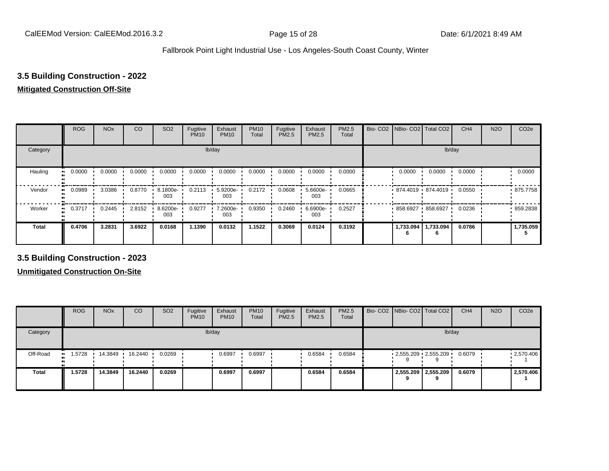# **3.5 Building Construction - 2022**

#### **Mitigated Construction Off-Site**

|                           | <b>ROG</b>          | <b>NO<sub>x</sub></b> | CO     | SO <sub>2</sub> | Fugitive<br><b>PM10</b> | Exhaust<br><b>PM10</b> | <b>PM10</b><br>Total | Fugitive<br><b>PM2.5</b> | Exhaust<br>PM2.5 | PM2.5<br>Total | Bio- CO2   NBio- CO2   Total CO2 |                       | CH <sub>4</sub> | <b>N2O</b> | CO <sub>2e</sub> |
|---------------------------|---------------------|-----------------------|--------|-----------------|-------------------------|------------------------|----------------------|--------------------------|------------------|----------------|----------------------------------|-----------------------|-----------------|------------|------------------|
| Category                  |                     |                       |        |                 |                         | lb/day                 |                      |                          |                  |                |                                  |                       | lb/day          |            |                  |
| Hauling<br>$\blacksquare$ | 0.0000              | 0.0000                | 0.0000 | 0.0000          | 0.0000                  | 0.0000                 | 0.0000               | 0.0000                   | 0.0000           | 0.0000         | 0.0000                           | 0.0000                | 0.0000          |            | 0.0000           |
| Vendor                    | 0.0989<br>$\bullet$ | 3.0386                | 0.8770 | 8.1800e-<br>003 | 0.2113                  | 5.9200e-<br>003        | 0.2172               | 0.0608                   | 5.6600e-<br>003  | 0.0665         | $874.4019$ $874.4019$            |                       | 0.0550          |            | .875.7758        |
| Worker                    | 0.3717<br>$\bullet$ | 0.2445                | 2.8152 | 8.6200e-<br>003 | 0.9277                  | 7.2600e-<br>003        | 0.9350               | 0.2460                   | 6.6900e-<br>003  | 0.2527         |                                  | 858.6927 858.6927     | 0.0236          |            | 859.2838         |
| <b>Total</b>              | 0.4706              | 3.2831                | 3.6922 | 0.0168          | 1.1390                  | 0.0132                 | 1.1522               | 0.3069                   | 0.0124           | 0.3192         |                                  | 1,733.094   1,733.094 | 0.0786          |            | 1,735.059        |

**3.5 Building Construction - 2023**

|              | <b>ROG</b>           | <b>NO<sub>x</sub></b> | CO      | SO <sub>2</sub> | Fugitive<br><b>PM10</b> | Exhaust<br><b>PM10</b> | <b>PM10</b><br>Total | Fugitive<br><b>PM2.5</b> | Exhaust<br><b>PM2.5</b> | <b>PM2.5</b><br>Total | Bio- CO2 NBio- CO2 Total CO2 |                     | CH <sub>4</sub> | <b>N2O</b> | CO <sub>2e</sub>  |
|--------------|----------------------|-----------------------|---------|-----------------|-------------------------|------------------------|----------------------|--------------------------|-------------------------|-----------------------|------------------------------|---------------------|-----------------|------------|-------------------|
| Category     |                      |                       |         |                 |                         | lb/day                 |                      |                          |                         |                       |                              |                     | lb/day          |            |                   |
| Off-Road     | 1.5728<br><b>ALC</b> | 14.3849               | 16.2440 | 0.0269          |                         | 0.6997                 | 0.6997               |                          | 0.6584                  | 0.6584                | $2,555.209$ $2,555.209$      |                     | 0.6079          |            | $\cdot$ 2,570.406 |
| <b>Total</b> | 1.5728               | 14.3849               | 16.2440 | 0.0269          |                         | 0.6997                 | 0.6997               |                          | 0.6584                  | 0.6584                |                              | 2,555.209 2,555.209 | 0.6079          |            | 2,570.406         |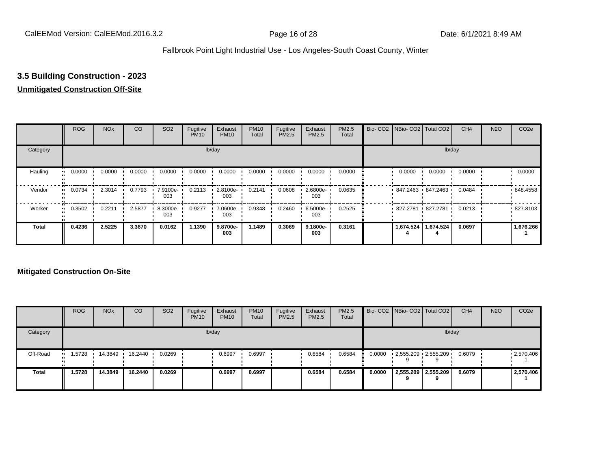# **3.5 Building Construction - 2023**

#### **Unmitigated Construction Off-Site**

|                     | <b>ROG</b> | <b>NO<sub>x</sub></b> | CO     | SO <sub>2</sub>   | Fugitive<br><b>PM10</b> | Exhaust<br><b>PM10</b> | <b>PM10</b><br>Total | Fugitive<br><b>PM2.5</b> | Exhaust<br>PM2.5 | <b>PM2.5</b><br>Total | Bio- CO2   NBio- CO2   Total CO2 |           | CH <sub>4</sub> | <b>N2O</b> | CO <sub>2e</sub> |
|---------------------|------------|-----------------------|--------|-------------------|-------------------------|------------------------|----------------------|--------------------------|------------------|-----------------------|----------------------------------|-----------|-----------------|------------|------------------|
| Category            |            |                       |        |                   |                         | lb/day                 |                      |                          |                  |                       |                                  | lb/day    |                 |            |                  |
| Hauling<br>m        | 0.0000     | 0.0000                | 0.0000 | 0.0000            | 0.0000                  | 0.0000                 | 0.0000               | 0.0000                   | 0.0000           | 0.0000                | 0.0000                           | 0.0000    | 0.0000          |            | 0.0000           |
| Vendor<br>œ         | 0.0734     | 2.3014                | 0.7793 | 7.9100e- '<br>003 | 0.2113                  | 2.8100e-<br>003        | 0.2141               | 0.0608                   | 2.6800e-<br>003  | 0.0635                | 847.2463 847.2463                |           | 0.0484          |            | 848.4558         |
| Worker<br>$\bullet$ | 0.3502     | 0.2211                | 2.5877 | 8.3000e-<br>003   | 0.9277                  | 7.0600e-<br>003        | 0.9348               | 0.2460                   | 6.5000e-<br>003  | 0.2525                | 827.2781 827.2781                |           | 0.0213          |            | 827.8103         |
| <b>Total</b>        | 0.4236     | 2.5225                | 3.3670 | 0.0162            | 1.1390                  | 9.8700e-<br>003        | 1.1489               | 0.3069                   | 9.1800e-<br>003  | 0.3161                | 1,674.524                        | 1,674.524 | 0.0697          |            | 1,676.266        |

|              | <b>ROG</b>         | <b>NO<sub>x</sub></b> | CO      | SO <sub>2</sub> | Fugitive<br><b>PM10</b> | Exhaust<br><b>PM10</b> | <b>PM10</b><br><b>Total</b> | Fugitive<br>PM2.5 | Exhaust<br><b>PM2.5</b> | PM2.5<br>Total |        | Bio- CO2   NBio- CO2   Total CO2 | CH <sub>4</sub> | <b>N2O</b> | CO <sub>2e</sub>  |
|--------------|--------------------|-----------------------|---------|-----------------|-------------------------|------------------------|-----------------------------|-------------------|-------------------------|----------------|--------|----------------------------------|-----------------|------------|-------------------|
| Category     |                    |                       |         |                 |                         | lb/day                 |                             |                   |                         |                |        | lb/day                           |                 |            |                   |
| Off-Road     | .5728<br>$\bullet$ | 14.3849               | 16.2440 | 0.0269          |                         | 0.6997                 | 0.6997                      |                   | 0.6584                  | 0.6584         | 0.0000 | $2,555.209$ $2,555.209$          | 0.6079          |            | $\cdot$ 2,570.406 |
| <b>Total</b> | 1.5728             | 14.3849               | 16.2440 | 0.0269          |                         | 0.6997                 | 0.6997                      |                   | 0.6584                  | 0.6584         | 0.0000 | 2,555.209 2,555.209              | 0.6079          |            | 2,570.406         |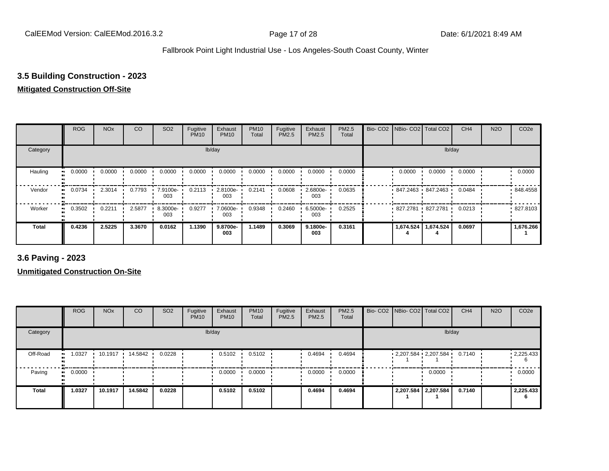## **3.5 Building Construction - 2023**

#### **Mitigated Construction Off-Site**

|                           | <b>ROG</b>          | <b>NO<sub>x</sub></b> | CO     | SO <sub>2</sub> | Fugitive<br><b>PM10</b> | Exhaust<br><b>PM10</b> | <b>PM10</b><br>Total | Fugitive<br><b>PM2.5</b> | Exhaust<br>PM2.5 | PM2.5<br>Total | Bio- CO2   NBio- CO2   Total CO2 |                     | CH <sub>4</sub> | <b>N2O</b> | CO <sub>2e</sub> |
|---------------------------|---------------------|-----------------------|--------|-----------------|-------------------------|------------------------|----------------------|--------------------------|------------------|----------------|----------------------------------|---------------------|-----------------|------------|------------------|
| Category                  |                     |                       |        |                 |                         | lb/day                 |                      |                          |                  |                |                                  |                     | lb/day          |            |                  |
| Hauling<br>$\blacksquare$ | 0.0000              | 0.0000                | 0.0000 | 0.0000          | 0.0000                  | 0.0000                 | 0.0000               | 0.0000                   | 0.0000           | 0.0000         | 0.0000                           | 0.0000              | 0.0000          |            | 0.0000           |
| Vendor                    | 0.0734<br>$\bullet$ | 2.3014                | 0.7793 | 7.9100e-<br>003 | 0.2113                  | 2.8100e-<br>003        | 0.2141               | 0.0608                   | 2.6800e-<br>003  | 0.0635         | 847.2463 847.2463                |                     | 0.0484          |            | .848.4558        |
| Worker                    | 0.3502<br>$\bullet$ | 0.2211                | 2.5877 | 8.3000e-<br>003 | 0.9277                  | 7.0600e-<br>003        | 0.9348               | 0.2460                   | 6.5000e-<br>003  | 0.2525         | 827.2781 827.2781                |                     | 0.0213          |            | .827.8103        |
| <b>Total</b>              | 0.4236              | 2.5225                | 3.3670 | 0.0162          | 1.1390                  | 9.8700e-<br>003        | 1.1489               | 0.3069                   | 9.1800e-<br>003  | 0.3161         |                                  | 1,674.524 1,674.524 | 0.0697          |            | 1,676.266        |

**3.6 Paving - 2023**

|          | <b>ROG</b> | <b>NO<sub>x</sub></b> | CO      | SO <sub>2</sub> | Fugitive<br><b>PM10</b> | Exhaust<br><b>PM10</b> | <b>PM10</b><br>Total | Fugitive<br><b>PM2.5</b> | Exhaust<br>PM2.5 | <b>PM2.5</b><br>Total | Bio- CO2   NBio- CO2   Total CO2 |                     | CH <sub>4</sub> | <b>N2O</b> | CO <sub>2e</sub> |
|----------|------------|-----------------------|---------|-----------------|-------------------------|------------------------|----------------------|--------------------------|------------------|-----------------------|----------------------------------|---------------------|-----------------|------------|------------------|
| Category |            |                       |         |                 |                         | lb/day                 |                      |                          |                  |                       |                                  | lb/day              |                 |            |                  |
| Off-Road | 1.0327     | 10.1917               | 14.5842 | 0.0228          |                         | 0.5102                 | 0.5102               |                          | 0.4694           | 0.4694                | $2,207.584$ $2,207.584$ 0.7140   |                     |                 |            | 12,225.433       |
| Paving   | 0.0000     |                       |         |                 |                         | 0.0000                 | 0.0000               |                          | 0.0000           | 0.0000                |                                  | 0.0000              |                 |            | 0.0000           |
| Total    | 1.0327     | 10.1917               | 14.5842 | 0.0228          |                         | 0.5102                 | 0.5102               |                          | 0.4694           | 0.4694                |                                  | 2,207.584 2,207.584 | 0.7140          |            | 2,225.433        |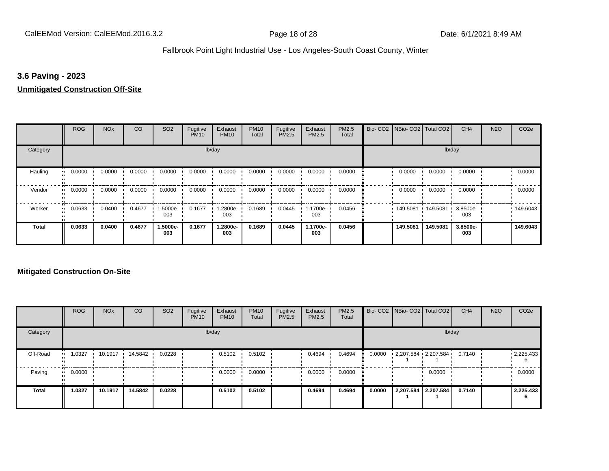## **3.6 Paving - 2023**

#### **Unmitigated Construction Off-Site**

|                           | <b>ROG</b>          | <b>NO<sub>x</sub></b> | CO     | SO <sub>2</sub> | Fugitive<br><b>PM10</b> | Exhaust<br><b>PM10</b> | <b>PM10</b><br>Total | Fugitive<br><b>PM2.5</b> | Exhaust<br>PM2.5 | PM2.5<br>Total | Bio- CO2   NBio- CO2   Total CO2 |          | CH <sub>4</sub> | <b>N2O</b> | CO <sub>2e</sub> |
|---------------------------|---------------------|-----------------------|--------|-----------------|-------------------------|------------------------|----------------------|--------------------------|------------------|----------------|----------------------------------|----------|-----------------|------------|------------------|
| Category                  |                     |                       |        |                 |                         | lb/day                 |                      |                          |                  |                |                                  |          | lb/day          |            |                  |
| Hauling<br>$\blacksquare$ | 0.0000              | 0.0000                | 0.0000 | 0.0000          | 0.0000                  | 0.0000                 | 0.0000               | 0.0000                   | 0.0000           | 0.0000         | 0.0000                           | 0.0000   | 0.0000          |            | 0.0000           |
| Vendor<br>$\bullet$       | 0.0000              | 0.0000                | 0.0000 | 0.0000          | 0.0000                  | 0.0000                 | 0.0000               | 0.0000                   | 0.0000           | 0.0000         | 0.0000                           | 0.0000   | 0.0000          |            | 0.0000           |
| Worker                    | 0.0633<br>$\bullet$ | 0.0400                | 0.4677 | 1.5000e-<br>003 | 0.1677                  | 1.2800e-<br>003        | 0.1689               | 0.0445                   | 1.1700e-<br>003  | 0.0456         | 149.5081                         | 149.5081 | 3.8500e-<br>003 |            | 149.6043         |
| <b>Total</b>              | 0.0633              | 0.0400                | 0.4677 | 1.5000e-<br>003 | 0.1677                  | 1.2800e-<br>003        | 0.1689               | 0.0445                   | 1.1700e-<br>003  | 0.0456         | 149.5081                         | 149.5081 | 3.8500e-<br>003 |            | 149.6043         |

|              | <b>ROG</b>   | <b>NO<sub>x</sub></b> | <b>CO</b> | SO <sub>2</sub> | Fugitive<br><b>PM10</b> | Exhaust<br><b>PM10</b> | <b>PM10</b><br>Total | Fugitive<br><b>PM2.5</b> | Exhaust<br><b>PM2.5</b> | PM2.5<br>Total |        | Bio- CO2 NBio- CO2 Total CO2 | CH <sub>4</sub> | <b>N2O</b> | CO <sub>2e</sub>  |
|--------------|--------------|-----------------------|-----------|-----------------|-------------------------|------------------------|----------------------|--------------------------|-------------------------|----------------|--------|------------------------------|-----------------|------------|-------------------|
| Category     |              |                       |           |                 |                         | lb/day                 |                      |                          |                         |                |        | lb/day                       |                 |            |                   |
| Off-Road     | 1.0327<br>   | 10.1917               | 14.5842   | 0.0228          |                         | 0.5102                 | 0.5102               |                          | 0.4694                  | 0.4694         | 0.0000 | 2,207.584 2,207.584          | 0.7140          |            | $\cdot$ 2,225.433 |
| Paving       | 0.0000<br>ш. |                       |           |                 |                         | 0.0000                 | 0.0000               |                          | 0.0000                  | 0.0000         |        | 0.0000                       |                 |            | 0.0000            |
| <b>Total</b> | 1.0327       | 10.1917               | 14.5842   | 0.0228          |                         | 0.5102                 | 0.5102               |                          | 0.4694                  | 0.4694         | 0.0000 | 2,207.584 2,207.584          | 0.7140          |            | 2,225.433<br>'n   |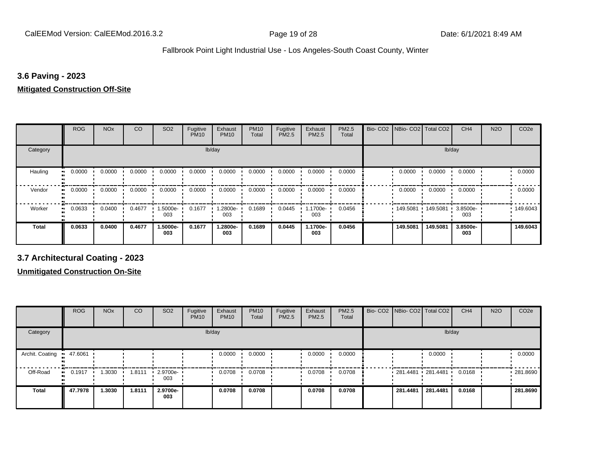## **3.6 Paving - 2023**

## **Mitigated Construction Off-Site**

|                     | <b>ROG</b> | <b>NO<sub>x</sub></b> | CO     | SO <sub>2</sub> | Fugitive<br><b>PM10</b> | Exhaust<br><b>PM10</b> | <b>PM10</b><br>Total | Fugitive<br>PM2.5 | Exhaust<br>PM2.5 | PM2.5<br>Total | Bio-CO <sub>2</sub> | NBio- CO2   Total CO2 |          | CH <sub>4</sub> | <b>N2O</b> | CO <sub>2e</sub> |
|---------------------|------------|-----------------------|--------|-----------------|-------------------------|------------------------|----------------------|-------------------|------------------|----------------|---------------------|-----------------------|----------|-----------------|------------|------------------|
| Category            |            |                       |        |                 | lb/day                  |                        |                      |                   |                  |                |                     |                       | lb/day   |                 |            |                  |
| Hauling             | 0.0000     | 0.0000                | 0.0000 | 0.0000          | 0.0000                  | 0.0000                 | 0.0000               | 0.0000            | 0.0000           | 0.0000         |                     | 0.0000                | 0.0000   | 0.0000          |            | 0.0000           |
| Vendor<br>$\bullet$ | 0.0000     | 0.0000                | 0.0000 | 0.0000          | 0.0000                  | 0.0000                 | 0.0000               | 0.0000            | 0.0000           | 0.0000         |                     | 0.0000                | 0.0000   | 0.0000          |            | 0.0000           |
| Worker<br>$\bullet$ | 0.0633     | 0.0400                | 0.4677 | 1.5000e-<br>003 | 0.1677                  | 1.2800e-<br>003        | 0.1689               | 0.0445            | 1.1700e-<br>003  | 0.0456         |                     | 149.5081 149.5081     |          | 3.8500e-<br>003 |            | .149.6043        |
| <b>Total</b>        | 0.0633     | 0.0400                | 0.4677 | 1.5000e-<br>003 | 0.1677                  | 1.2800e-<br>003        | 0.1689               | 0.0445            | 1.1700e-<br>003  | 0.0456         |                     | 149.5081              | 149.5081 | 3.8500e-<br>003 |            | 149.6043         |

**3.7 Architectural Coating - 2023**

|                 | <b>ROG</b>   | <b>NO<sub>x</sub></b> | CO     | SO <sub>2</sub>    | Fugitive<br><b>PM10</b> | Exhaust<br><b>PM10</b> | <b>PM10</b><br>Total | Fugitive<br><b>PM2.5</b> | Exhaust<br><b>PM2.5</b> | <b>PM2.5</b><br>Total | Bio- CO2   NBio- CO2   Total CO2 |                     | CH <sub>4</sub> | <b>N2O</b> | CO <sub>2e</sub> |
|-----------------|--------------|-----------------------|--------|--------------------|-------------------------|------------------------|----------------------|--------------------------|-------------------------|-----------------------|----------------------------------|---------------------|-----------------|------------|------------------|
| Category        |              |                       |        |                    |                         | lb/day                 |                      |                          |                         |                       |                                  | lb/day              |                 |            |                  |
| Archit. Coating | 47.6061      |                       |        |                    |                         | 0.0000                 | 0.0000               |                          | 0.0000                  | 0.0000                |                                  | 0.0000              |                 |            | 0.0000           |
| Off-Road        | 0.1917<br>ш. | .3030                 | 1.8111 | $-2.9700e-$<br>003 |                         | 0.0708                 | 0.0708               |                          | 0.0708                  | 0.0708                |                                  | 281.4481 281.4481 ' | 0.0168          |            | .281.8690        |
| <b>Total</b>    | 47.7978      | 1.3030                | 1.8111 | 2.9700e-<br>003    |                         | 0.0708                 | 0.0708               |                          | 0.0708                  | 0.0708                | 281.4481                         | 281.4481            | 0.0168          |            | 281.8690         |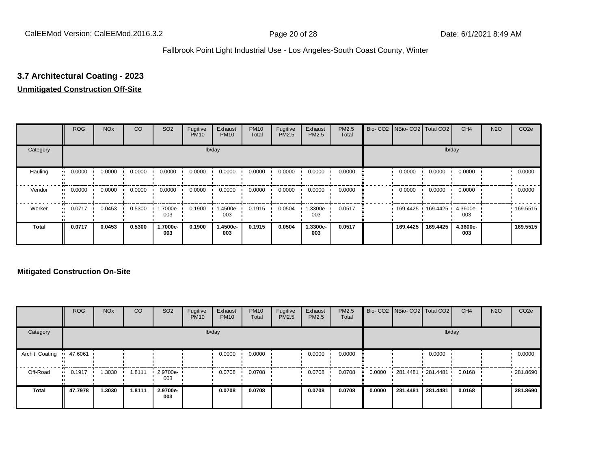# **3.7 Architectural Coating - 2023**

## **Unmitigated Construction Off-Site**

|                     | <b>ROG</b>          | <b>NO<sub>x</sub></b> | CO     | SO <sub>2</sub> | Fugitive<br><b>PM10</b> | Exhaust<br><b>PM10</b> | <b>PM10</b><br>Total | Fugitive<br><b>PM2.5</b> | Exhaust<br>PM2.5 | PM2.5<br>Total | Bio- CO2   NBio- CO2   Total CO2 |                            | CH <sub>4</sub> | <b>N2O</b> | CO <sub>2e</sub> |
|---------------------|---------------------|-----------------------|--------|-----------------|-------------------------|------------------------|----------------------|--------------------------|------------------|----------------|----------------------------------|----------------------------|-----------------|------------|------------------|
| Category            |                     |                       |        |                 |                         | lb/day                 |                      |                          |                  |                |                                  |                            | lb/day          |            |                  |
| Hauling<br>œ        | 0.0000              | 0.0000                | 0.0000 | 0.0000          | 0.0000                  | 0.0000                 | 0.0000               | 0.0000                   | 0.0000           | 0.0000         | 0.0000                           | 0.0000                     | 0.0000          |            | 0.0000           |
| Vendor              | 0.0000<br>$\bullet$ | 0.0000                | 0.0000 | 0.0000          | 0.0000                  | 0.0000                 | 0.0000               | 0.0000                   | 0.0000           | 0.0000         | 0.0000                           | 0.0000                     | 0.0000          |            | 0.0000           |
| Worker<br>$\bullet$ | 0.0717              | 0.0453                | 0.5300 | .7000e-<br>003  | 0.1900                  | -4500e-<br>003         | 0.1915               | 0.0504                   | -.3300e<br>003   | 0.0517         |                                  | 169.4425 169.4425 4.3600e- | 003             |            | .169.5515        |
| <b>Total</b>        | 0.0717              | 0.0453                | 0.5300 | 1.7000e-<br>003 | 0.1900                  | 1.4500e-<br>003        | 0.1915               | 0.0504                   | 1.3300e-<br>003  | 0.0517         | 169.4425                         | 169.4425                   | 4.3600e-<br>003 |            | 169.5515         |

|                 | <b>ROG</b>   | <b>NO<sub>x</sub></b> | CO     | SO <sub>2</sub>       | Fugitive<br><b>PM10</b> | Exhaust<br><b>PM10</b> | <b>PM10</b><br>Total | Fugitive<br><b>PM2.5</b> | Exhaust<br><b>PM2.5</b> | <b>PM2.5</b><br>Total |        |                   | Bio- CO2   NBio- CO2   Total CO2 | CH <sub>4</sub> | <b>N2O</b> | CO <sub>2e</sub> |
|-----------------|--------------|-----------------------|--------|-----------------------|-------------------------|------------------------|----------------------|--------------------------|-------------------------|-----------------------|--------|-------------------|----------------------------------|-----------------|------------|------------------|
| Category        |              |                       |        |                       |                         | lb/day                 |                      |                          |                         |                       |        |                   | lb/day                           |                 |            |                  |
| Archit. Coating | 47.6061      |                       |        |                       |                         | 0.0000                 | 0.0000               |                          | 0.0000                  | 0.0000                |        |                   | 0.0000                           |                 |            | 0.0000           |
| Off-Road        | 0.1917<br>ш. | 1.3030                | 1.8111 | $-2.9700e - 1$<br>003 |                         | 0.0708                 | 0.0708               |                          | 0.0708                  | 0.0708                | 0.0000 | 281.4481 281.4481 |                                  | 0.0168          |            | .281.8690        |
| <b>Total</b>    | 47.7978      | 1.3030                | 1.8111 | 2.9700e-<br>003       |                         | 0.0708                 | 0.0708               |                          | 0.0708                  | 0.0708                | 0.0000 | 281.4481          | 281.4481                         | 0.0168          |            | 281.8690         |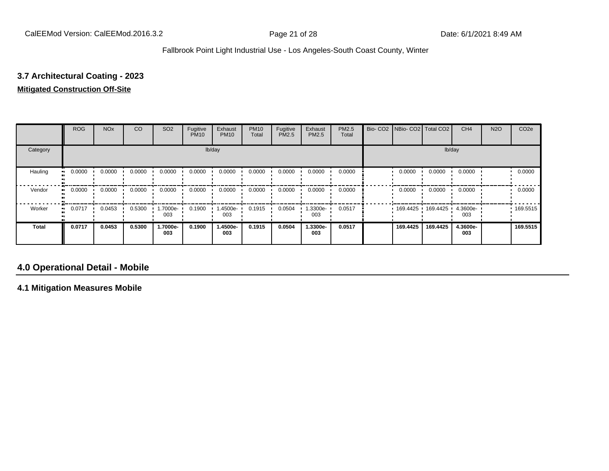# **3.7 Architectural Coating - 2023**

## **Mitigated Construction Off-Site**

|              | <b>ROG</b> | <b>NO<sub>x</sub></b> | CO     | SO <sub>2</sub> | Fugitive<br><b>PM10</b> | Exhaust<br><b>PM10</b> | <b>PM10</b><br>Total | Fugitive<br><b>PM2.5</b> | Exhaust<br>PM2.5 | PM2.5<br>Total | Bio- CO2 NBio- CO2 Total CO2 |          | CH <sub>4</sub> | <b>N2O</b> | CO <sub>2e</sub> |
|--------------|------------|-----------------------|--------|-----------------|-------------------------|------------------------|----------------------|--------------------------|------------------|----------------|------------------------------|----------|-----------------|------------|------------------|
| Category     |            |                       |        |                 |                         | lb/day                 |                      |                          |                  |                |                              | lb/day   |                 |            |                  |
| Hauling      | 0.0000     | 0.0000                | 0.0000 | 0.0000          | 0.0000                  | 0.0000                 | 0.0000               | 0.0000                   | 0.0000           | 0.0000         | 0.0000                       | 0.0000   | 0.0000          |            | 0.0000           |
| Vendor       | 0.0000     | 0.0000                | 0.0000 | 0.0000          | 0.0000                  | 0.0000                 | 0.0000               | 0.0000                   | 0.0000           | 0.0000         | 0.0000                       | 0.0000   | 0.0000          |            | 0.0000           |
| Worker       | 0.0717     | 0.0453                | 0.5300 | -.7000e<br>003  | 0.1900                  | 1.4500e-<br>003        | 0.1915               | 0.0504                   | .3300e-<br>003   | 0.0517         | 169.4425                     | 169.4425 | 4.3600e-<br>003 |            | .169.5515        |
| <b>Total</b> | 0.0717     | 0.0453                | 0.5300 | 1.7000e-<br>003 | 0.1900                  | 1.4500e-<br>003        | 0.1915               | 0.0504                   | 1.3300e-<br>003  | 0.0517         | 169.4425                     | 169.4425 | 4.3600e-<br>003 |            | 169.5515         |

# **4.0 Operational Detail - Mobile**

**4.1 Mitigation Measures Mobile**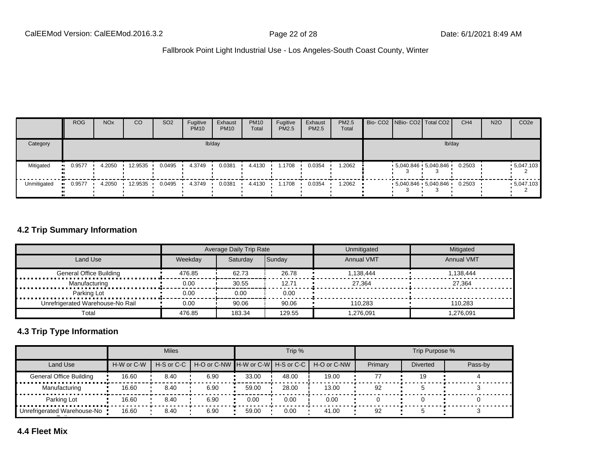|             | <b>ROG</b>           | <b>NO<sub>x</sub></b> | CO      | SO <sub>2</sub> | Fugitive<br><b>PM10</b> | Exhaust<br><b>PM10</b> | <b>PM10</b><br>Total | Fugitive<br><b>PM2.5</b> | Exhaust<br><b>PM2.5</b> | <b>PM2.5</b><br>Total |  | Bio- CO2 NBio- CO2 Total CO2 | CH <sub>4</sub> | <b>N2O</b> | CO <sub>2</sub> e |
|-------------|----------------------|-----------------------|---------|-----------------|-------------------------|------------------------|----------------------|--------------------------|-------------------------|-----------------------|--|------------------------------|-----------------|------------|-------------------|
| Category    |                      |                       |         |                 |                         | lb/day                 |                      |                          |                         |                       |  | lb/day                       |                 |            |                   |
| Mitigated   | 0.9577<br><b>ALC</b> | 4.2050                | 12.9535 | 0.0495          | 4.3749                  | 0.0381                 | 4.4130               | 1.1708                   | 0.0354                  | 2062. ا               |  | $5,040.846$ $5,040.846$      | 0.2503          |            | $-5,047.103$      |
| Unmitigated | 0.9577               | 4.2050                | 12.9535 | 0.0495          | 4.3749                  | 0.0381                 | 4.4130               | 1.1708                   | 0.0354                  | 2062. ا               |  | $-5.040.846 - 5.040.846$     | 0.2503          |            | $-5,047.103$      |

## **4.2 Trip Summary Information**

|                                  |         | Average Daily Trip Rate |        | Unmitigated       | Mitigated         |
|----------------------------------|---------|-------------------------|--------|-------------------|-------------------|
| Land Use                         | Weekdav | Saturdav                | Sunday | <b>Annual VMT</b> | <b>Annual VMT</b> |
| <b>General Office Building</b>   | 476.85  | 62.73                   | 26.78  | 1.138.444         | 1.138.444         |
| Manufacturing                    | 0.00    | 30.55                   | 12.71  | 27.364            | 27.364            |
| Parking Lot                      | 0.00    | 0.00                    | 0.00   |                   |                   |
| Unrefrigerated Warehouse-No Rail | 0.00    | 90.06                   | 90.06  | 110.283           | 110.283           |
| Total                            | 476.85  | 183.34                  | 129.55 | 1.276.091         | 1.276.091         |

## **4.3 Trip Type Information**

|                                |            | <b>Miles</b> |                                                    |       | Trip % |             |         | Trip Purpose %  |         |
|--------------------------------|------------|--------------|----------------------------------------------------|-------|--------|-------------|---------|-----------------|---------|
| Land Use                       | H-W or C-W |              | H-S or C-C   H-O or C-NW   H-W or C-W   H-S or C-C |       |        | H-O or C-NW | Primary | <b>Diverted</b> | Pass-by |
| <b>General Office Building</b> | 16.60      | 8.40         | 6.90                                               | 33.00 | 48.00  | 19.00       | 77      | 19              |         |
| Manufacturing                  | 16.60      | 8.40         | 6.90                                               | 59.00 | 28.00  | 13.00       | 92      |                 |         |
| Parking Lot                    | 16.60      | 8.40         | 6.90                                               | 0.00  | 0.00   | 0.00        |         |                 |         |
| Unrefrigerated Warehouse-No    | 16.60      | 8.40         | 6.90                                               | 59.00 | 0.00   | 41.00       | 92      |                 |         |

**4.4 Fleet Mix**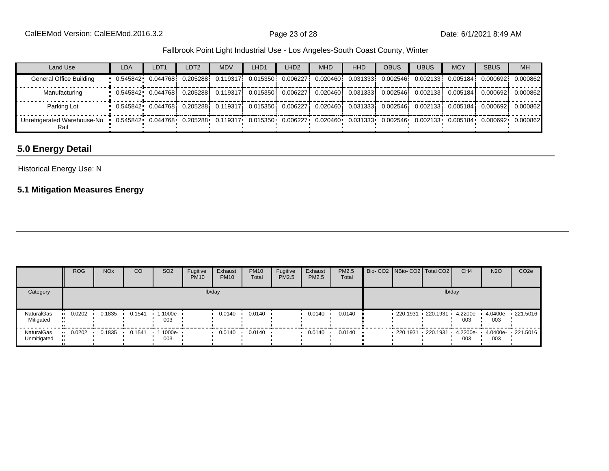| Land Use                                                                                                                                                 | <b>LDA</b>                                                                                                                | LDT <sub>1</sub> | LDT <sub>2</sub> | <b>MDV</b> | LHD <sub>1</sub> | LHD <sub>2</sub> | <b>MHD</b> | <b>HHD</b> | <b>OBUS</b> | <b>UBUS</b> | <b>MCY</b> | <b>SBUS</b> | <b>MH</b> |
|----------------------------------------------------------------------------------------------------------------------------------------------------------|---------------------------------------------------------------------------------------------------------------------------|------------------|------------------|------------|------------------|------------------|------------|------------|-------------|-------------|------------|-------------|-----------|
| General Office Building                                                                                                                                  | $\,$ 0.545842 0.044768 0.205288 0.119317 0.015350 0.006227 0.020460 0.031333 0.002546 0.002133 0.005184                   |                  |                  |            |                  |                  |            |            |             |             |            | 0.0006921   | 0.000862  |
| Manufacturing                                                                                                                                            | $-0.545842 - 0.044768$ 0.205288 0.119317 0.015350 0.006227 0.020460 0.031333 0.002546 0.002133 0.005184 0.000692          |                  |                  |            |                  |                  |            |            |             |             |            |             | 0.000862  |
| Parking Lot                                                                                                                                              | $\frac{1}{2}$ 0.545842 0.044768 0.205288 0.119317 0.015350 0.006227 0.020460 0.031333 0.002546 0.002133 0.005184 0.000692 |                  |                  |            |                  |                  |            |            |             |             |            |             | 0.000862  |
| Unrefrigerated Warehouse-No 0.545842 0.044768 0.205288 0.119317 0.015350 0.006227 0.020460 0.031333 0.002546 0.002133 0.005184 0.000692 0.000862<br>Rail |                                                                                                                           |                  |                  |            |                  |                  |            |            |             |             |            |             |           |

# **5.0 Energy Detail**

## Historical Energy Use: N

## **5.1 Mitigation Measures Energy**

|                                | <b>ROG</b> | <b>NO<sub>x</sub></b> | <sub>CO</sub> | SO <sub>2</sub>                 | Fugitive<br><b>PM10</b> | Exhaust<br><b>PM10</b> | <b>PM10</b><br>Total | Fugitive<br>PM2.5 | Exhaust<br><b>PM2.5</b> | <b>PM2.5</b><br>Total |  | Bio- CO2 NBio- CO2 Total CO2 | CH <sub>4</sub> | <b>N2O</b>      | CO <sub>2</sub> e                          |
|--------------------------------|------------|-----------------------|---------------|---------------------------------|-------------------------|------------------------|----------------------|-------------------|-------------------------|-----------------------|--|------------------------------|-----------------|-----------------|--------------------------------------------|
| Category                       |            |                       |               |                                 |                         | lb/day                 |                      |                   |                         |                       |  | lb/day                       |                 |                 |                                            |
| <b>NaturalGas</b><br>Mitigated | 0.0202     | 0.1835                | 0.1541        | $1.1000e -$<br>003              |                         | 0.0140                 | 0.0140               |                   | 0.0140                  | 0.0140                |  | 220.1931 220.1931            | 4.2200e-<br>003 | 4.0400e-<br>003 | $\cdot$ 221.5016                           |
| NaturalGas<br>Unmitigated      | 0.0202     | 0.1835                | 0.1541        | $\cdot$ 1.1000e- $\cdot$<br>003 |                         | 0.0140                 | 0.0140               |                   | 0.0140                  | 0.0140                |  |                              | 003             | 003             | 220.1931 220.1931 4.2200e 4.0400e 221.5016 |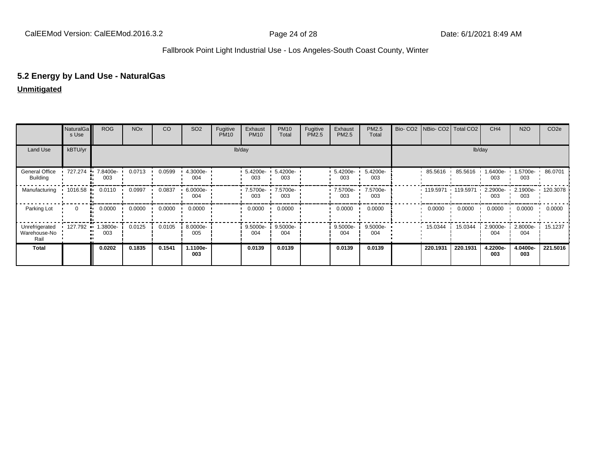## **5.2 Energy by Land Use - NaturalGas**

## **Unmitigated**

|                                        | NaturalGa<br>s Use | <b>ROG</b>         | <b>NO<sub>x</sub></b> | CO     | SO <sub>2</sub> | Fugitive<br><b>PM10</b> | Exhaust<br><b>PM10</b> | <b>PM10</b><br>Total | Fugitive<br>PM2.5 | Exhaust<br>PM2.5 | PM2.5<br>Total  |          | Bio- CO2 NBio- CO2 Total CO2 | CH <sub>4</sub> | <b>N2O</b>                | CO <sub>2e</sub>  |
|----------------------------------------|--------------------|--------------------|-----------------------|--------|-----------------|-------------------------|------------------------|----------------------|-------------------|------------------|-----------------|----------|------------------------------|-----------------|---------------------------|-------------------|
| Land Use                               | kBTU/yr            |                    |                       |        |                 |                         | lb/day                 |                      |                   |                  |                 |          |                              | lb/day          |                           |                   |
| General Office<br>Building             | 727.274            | 7.8400e-<br>003    | 0.0713                | 0.0599 | 4.3000e-<br>004 |                         | 5.4200e-<br>003        | 5.4200e-<br>003      |                   | 5.4200e-<br>003  | 5.4200e-<br>003 | 85.5616  | 85.5616                      | 1.6400e-<br>003 | 1.5700e- 1 86.0701<br>003 |                   |
| Manufacturing                          | 1016.58            | 0.0110             | 0.0997                | 0.0837 | 6.0000e-<br>004 |                         | 7.5700e-<br>003        | 7.5700e-<br>003      |                   | 7.5700e-<br>003  | 7.5700e-<br>003 | 119.5971 | 119.5971                     | 2.2900e-<br>003 | 003                       | 2.1900e- 120.3078 |
| Parking Lot                            | $\Omega$           | 0.0000<br>٠.       | 0.0000                | 0.0000 | 0.0000          |                         | 0.0000                 | 0.0000               |                   | 0.0000           | 0.0000          | 0.0000   | 0.0000                       | 0.0000          | 0.0000                    | 0.0000            |
| Unrefrigerated<br>Warehouse-No<br>Rail | 127.792            | .3800e-<br><br>003 | 0.0125                | 0.0105 | 8.0000e-<br>005 |                         | 9.5000e-<br>004        | 9.5000e-<br>004      |                   | 9.5000e-<br>004  | 9.5000e-<br>004 | 15.0344  | 15.0344                      | 2.9000e-<br>004 | 2.8000e-<br>004           | 15.1237           |
| <b>Total</b>                           |                    | 0.0202             | 0.1835                | 0.1541 | 1.1100e-<br>003 |                         | 0.0139                 | 0.0139               |                   | 0.0139           | 0.0139          | 220.1931 | 220.1931                     | 4.2200e-<br>003 | 4.0400e-<br>003           | 221.5016          |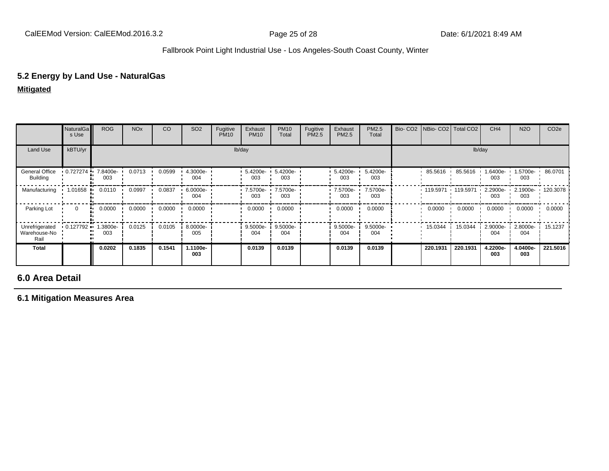## **5.2 Energy by Land Use - NaturalGas**

**Mitigated**

|                                        | NaturalGa<br>s Use        | <b>ROG</b>      | <b>NO<sub>x</sub></b> | CO     | SO <sub>2</sub> | Fugitive<br><b>PM10</b> | Exhaust<br><b>PM10</b> | <b>PM10</b><br>Total | Fugitive<br>PM2.5 | Exhaust<br>PM2.5  | PM2.5<br>Total  | Bio- CO2   NBio- CO2   Total CO2 |          | CH <sub>4</sub> | <b>N2O</b>                            | CO <sub>2e</sub> |
|----------------------------------------|---------------------------|-----------------|-----------------------|--------|-----------------|-------------------------|------------------------|----------------------|-------------------|-------------------|-----------------|----------------------------------|----------|-----------------|---------------------------------------|------------------|
| Land Use                               | kBTU/yr                   |                 |                       |        |                 |                         | lb/day                 |                      |                   |                   |                 |                                  |          | lb/day          |                                       |                  |
| General Office<br>Building             | $0.727274$ $\blacksquare$ | 7.8400e-<br>003 | 0.0713                | 0.0599 | 4.3000e-<br>004 |                         | 5.4200e-<br>003        | 5.4200e-<br>003      |                   | 5.4200e-<br>003   | 5.4200e-<br>003 | 85.5616                          | 85.5616  | -6400e-<br>003  | 1.5700e-<br>003                       | 86.0701          |
| Manufacturing                          | $1.01658$ .               | 0.0110          | 0.0997                | 0.0837 | 6.0000e-<br>004 |                         | 7.5700e- ·<br>003      | 7.5700e-<br>003      |                   | 7.5700e- '<br>003 | 7.5700e-<br>003 | 119.5971 119.5971                |          | 003             | 2.2900e- 1 2.1900e- 1 120.3078<br>003 |                  |
| Parking Lot                            | $\Omega$                  | 0.0000<br>м.    | 0.0000                | 0.0000 | 0.0000          |                         | 0.0000                 | 0.0000               |                   | 0.0000            | 0.0000          | 0.0000                           | 0.0000   | 0.0000          | 0.0000                                | 0.0000           |
| Unrefrigerated<br>Warehouse-No<br>Rail | $0.127792$ $\bullet$      | .3800e-<br>003  | 0.0125                | 0.0105 | 8.0000e-<br>005 |                         | 9.5000e-<br>004        | 9.5000e-<br>004      |                   | 9.5000e-<br>004   | 9.5000e-<br>004 | 15.0344                          | 15.0344  | 2.9000e-<br>004 | 2.8000e-<br>004                       | 15.1237          |
| <b>Total</b>                           |                           | 0.0202          | 0.1835                | 0.1541 | 1.1100e-<br>003 |                         | 0.0139                 | 0.0139               |                   | 0.0139            | 0.0139          | 220.1931                         | 220.1931 | 4.2200e-<br>003 | 4.0400e-<br>003                       | 221.5016         |

# **6.0 Area Detail**

**6.1 Mitigation Measures Area**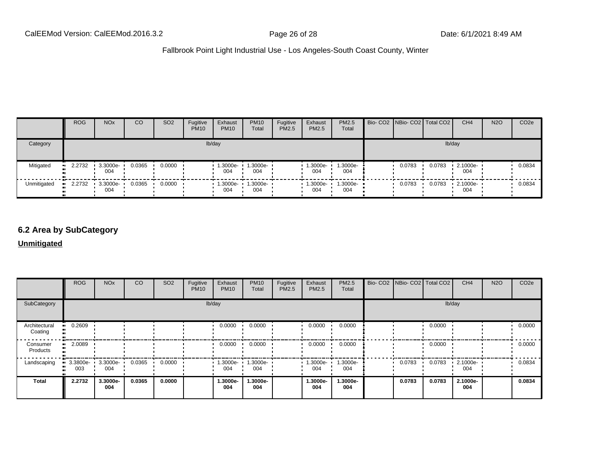|             | <b>ROG</b> | NO <sub>x</sub>                 | CO     | SO <sub>2</sub> | Fugitive<br><b>PM10</b> | Exhaust<br><b>PM10</b>     | <b>PM10</b><br>Total | Fugitive<br>PM2.5 | Exhaust<br><b>PM2.5</b> | <b>PM2.5</b><br>Total | Bio- CO2   NBio- CO2   Total CO2 |        | CH <sub>4</sub> | <b>N2O</b> | CO <sub>2</sub> e |
|-------------|------------|---------------------------------|--------|-----------------|-------------------------|----------------------------|----------------------|-------------------|-------------------------|-----------------------|----------------------------------|--------|-----------------|------------|-------------------|
| Category    |            |                                 |        |                 |                         | lb/day                     |                      |                   |                         |                       |                                  |        | lb/day          |            |                   |
| Mitigated   | $-2.2732$  | 3.3000e-<br>004                 | 0.0365 | 0.0000          |                         | 1.3000e-<br>004            | 1.3000e-<br>004      |                   | $-1.3000e-$<br>004      | 1.3000e-<br>004       | 0.0783                           | 0.0783 | 2.1000e-<br>004 |            | 0.0834            |
| Unmitigated | $-2.2732$  | $\cdot$ 3.3000e- $\cdot$<br>004 | 0.0365 | 0.0000          |                         | $1.3000e - 1.3000e$<br>004 | 004                  |                   | $-1.3000e -$<br>004     | $1.3000e -$<br>004    | 0.0783                           | 0.0783 | 2.1000e-<br>004 |            | 0.0834            |

# **6.2 Area by SubCategory**

## **Unmitigated**

|                          | <b>ROG</b>                           | <b>NO<sub>x</sub></b> | CO     | <b>SO2</b> | Fugitive<br><b>PM10</b> | Exhaust<br><b>PM10</b> | <b>PM10</b><br>Total     | Fugitive<br>PM2.5 | Exhaust<br><b>PM2.5</b> | PM2.5<br>Total  | Bio- CO2   NBio- CO2   Total CO2 |        | CH <sub>4</sub> | <b>N2O</b> | CO <sub>2e</sub> |
|--------------------------|--------------------------------------|-----------------------|--------|------------|-------------------------|------------------------|--------------------------|-------------------|-------------------------|-----------------|----------------------------------|--------|-----------------|------------|------------------|
| SubCategory              |                                      |                       |        |            |                         | lb/day                 |                          |                   |                         |                 |                                  |        | lb/day          |            |                  |
| Architectural<br>Coating | $-0.2609$                            |                       |        |            |                         | 0.0000                 | 0.0000                   |                   | 0.0000                  | 0.0000          |                                  | 0.0000 |                 |            | 0.0000           |
| Consumer<br>Products     | $-2.0089$                            |                       |        |            |                         | 0.0000                 | 0.0000                   |                   | 0.0000                  | 0.0000          |                                  | 0.0000 |                 |            | 0.0000           |
| Landscaping              | $\bullet$ 3.3800e- 3.3000e- 1<br>003 | 004                   | 0.0365 | 0.0000     |                         | 004                    | 1.3000e- 1.3000e-<br>004 |                   | $1.3000e -$<br>004      | 1.3000e-<br>004 | 0.0783                           | 0.0783 | 2.1000e-<br>004 |            | 0.0834           |
| <b>Total</b>             | 2.2732                               | 3.3000e-<br>004       | 0.0365 | 0.0000     |                         | 1.3000e-<br>004        | 1.3000e-<br>004          |                   | 1.3000e-<br>004         | 1.3000e-<br>004 | 0.0783                           | 0.0783 | 2.1000e-<br>004 |            | 0.0834           |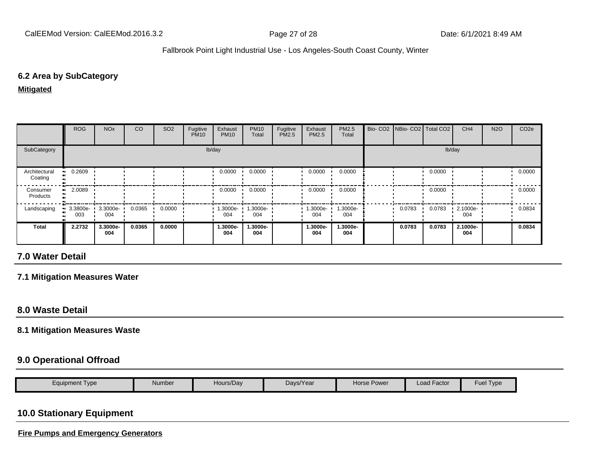## **6.2 Area by SubCategory**

**Mitigated**

|                          | <b>ROG</b>                     | <b>NO<sub>x</sub></b> | CO     | SO <sub>2</sub> | Fugitive<br><b>PM10</b> | Exhaust<br><b>PM10</b> | <b>PM10</b><br>Total | Fugitive<br>PM2.5 | Exhaust<br><b>PM2.5</b> | PM2.5<br>Total  | Bio- CO2   NBio- CO2   Total CO2 |        | CH <sub>4</sub> | <b>N2O</b> | CO <sub>2e</sub> |
|--------------------------|--------------------------------|-----------------------|--------|-----------------|-------------------------|------------------------|----------------------|-------------------|-------------------------|-----------------|----------------------------------|--------|-----------------|------------|------------------|
| SubCategory              |                                |                       |        |                 |                         | lb/day                 |                      |                   |                         |                 |                                  |        | lb/day          |            |                  |
| Architectural<br>Coating | $-0.2609$                      |                       |        |                 |                         | 0.0000                 | 0.0000               |                   | 0.0000                  | 0.0000          |                                  | 0.0000 |                 |            | 0.0000           |
| Consumer<br>Products     | 2.0089                         |                       |        |                 |                         | 0.0000                 | 0.0000               |                   | 0.0000                  | 0.0000          |                                  | 0.0000 |                 |            | 0.0000           |
| Landscaping              | $\blacksquare$ 3.3800e-<br>003 | 3.3000e-<br>004       | 0.0365 | 0.0000          |                         | 1.3000e-<br>004        | .3000e-<br>004       |                   | 1.3000e-<br>004         | 1.3000e-<br>004 | 0.0783                           | 0.0783 | 2.1000e-<br>004 |            | 0.0834           |
| Total                    | 2.2732                         | 3.3000e-<br>004       | 0.0365 | 0.0000          |                         | 1.3000e-<br>004        | 1.3000e-<br>004      |                   | 1.3000e-<br>004         | 1.3000e-<br>004 | 0.0783                           | 0.0783 | 2.1000e-<br>004 |            | 0.0834           |

# **7.0 Water Detail**

**7.1 Mitigation Measures Water**

## **8.0 Waste Detail**

#### **8.1 Mitigation Measures Waste**

## **9.0 Operational Offroad**

| Equipment Type | Hours/Day<br>Number | Days/Year | Horse Power | Load Factor | $\overline{\phantom{0}}$<br>--<br>Fuel<br>I ype |
|----------------|---------------------|-----------|-------------|-------------|-------------------------------------------------|
|----------------|---------------------|-----------|-------------|-------------|-------------------------------------------------|

# **10.0 Stationary Equipment**

**Fire Pumps and Emergency Generators**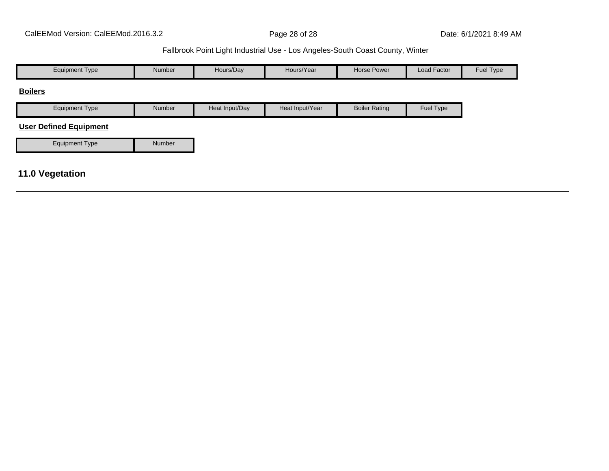| <b>Equipment Type</b>         | Number | Hours/Day      | Hours/Year      | <b>Horse Power</b>   | Load Factor | Fuel Type |
|-------------------------------|--------|----------------|-----------------|----------------------|-------------|-----------|
| <b>Boilers</b>                |        |                |                 |                      |             |           |
| <b>Equipment Type</b>         | Number | Heat Input/Day | Heat Input/Year | <b>Boiler Rating</b> | Fuel Type   |           |
| <b>User Defined Equipment</b> |        |                |                 |                      |             |           |
| <b>Equipment Type</b>         | Number |                |                 |                      |             |           |
|                               |        |                |                 |                      |             |           |
| 11.0 Vegetation               |        |                |                 |                      |             |           |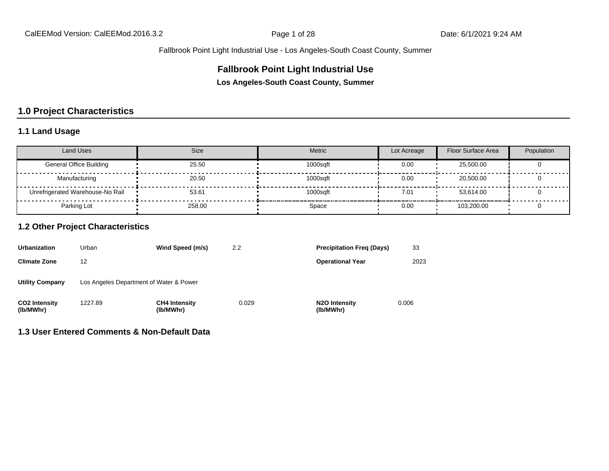## **Fallbrook Point Light Industrial Use**

**Los Angeles-South Coast County, Summer**

# **1.0 Project Characteristics**

## **1.1 Land Usage**

| <b>Land Uses</b>                 | <b>Size</b> | Metric   | Lot Acreage | <b>Floor Surface Area</b> | Population |
|----------------------------------|-------------|----------|-------------|---------------------------|------------|
| <b>General Office Building</b>   | 25.50       | 1000sqft | 0.00        | 25,500.00                 |            |
| Manufacturing                    | 20.50       | 1000sqft | 0.00        | 20,500.00                 |            |
| Unrefrigerated Warehouse-No Rail | 53.61       | 1000saft | 7.01        | 53.614.00                 |            |
| Parking Lot                      | 258.00      | Space    | 0.00        | 103.200.00                |            |

## **1.2 Other Project Characteristics**

| <b>Urbanization</b>               | Urban                                   | Wind Speed (m/s)                  | 2.2   | <b>Precipitation Freg (Days)</b>        | 33    |
|-----------------------------------|-----------------------------------------|-----------------------------------|-------|-----------------------------------------|-------|
| <b>Climate Zone</b>               | 12                                      |                                   |       | <b>Operational Year</b>                 | 2023  |
| <b>Utility Company</b>            | Los Angeles Department of Water & Power |                                   |       |                                         |       |
| <b>CO2 Intensity</b><br>(lb/MWhr) | 1227.89                                 | <b>CH4 Intensity</b><br>(lb/MWhr) | 0.029 | N <sub>2</sub> O Intensity<br>(lb/MWhr) | 0.006 |

#### **1.3 User Entered Comments & Non-Default Data**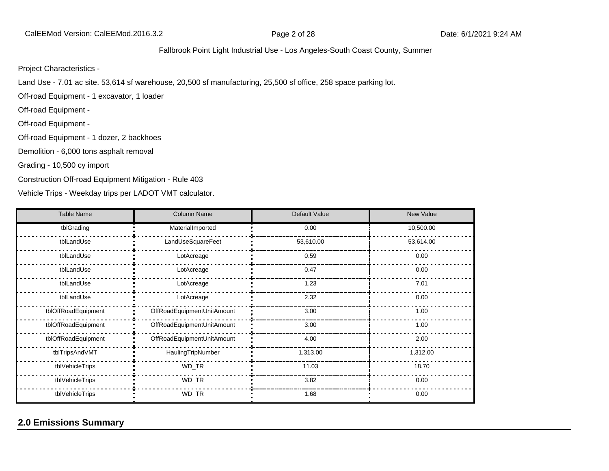#### Project Characteristics -

Land Use - 7.01 ac site. 53,614 sf warehouse, 20,500 sf manufacturing, 25,500 sf office, 258 space parking lot.

Off-road Equipment - 1 excavator, 1 loader

Off-road Equipment -

Off-road Equipment -

Off-road Equipment - 1 dozer, 2 backhoes

Demolition - 6,000 tons asphalt removal

Grading - 10,500 cy import

Construction Off-road Equipment Mitigation - Rule 403

Vehicle Trips - Weekday trips per LADOT VMT calculator.

| <b>Table Name</b>   | <b>Column Name</b>         | Default Value | <b>New Value</b> |
|---------------------|----------------------------|---------------|------------------|
| tblGrading          | MaterialImported           | 0.00          | 10,500.00        |
| tblLandUse          | LandUseSquareFeet          | 53,610.00     | 53,614.00        |
| tblLandUse          | LotAcreage                 | 0.59          | 0.00             |
| tblLandUse          | LotAcreage                 | 0.47          | 0.00             |
| tblLandUse          | LotAcreage                 | 1.23          | 7.01             |
| tblLandUse          | LotAcreage                 | 2.32          | 0.00             |
| tblOffRoadEquipment | OffRoadEquipmentUnitAmount | 3.00          | 1.00             |
| tblOffRoadEquipment | OffRoadEquipmentUnitAmount | 3.00          | 1.00             |
| tblOffRoadEquipment | OffRoadEquipmentUnitAmount | 4.00          | 2.00             |
| tblTripsAndVMT      | HaulingTripNumber          | 1,313.00      | 1,312.00         |
| tblVehicleTrips     | WD_TR                      | 11.03         | 18.70            |
| tblVehicleTrips     | WD_TR                      | 3.82          | 0.00             |
| tblVehicleTrips     | WD_TR                      | 1.68          | 0.00             |

# **2.0 Emissions Summary**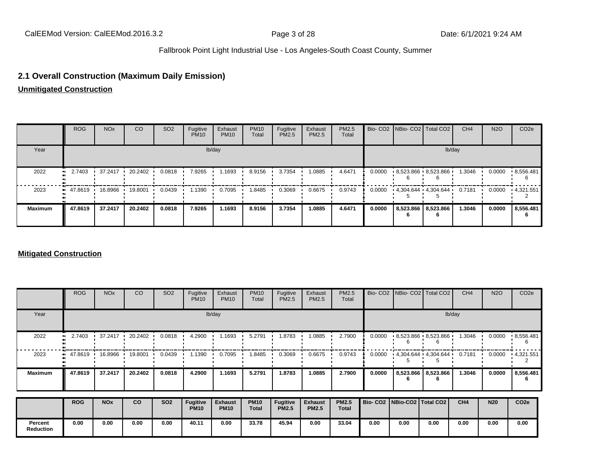## **2.1 Overall Construction (Maximum Daily Emission)**

**Unmitigated Construction**

|                | <b>ROG</b>                            | <b>NO<sub>x</sub></b> | CO      | SO <sub>2</sub> | Fugitive<br><b>PM10</b> | Exhaust<br><b>PM10</b> | <b>PM10</b><br>Total | Fugitive<br>PM2.5 | Exhaust<br>PM2.5 | PM2.5<br>Total |        |                          | Bio- CO2   NBio- CO2   Total CO2 | CH <sub>4</sub> | <b>N2O</b> | CO <sub>2e</sub> |
|----------------|---------------------------------------|-----------------------|---------|-----------------|-------------------------|------------------------|----------------------|-------------------|------------------|----------------|--------|--------------------------|----------------------------------|-----------------|------------|------------------|
| Year           |                                       |                       |         |                 |                         | lb/day                 |                      |                   |                  |                |        |                          |                                  | lb/day          |            |                  |
| 2022           | 2.7403                                | 37.2417               | 20.2402 | 0.0818          | 7.9265                  | 1.1693                 | 8.9156               | 3.7354            | 1.0885           | 4.6471         | 0.0000 |                          | $-8,523.866$ $-8,523.866$        | 1.3046          | 0.0000     | .8,556.481       |
| 2023           | $\blacksquare$ 47.8619 $\blacksquare$ | 16.8966               | 19.8001 | 0.0439          | 1.1390                  | 0.7095                 | 8485. ا              | 0.3069            | 0.6675           | 0.9743         | 0.0000 |                          | $4,304.644$ $4,304.644$          | 0.7181          | 0.0000     | .4.321.551       |
| <b>Maximum</b> | 47.8619                               | 37.2417               | 20.2402 | 0.0818          | 7.9265                  | 1.1693                 | 8.9156               | 3.7354            | 1.0885           | 4.6471         | 0.0000 | 8,523.866 8,523.866<br>6 |                                  | 1.3046          | 0.0000     | 8,556.481<br>b   |

#### **Mitigated Construction**

|                             | <b>ROG</b> | <b>NO<sub>x</sub></b> | CO      | SO <sub>2</sub> | Fugitive<br><b>PM10</b>        | Exhaust<br><b>PM10</b>        | <b>PM10</b><br>Total        | Fugitive<br>PM2.5        | Exhaust<br><b>PM2.5</b>        | PM2.5<br>Total               |        | Bio- CO2 NBio- CO2 Total CO2    |                         | CH <sub>4</sub> | <b>N2O</b> | CO <sub>2e</sub> |
|-----------------------------|------------|-----------------------|---------|-----------------|--------------------------------|-------------------------------|-----------------------------|--------------------------|--------------------------------|------------------------------|--------|---------------------------------|-------------------------|-----------------|------------|------------------|
| Year                        |            |                       |         |                 |                                | lb/day                        |                             |                          |                                |                              |        |                                 |                         | lb/day          |            |                  |
| 2022                        | 2.7403     | 37.2417               | 20.2402 | 0.0818          | 4.2900                         | 1.1693                        | 5.2791                      | .8783                    | 1.0885                         | 2.7900                       | 0.0000 |                                 | $8,523.866$ $8,523.866$ | 1.3046          | 0.0000     | .8,556.481<br>6  |
| 2023                        | 47.8619    | 16.8966               | 19.8001 | 0.0439          | 1.1390                         | 0.7095                        | .8485                       | 0.3069                   | 0.6675                         | 0.9743                       | 0.0000 | $14,304.644$ $14,304.644$       |                         | 0.7181          | 0.0000     | .4,321.551       |
| <b>Maximum</b>              | 47.8619    | 37.2417               | 20.2402 | 0.0818          | 4.2900                         | 1.1693                        | 5.2791                      | 1.8783                   | 1.0885                         | 2.7900                       | 0.0000 | 6                               | 8,523.866   8,523.866   | 1.3046          | 0.0000     | 8,556.481<br>6   |
|                             | <b>ROG</b> | <b>NO<sub>x</sub></b> | co      | <b>SO2</b>      | <b>Fugitive</b><br><b>PM10</b> | <b>Exhaust</b><br><b>PM10</b> | <b>PM10</b><br><b>Total</b> | Fugitive<br><b>PM2.5</b> | <b>Exhaust</b><br><b>PM2.5</b> | <b>PM2.5</b><br><b>Total</b> |        | Bio- CO2   NBio-CO2   Total CO2 |                         | CH <sub>4</sub> | <b>N20</b> | CO <sub>2e</sub> |
| Percent<br><b>Reduction</b> | 0.00       | 0.00                  | 0.00    | 0.00            | 40.11                          | 0.00                          | 33.78                       | 45.94                    | 0.00                           | 33.04                        | 0.00   | 0.00                            | 0.00                    | 0.00            | 0.00       | 0.00             |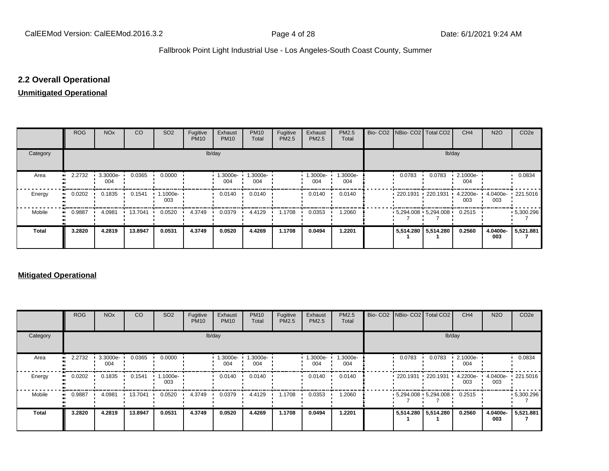# **2.2 Overall Operational**

#### **Unmitigated Operational**

|            | <b>ROG</b> | <b>NO<sub>x</sub></b> | CO      | SO <sub>2</sub>    | Fugitive<br><b>PM10</b> | Exhaust<br><b>PM10</b> | <b>PM10</b><br>Total | Fugitive<br>PM2.5 | Exhaust<br>PM2.5 | PM2.5<br>Total  |                                   | Bio- CO2   NBio- CO2   Total CO2            | CH <sub>4</sub> | <b>N2O</b>      | CO <sub>2</sub> e |
|------------|------------|-----------------------|---------|--------------------|-------------------------|------------------------|----------------------|-------------------|------------------|-----------------|-----------------------------------|---------------------------------------------|-----------------|-----------------|-------------------|
| Category   |            |                       |         |                    | lb/day                  |                        |                      |                   |                  |                 |                                   | lb/day                                      |                 |                 |                   |
| Area       | 2.2732<br> | 3.3000e-<br>004       | 0.0365  | 0.0000             |                         | 1.3000e-<br>004        | 1.3000e-<br>004      |                   | -.3000e<br>004   | 1.3000e-<br>004 | 0.0783                            | 0.0783                                      | 2.1000e-<br>004 |                 | 0.0834            |
| Energy<br> | 0.0202     | 0.1835                | 0.1541  | $-1.1000e-$<br>003 |                         | 0.0140                 | 0.0140               |                   | 0.0140           | 0.0140          | $\cdot$ 220.1931 $\cdot$ 220.1931 |                                             | 4.2200e-<br>003 | 003             | 4.0400e- 221.5016 |
| Mobile     | 0.9887<br> | 4.0981                | 13.7041 | 0.0520             | 4.3749                  | 0.0379                 | 4.4129               | 1.1708            | 0.0353           | 1.2060          |                                   | $\cdot$ 5,294.008 $\cdot$ 5,294.008 $\cdot$ | 0.2515          |                 | $-5,300.296$      |
| Total      | 3.2820     | 4.2819                | 13.8947 | 0.0531             | 4.3749                  | 0.0520                 | 4.4269               | 1.1708            | 0.0494           | 1.2201          |                                   | 5,514.280   5,514.280                       | 0.2560          | 4.0400e-<br>003 | 5,521.881         |

#### **Mitigated Operational**

|              | <b>ROG</b> | <b>NO<sub>x</sub></b>   | CO      | SO <sub>2</sub> | Fugitive<br><b>PM10</b> | Exhaust<br><b>PM10</b> | <b>PM10</b><br>Total | Fugitive<br>PM2.5 | Exhaust<br><b>PM2.5</b> | PM2.5<br>Total  |                          | Bio- CO2 NBio- CO2 Total CO2                | CH <sub>4</sub> | <b>N2O</b>      | CO <sub>2e</sub> |
|--------------|------------|-------------------------|---------|-----------------|-------------------------|------------------------|----------------------|-------------------|-------------------------|-----------------|--------------------------|---------------------------------------------|-----------------|-----------------|------------------|
| Category     |            |                         |         |                 |                         | lb/day                 |                      |                   |                         |                 |                          | lb/day                                      |                 |                 |                  |
| Area         | 2.2732     | $\cdot$ 3.3000e-<br>004 | 0.0365  | 0.0000          |                         | 1.3000e-<br>004        | 1.3000e-<br>004      |                   | 1.3000e-<br>004         | 1.3000e-<br>004 | 0.0783                   | 0.0783                                      | 2.1000e-<br>004 |                 | 0.0834           |
| Energy       | 0.0202     | 0.1835                  | 0.1541  | 1.1000e-<br>003 |                         | 0.0140                 | 0.0140               |                   | 0.0140                  | 0.0140          | $\cdot$ 220.1931 $\cdot$ | 220.1931                                    | 4.2200e-<br>003 | 4.0400e-<br>003 | $\cdot$ 221.5016 |
| Mobile       | 0.9887     | 4.0981                  | 13.7041 | 0.0520          | 4.3749                  | 0.0379                 | 4.4129               | 1.1708            | 0.0353                  | 1.2060          |                          | $\cdot$ 5,294.008 $\cdot$ 5,294.008 $\cdot$ | 0.2515          |                 | $-5,300.296$     |
| <b>Total</b> | 3.2820     | 4.2819                  | 13.8947 | 0.0531          | 4.3749                  | 0.0520                 | 4.4269               | 1.1708            | 0.0494                  | 1.2201          | 5,514.280 5,514.280      |                                             | 0.2560          | 4.0400e-<br>003 | 5,521.881        |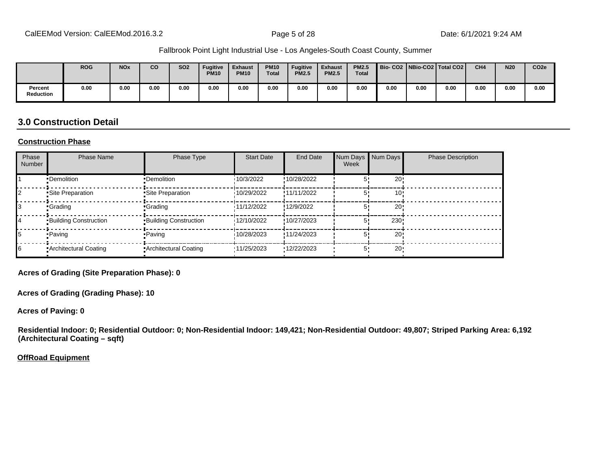|                      | <b>ROG</b> | <b>NO<sub>x</sub></b> | <b>CO</b> | <b>SO2</b> | <b>Fugitive</b><br><b>PM10</b> | <b>Exhaust</b><br><b>PM10</b> | <b>PM10</b><br><b>Total</b> | <b>Fugitive</b><br><b>PM2.5</b> | <b>Exhaust</b><br><b>PM2.5</b> | <b>PM2.5</b><br><b>Total</b> | Bio-CO2   NBio-CO2   Total CO2 |      |      | CH <sub>4</sub> | <b>N20</b> | CO <sub>2e</sub> |
|----------------------|------------|-----------------------|-----------|------------|--------------------------------|-------------------------------|-----------------------------|---------------------------------|--------------------------------|------------------------------|--------------------------------|------|------|-----------------|------------|------------------|
| Percent<br>Reduction | 0.00       | 0.00                  | 0.00      | 0.00       | 0.00                           | 0.00                          | 0.00                        | 0.00                            | 0.00                           | 0.00                         | 0.00                           | 0.00 | 0.00 | 0.00            | 0.00       | 0.00             |

## **3.0 Construction Detail**

#### **Construction Phase**

| Phase<br>Number | <b>Phase Name</b>            | Phase Type                   | <b>Start Date</b> | <b>End Date</b> | Num Days<br>Week | Num Days        | <b>Phase Description</b> |
|-----------------|------------------------------|------------------------------|-------------------|-----------------|------------------|-----------------|--------------------------|
|                 | •Demolition                  | •Demolition                  | 10/3/2022         | !10/28/2022     |                  | 20              |                          |
|                 | Site Preparation             | Site Preparation             | 10/29/2022        | !11/11/2022     |                  | 10              |                          |
|                 | <b>Crading</b>               | <b>Crading</b>               | 11/12/2022        | !12/9/2022      |                  | 20              |                          |
| 14              | <b>Building Construction</b> | <b>Building Construction</b> | 12/10/2022        | !10/27/2023     |                  | 230             |                          |
|                 | • Paving                     | • Paving                     | 10/28/2023        | !11/24/2023     | 5'               | 20 <sub>1</sub> |                          |
| 16              | • Architectural Coating      | • Architectural Coating      | '11/25/2023       | '12/22/2023     | 5.               | $20 -$          |                          |

**Acres of Grading (Site Preparation Phase): 0**

**Acres of Grading (Grading Phase): 10**

**Acres of Paving: 0**

**Residential Indoor: 0; Residential Outdoor: 0; Non-Residential Indoor: 149,421; Non-Residential Outdoor: 49,807; Striped Parking Area: 6,192 (Architectural Coating – sqft)**

**OffRoad Equipment**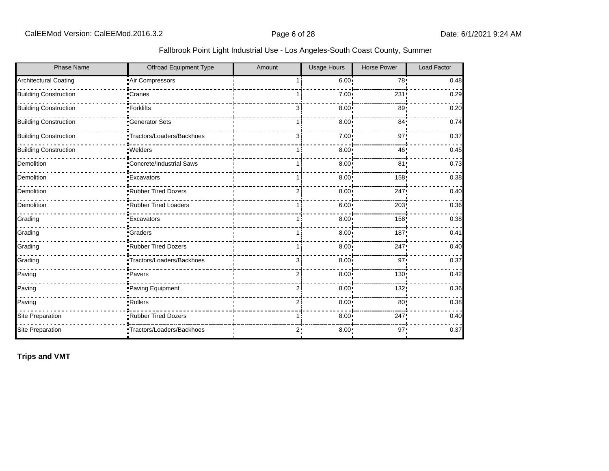| <b>Phase Name</b>            | Offroad Equipment Type     | Amount | <b>Usage Hours</b> | <b>Horse Power</b> | Load Factor |
|------------------------------|----------------------------|--------|--------------------|--------------------|-------------|
| <b>Architectural Coating</b> | Air Compressors            |        | 6.00 <sup>1</sup>  | 78!                | 0.48        |
| <b>Building Construction</b> | •Cranes                    |        | 7.00               | 231                | 0.29        |
| <b>Building Construction</b> | •Forklifts                 | З.     | 8.00               | 89 <sub>1</sub>    | 0.20        |
| <b>Building Construction</b> | <b>Generator Sets</b>      |        | 8.00               | 84 <sub>1</sub>    | 0.74        |
| <b>Building Construction</b> | *Tractors/Loaders/Backhoes | 3i     | 7.00               | 97'                | 0.37        |
| <b>Building Construction</b> | ·Welders                   | 1 :    | 8.00               | 46                 | 0.45        |
| Demolition                   | Concrete/Industrial Saws   |        | 8.00 <sub>1</sub>  | 81                 | 0.73        |
| Demolition                   | <b>Excavators</b>          |        | 8.00               | 158                | 0.38        |
| Demolition                   | Rubber Tired Dozers        | 2i     | 8.00               | 247!               | 0.40        |
| Demolition                   | Rubber Tired Loaders       |        | 6.00               | 203                | 0.36        |
| Grading                      | <b>Excavators</b>          |        | 8.00               | 158                | 0.38        |
| Grading                      | •Graders                   | 1 i    | 8.00               | 187                | 0.41        |
| Grading                      | .Rubber Tired Dozers       | 1 i    | 8.00               | 247                | 0.40        |
| Grading                      | ·Tractors/Loaders/Backhoes | зi     | 8.00               | 97                 | 0.37        |
| Paving                       | • Pavers                   | 2i     | 8.00               | 130!               | 0.42        |
| Paving                       | Paving Equipment           | 2i     | 8.00               | 132;               | 0.36        |
| Paving                       | • Rollers                  | 2i     | 8.00               | 80 <sub>1</sub>    | 0.38        |
| Site Preparation             | Rubber Tired Dozers        |        | 8.00               | 247                | 0.40        |
| Site Preparation             | •Tractors/Loaders/Backhoes | 2:     | 8.00               | 97:                | 0.37        |

**Trips and VMT**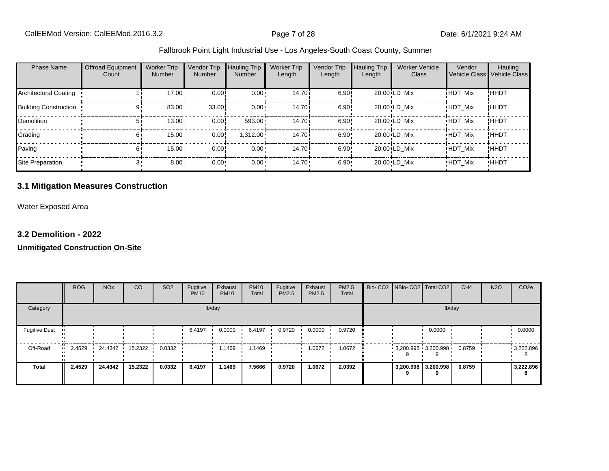| <b>Phase Name</b>            | <b>Offroad Equipment</b><br>Count | <b>Worker Trip</b><br><b>Number</b> | Vendor Trip<br><b>Number</b> | Hauling Trip<br>Number | <b>Worker Trip</b><br>Length | Vendor Trip<br>Length | <b>Hauling Trip</b><br>Length | <b>Worker Vehicle</b><br>Class | Vendor<br>Vehicle Class | Hauling<br><b>Vehicle Class</b> |
|------------------------------|-----------------------------------|-------------------------------------|------------------------------|------------------------|------------------------------|-----------------------|-------------------------------|--------------------------------|-------------------------|---------------------------------|
| Architectural Coating        |                                   | $17.00 \cdot$                       | 0.00                         | $0.00 \cdot$           | 14.70 <sup>i</sup>           | 6.90!                 |                               | 20.00 LD Mix                   | <b>HDT Mix</b>          | !HHDT                           |
| <b>Building Construction</b> |                                   | 83.00                               | 33.00                        | $0.00 \cdot$           | 14.70 <sup>i</sup>           | 6.90!                 |                               | 20.00 LD Mix                   | <b>HDT Mix</b>          | !HHDT                           |
| <b>Demolition</b>            | 51                                | 13.00                               | 0.00                         | 593.00                 | 14.70 <sup>i</sup>           | 6.90!                 |                               | 20.00 LD Mix                   | <b>HDT Mix</b>          | !HHDT                           |
| Grading                      | 61                                | 15.00                               | 0.00                         | $1,312.00 \cdot$       | 14.70 <sup>i</sup>           | 6.90!                 |                               | 20.00 LD Mix                   | <b>HDT Mix</b>          | !HHDT                           |
| Paving                       | 61                                | 15.00                               | 0.00                         | $0.00 \cdot$           | 14.70 <sup>i</sup>           | 6.90!                 |                               | 20.00 LD Mix                   | <b>HDT Mix</b>          | !HHDT                           |
| Site Preparation             |                                   | $8.00 -$                            | $0.00 -$                     | 0.00                   | $14.70 -$                    | $6.90 -$              |                               | 20.00 LD Mix                   | <b>HDT Mix</b>          | <b>HHDT</b>                     |

## **3.1 Mitigation Measures Construction**

Water Exposed Area

#### **3.2 Demolition - 2022**

|                              | <b>ROG</b> | <b>NO<sub>x</sub></b> | CO      | SO <sub>2</sub> | Fugitive<br><b>PM10</b> | Exhaust<br><b>PM10</b> | <b>PM10</b><br>Total | Fugitive<br><b>PM2.5</b> | Exhaust<br>PM2.5 | <b>PM2.5</b><br>Total |                     | Bio- CO2 NBio- CO2 Total CO2 | CH <sub>4</sub> | <b>N2O</b> | CO <sub>2e</sub> |
|------------------------------|------------|-----------------------|---------|-----------------|-------------------------|------------------------|----------------------|--------------------------|------------------|-----------------------|---------------------|------------------------------|-----------------|------------|------------------|
| Category                     | lb/day     |                       |         |                 |                         |                        |                      |                          |                  |                       | lb/day              |                              |                 |            |                  |
| <b>Fugitive Dust</b>         |            |                       |         |                 | 6.4197                  | 0.0000                 | 6.4197               | 0.9720                   | 0.0000           | 0.9720                |                     | 0.0000                       |                 |            | 0.0000           |
| Off-Road<br>$\bullet\bullet$ | 2.4529     | 24.4342               | 15.2322 | 0.0332          |                         | 1.1469                 | 1469ء                |                          | 1.0672           | 1.0672                |                     | $3,200.998$ 3,200.998        | 0.8759          |            | 9,222.896<br>8   |
| <b>Total</b>                 | 2.4529     | 24.4342               | 15.2322 | 0.0332          | 6.4197                  | 1.1469                 | 7.5666               | 0.9720                   | 1.0672           | 2.0392                | 3,200.998 3,200.998 |                              | 0.8759          |            | 3,222.896<br>8   |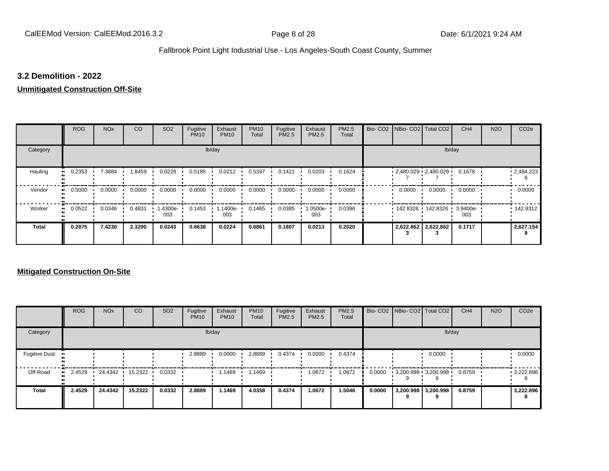#### **3.2 Demolition - 2022**

## **Unmitigated Construction Off-Site**

|                            | <b>ROG</b>                 | <b>NO<sub>x</sub></b> | CO     | SO <sub>2</sub> | Fugitive<br><b>PM10</b> | Exhaust<br><b>PM10</b> | <b>PM10</b><br>Total | Fugitive<br>PM2.5 | Exhaust<br>PM2.5 | PM2.5<br>Total |  | Bio- CO2 NBio- CO2 Total CO2 |                            | CH <sub>4</sub> | <b>N2O</b> | CO <sub>2e</sub> |
|----------------------------|----------------------------|-----------------------|--------|-----------------|-------------------------|------------------------|----------------------|-------------------|------------------|----------------|--|------------------------------|----------------------------|-----------------|------------|------------------|
| Category                   | lb/day                     |                       |        |                 |                         |                        |                      |                   |                  | lb/day         |  |                              |                            |                 |            |                  |
| Hauling<br>$\bullet$       | 0.2353                     | 7.3884                | 1.8459 | 0.0228          | 0.5185                  | 0.0212                 | 0.5397               | 0.1421            | 0.0203           | 0.1624         |  | $2,480.029$ 2,480.029        |                            | 0.1678          |            | 12,484.223       |
| Vendor                     | 0.0000<br>$\bullet\bullet$ | 0.0000                | 0.0000 | 0.0000          | 0.0000                  | 0.0000                 | 0.0000               | 0.0000            | 0.0000           | 0.0000         |  | 0.0000                       | 0.0000                     | 0.0000          |            | 0.0000           |
| Worker<br>$\bullet\bullet$ | 0.0522                     | 0.0346                | 0.4831 | 1.4300e-<br>003 | 0.1453                  | 1.1400e-<br>003        | 0.1465               | 0.0385            | $.0500e-$<br>003 | 0.0396         |  |                              | 142.8326 142.8326 3.9400e- | 003             |            | $\cdot$ 142.9312 |
| <b>Total</b>               | 0.2875                     | 7.4230                | 2.3290 | 0.0243          | 0.6638                  | 0.0224                 | 0.6861               | 0.1807            | 0.0213           | 0.2020         |  |                              | 2,622.862 2,622.862        | 0.1717          |            | 2,627.154        |

|                      | <b>ROG</b>   | <b>NO<sub>x</sub></b> | <b>CO</b> | SO <sub>2</sub> | Fugitive<br><b>PM10</b> | Exhaust<br><b>PM10</b> | <b>PM10</b><br>Total | Fugitive<br><b>PM2.5</b> | Exhaust<br><b>PM2.5</b> | PM2.5<br>Total |        | Bio- CO2   NBio- CO2   Total CO2 |                          | CH <sub>4</sub> | <b>N2O</b> | CO <sub>2e</sub> |
|----------------------|--------------|-----------------------|-----------|-----------------|-------------------------|------------------------|----------------------|--------------------------|-------------------------|----------------|--------|----------------------------------|--------------------------|-----------------|------------|------------------|
| Category             | lb/day       |                       |           |                 |                         |                        |                      |                          |                         | lb/day         |        |                                  |                          |                 |            |                  |
| <b>Fugitive Dust</b> |              |                       |           |                 | 2.8889                  | 0.0000                 | 2.8889               | 0.4374                   | 0.0000                  | 0.4374         |        |                                  | 0.0000                   |                 |            | 0.0000           |
| Off-Road             | 2.4529<br>ш. | 24.4342               | 15.2322   | 0.0332          |                         | 1.1469                 | 1.1469               |                          | 1.0672                  | 1.0672         | 0.0000 | $3,200.998$ $3,200.998$          |                          | 0.8759          |            | 9,222.896        |
| <b>Total</b>         | 2.4529       | 24.4342               | 15.2322   | 0.0332          | 2.8889                  | 1.1469                 | 4.0358               | 0.4374                   | 1.0672                  | 1.5046         | 0.0000 |                                  | 3,200.998 3,200.998<br>9 | 0.8759          |            | 3,222.896<br>8   |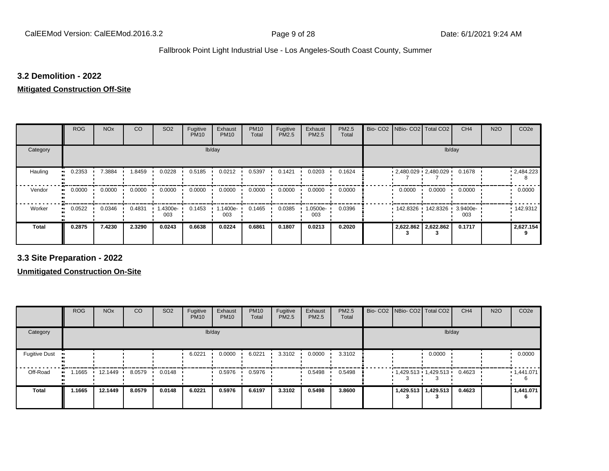#### **3.2 Demolition - 2022**

# **Mitigated Construction Off-Site**

|                     | <b>ROG</b> | <b>NO<sub>x</sub></b> | CO     | SO <sub>2</sub> | Fugitive<br><b>PM10</b> | Exhaust<br><b>PM10</b> | <b>PM10</b><br>Total | Fugitive<br>PM2.5 | Exhaust<br>PM2.5 | PM2.5<br>Total | Bio-CO <sub>2</sub> | NBio- CO2   Total CO2 |                       | CH <sub>4</sub> | <b>N2O</b> | CO <sub>2e</sub>  |
|---------------------|------------|-----------------------|--------|-----------------|-------------------------|------------------------|----------------------|-------------------|------------------|----------------|---------------------|-----------------------|-----------------------|-----------------|------------|-------------------|
| Category            |            |                       |        |                 | lb/day                  |                        |                      |                   |                  |                |                     |                       | lb/day                |                 |            |                   |
| Hauling             | 0.2353     | 7.3884                | .8459  | 0.0228          | 0.5185                  | 0.0212                 | 0.5397               | 0.1421            | 0.0203           | 0.1624         |                     |                       | $2,480.029$ 2,480.029 | 0.1678          |            | $\cdot$ 2,484.223 |
| Vendor<br>$\bullet$ | 0.0000     | 0.0000                | 0.0000 | 0.0000          | 0.0000                  | 0.0000                 | 0.0000               | 0.0000            | 0.0000           | 0.0000         |                     | 0.0000                | 0.0000                | 0.0000          |            | 0.0000            |
| Worker              | 0.0522     | 0.0346                | 0.4831 | 1.4300e-<br>003 | 0.1453                  | 1.1400e-<br>003        | 0.1465               | 0.0385            | 1.0500e-<br>003  | 0.0396         |                     | 142.8326              | 142.8326 ·            | 3.9400e-<br>003 |            | 142.9312          |
| <b>Total</b>        | 0.2875     | 7.4230                | 2.3290 | 0.0243          | 0.6638                  | 0.0224                 | 0.6861               | 0.1807            | 0.0213           | 0.2020         |                     | 2,622.862 2,622.862   |                       | 0.1717          |            | 2,627.154         |

**3.3 Site Preparation - 2022**

|                      | <b>ROG</b> | <b>NO<sub>x</sub></b> | CO     | SO <sub>2</sub> | Fugitive<br><b>PM10</b> | Exhaust<br><b>PM10</b> | <b>PM10</b><br>Total | Fugitive<br><b>PM2.5</b> | Exhaust<br><b>PM2.5</b> | <b>PM2.5</b><br>Total |  | Bio- CO2   NBio- CO2   Total CO2 | CH <sub>4</sub> | <b>N2O</b> | CO <sub>2e</sub> |
|----------------------|------------|-----------------------|--------|-----------------|-------------------------|------------------------|----------------------|--------------------------|-------------------------|-----------------------|--|----------------------------------|-----------------|------------|------------------|
| Category             |            |                       |        |                 |                         | lb/day                 |                      |                          |                         |                       |  | lb/day                           |                 |            |                  |
| <b>Fugitive Dust</b> |            |                       |        |                 | 6.0221                  | 0.0000                 | 6.0221               | 3.3102                   | 0.0000                  | 3.3102                |  | 0.0000                           |                 |            | 0.0000           |
| Off-Road<br>œ        | 1.1665     | 12.1449               | 8.0579 | 0.0148          |                         | 0.5976                 | 0.5976               |                          | 0.5498                  | 0.5498                |  | 1,429.513 1,429.513 '            | 0.4623          |            | 1,441.071        |
| <b>Total</b>         | 1.1665     | 12.1449               | 8.0579 | 0.0148          | 6.0221                  | 0.5976                 | 6.6197               | 3.3102                   | 0.5498                  | 3.8600                |  | 1,429.513   1,429.513            | 0.4623          |            | 1,441.071<br>6   |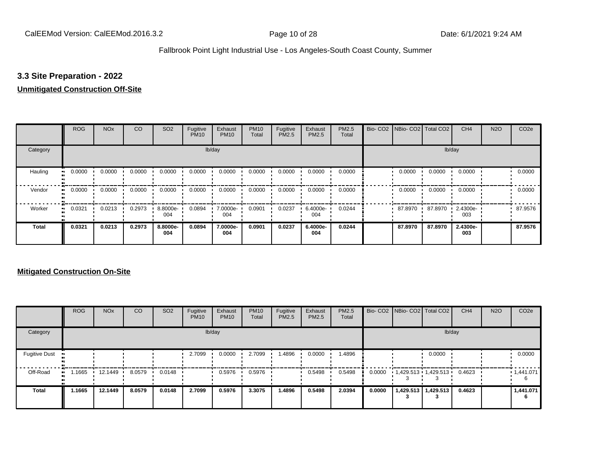#### **3.3 Site Preparation - 2022**

#### **Unmitigated Construction Off-Site**

|                            | <b>ROG</b>                 | <b>NO<sub>x</sub></b> | CO     | SO <sub>2</sub> | Fugitive<br><b>PM10</b> | Exhaust<br><b>PM10</b> | <b>PM10</b><br>Total | Fugitive<br>PM2.5 | Exhaust<br>PM2.5 | PM2.5<br>Total | Bio- CO2   NBio- CO2   Total CO2 |         | CH <sub>4</sub> | <b>N2O</b> | CO <sub>2e</sub> |
|----------------------------|----------------------------|-----------------------|--------|-----------------|-------------------------|------------------------|----------------------|-------------------|------------------|----------------|----------------------------------|---------|-----------------|------------|------------------|
| Category                   |                            |                       |        |                 |                         | lb/day                 |                      |                   |                  |                |                                  |         | lb/day          |            |                  |
| Hauling<br>$\bullet$       | 0.0000                     | 0.0000                | 0.0000 | 0.0000          | 0.0000                  | 0.0000                 | 0.0000               | 0.0000            | 0.0000           | 0.0000         | 0.0000                           | 0.0000  | 0.0000          |            | 0.0000           |
| Vendor                     | 0.0000<br>$\bullet\bullet$ | 0.0000                | 0.0000 | 0.0000          | 0.0000                  | 0.0000                 | 0.0000               | 0.0000            | 0.0000           | 0.0000         | 0.0000                           | 0.0000  | 0.0000          |            | 0.0000           |
| Worker<br>$\bullet\bullet$ | 0.0321                     | 0.0213                | 0.2973 | 8.8000e-<br>004 | 0.0894                  | 7.0000e-<br>004        | 0.0901               | 0.0237            | 6.4000e-<br>004  | 0.0244         | 87.8970                          | 87.8970 | 2.4300e-<br>003 |            | 87.9576          |
| <b>Total</b>               | 0.0321                     | 0.0213                | 0.2973 | 8.8000e-<br>004 | 0.0894                  | 7.0000e-<br>004        | 0.0901               | 0.0237            | 6.4000e-<br>004  | 0.0244         | 87.8970                          | 87.8970 | 2.4300e-<br>003 |            | 87.9576          |

|                      | <b>ROG</b> | <b>NO<sub>x</sub></b> | CO     | SO <sub>2</sub> | Fugitive<br><b>PM10</b> | Exhaust<br><b>PM10</b> | <b>PM10</b><br>Total | Fugitive<br><b>PM2.5</b> | Exhaust<br><b>PM2.5</b> | PM2.5<br>Total |        | Bio- CO2   NBio- CO2   Total CO2 |                       | CH <sub>4</sub> | <b>N2O</b> | CO <sub>2e</sub> |
|----------------------|------------|-----------------------|--------|-----------------|-------------------------|------------------------|----------------------|--------------------------|-------------------------|----------------|--------|----------------------------------|-----------------------|-----------------|------------|------------------|
| Category             |            |                       |        |                 |                         | lb/day                 |                      |                          |                         |                |        |                                  | lb/day                |                 |            |                  |
| <b>Fugitive Dust</b> |            |                       |        |                 | 2.7099                  | 0.0000                 | 2.7099               | 1.4896                   | 0.0000                  | 1.4896         |        |                                  | 0.0000                |                 |            | 0.0000           |
| Off-Road             | .1665      | 12.1449               | 8.0579 | 0.0148          |                         | 0.5976                 | 0.5976               |                          | 0.5498                  | 0.5498         | 0.0000 | $1,429.513$ $1,429.513$ $1$      |                       | 0.4623          |            | .1,441.071       |
| <b>Total</b>         | 1.1665     | 12.1449               | 8.0579 | 0.0148          | 2.7099                  | 0.5976                 | 3.3075               | 1.4896                   | 0.5498                  | 2.0394         | 0.0000 |                                  | 1,429.513   1,429.513 | 0.4623          |            | 1,441.071<br>6   |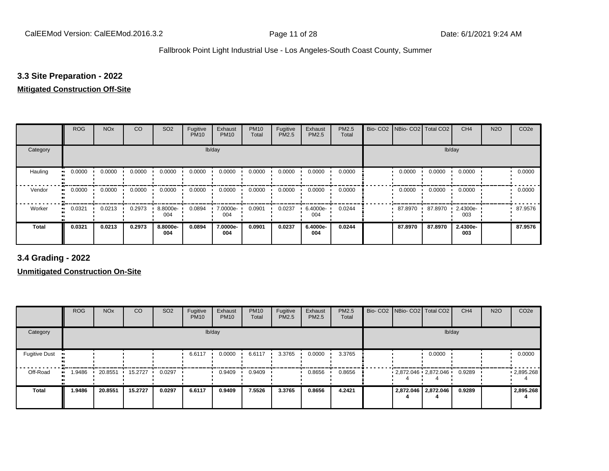#### **3.3 Site Preparation - 2022**

#### **Mitigated Construction Off-Site**

|                            | <b>ROG</b> | <b>NO<sub>x</sub></b> | CO     | SO <sub>2</sub> | Fugitive<br><b>PM10</b> | Exhaust<br><b>PM10</b> | <b>PM10</b><br>Total | Fugitive<br>PM2.5 | Exhaust<br>PM2.5 | PM2.5<br>Total | Bio- CO2   NBio- CO2   Total CO2 |         | CH <sub>4</sub> | <b>N2O</b> | CO <sub>2e</sub> |
|----------------------------|------------|-----------------------|--------|-----------------|-------------------------|------------------------|----------------------|-------------------|------------------|----------------|----------------------------------|---------|-----------------|------------|------------------|
| Category                   |            |                       |        |                 |                         | lb/day                 |                      |                   |                  |                |                                  |         | lb/day          |            |                  |
| Hauling<br>$\bullet$       | 0.0000     | 0.0000                | 0.0000 | 0.0000          | 0.0000                  | 0.0000                 | 0.0000               | 0.0000            | 0.0000           | 0.0000         | 0.0000                           | 0.0000  | 0.0000          |            | 0.0000           |
| Vendor<br>$\bullet$        | 0.0000     | 0.0000                | 0.0000 | 0.0000          | 0.0000                  | 0.0000                 | 0.0000               | 0.0000            | 0.0000           | 0.0000         | 0.0000                           | 0.0000  | 0.0000          |            | 0.0000           |
| Worker<br>$\bullet\bullet$ | 0.0321     | 0.0213                | 0.2973 | 8.8000e-<br>004 | 0.0894                  | 7.0000e-<br>004        | 0.0901               | 0.0237            | 6.4000e-<br>004  | 0.0244         | 87.8970                          | 87.8970 | 2.4300e-<br>003 |            | 87.9576          |
| <b>Total</b>               | 0.0321     | 0.0213                | 0.2973 | 8.8000e-<br>004 | 0.0894                  | 7.0000e-<br>004        | 0.0901               | 0.0237            | 6.4000e-<br>004  | 0.0244         | 87.8970                          | 87.8970 | 2.4300e-<br>003 |            | 87.9576          |

**3.4 Grading - 2022**

|                      | <b>ROG</b> | <b>NO<sub>x</sub></b> | CO      | SO <sub>2</sub> | Fugitive<br><b>PM10</b> | Exhaust<br><b>PM10</b> | <b>PM10</b><br>Total | Fugitive<br><b>PM2.5</b> | Exhaust<br>PM2.5 | <b>PM2.5</b><br>Total |  | Bio- CO2   NBio- CO2   Total CO2 | CH <sub>4</sub> | <b>N2O</b> | CO <sub>2e</sub>  |
|----------------------|------------|-----------------------|---------|-----------------|-------------------------|------------------------|----------------------|--------------------------|------------------|-----------------------|--|----------------------------------|-----------------|------------|-------------------|
| Category             |            |                       |         |                 |                         | lb/day                 |                      |                          |                  |                       |  | lb/day                           |                 |            |                   |
| <b>Fugitive Dust</b> |            |                       |         |                 | 6.6117                  | 0.0000                 | 6.6117               | 3.3765                   | 0.0000           | 3.3765                |  | 0.0000                           |                 |            | 0.0000            |
| Off-Road             | .9486      | 20.8551               | 15.2727 | 0.0297          |                         | 0.9409                 | 0.9409               |                          | 0.8656           | 0.8656                |  | $2,872.046$ $2,872.046$          | 0.9289          |            | $\cdot$ 2,895.268 |
| <b>Total</b>         | 1.9486     | 20.8551               | 15.2727 | 0.0297          | 6.6117                  | 0.9409                 | 7.5526               | 3.3765                   | 0.8656           | 4.2421                |  | 2,872.046 2,872.046              | 0.9289          |            | 2,895.268         |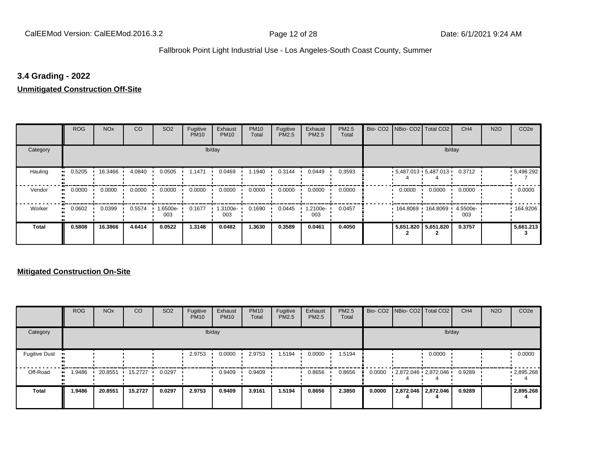#### **3.4 Grading - 2022**

#### **Unmitigated Construction Off-Site**

|                            | <b>ROG</b>                 | <b>NO<sub>x</sub></b> | CO     | SO <sub>2</sub> | Fugitive<br><b>PM10</b> | Exhaust<br><b>PM10</b> | <b>PM10</b><br>Total | Fugitive<br>PM2.5 | Exhaust<br>PM2.5 | PM2.5<br>Total | Bio- CO2 NBio- CO2 Total CO2    |                     | CH <sub>4</sub> | <b>N2O</b> | CO <sub>2e</sub> |
|----------------------------|----------------------------|-----------------------|--------|-----------------|-------------------------|------------------------|----------------------|-------------------|------------------|----------------|---------------------------------|---------------------|-----------------|------------|------------------|
| Category                   |                            |                       |        |                 |                         | lb/day                 |                      |                   |                  |                |                                 |                     | lb/day          |            |                  |
| Hauling<br>$\bullet$       | 0.5205                     | 16.3466               | 4.0840 | 0.0505          | 1.1471                  | 0.0469                 | 1.1940               | 0.3144            | 0.0449           | 0.3593         | $5,487.013$ $5,487.013$ $\cdot$ |                     | 0.3712          |            | .5,496.292       |
| Vendor                     | 0.0000<br>$\bullet\bullet$ | 0.0000                | 0.0000 | 0.0000          | 0.0000                  | 0.0000                 | 0.0000               | 0.0000            | 0.0000           | 0.0000         | 0.0000                          | 0.0000              | 0.0000          |            | 0.0000           |
| Worker<br>$\bullet\bullet$ | 0.0602                     | 0.0399                | 0.5574 | 1.6500e-<br>003 | 0.1677                  | 1.3100e-<br>003        | 0.1690               | 0.0445            | .2100e-<br>003   | 0.0457         |                                 | 164.8069 164.8069 1 | 4.5500e-<br>003 |            | 164.9206         |
| <b>Total</b>               | 0.5808                     | 16.3866               | 4.6414 | 0.0522          | 1.3148                  | 0.0482                 | 1.3630               | 0.3589            | 0.0461           | 0.4050         |                                 | 5,651.820 5,651.820 | 0.3757          |            | 5,661.213        |

|                      | <b>ROG</b> | <b>NO<sub>x</sub></b> | CO      | SO <sub>2</sub> | Fugitive<br><b>PM10</b> | Exhaust<br><b>PM10</b> | <b>PM10</b><br>Total | Fugitive<br>PM2.5 | Exhaust<br><b>PM2.5</b> | PM2.5<br>Total |        | Bio- CO2   NBio- CO2   Total CO2 | CH <sub>4</sub> | <b>N2O</b> | CO <sub>2e</sub>  |
|----------------------|------------|-----------------------|---------|-----------------|-------------------------|------------------------|----------------------|-------------------|-------------------------|----------------|--------|----------------------------------|-----------------|------------|-------------------|
| Category             |            |                       |         |                 |                         | lb/day                 |                      |                   |                         |                |        | lb/day                           |                 |            |                   |
| <b>Fugitive Dust</b> |            |                       |         |                 | 2.9753                  | 0.0000                 | 2.9753               | 1.5194            | 0.0000                  | 1.5194         |        | 0.0000                           |                 |            | 0.0000            |
| Off-Road             | .9486      | 20.8551               | 15.2727 | 0.0297          |                         | 0.9409                 | 0.9409               |                   | 0.8656                  | 0.8656         | 0.0000 | 2,872.046 2,872.046              | 0.9289          |            | $\cdot$ 2,895.268 |
| <b>Total</b>         | 1.9486     | 20.8551               | 15.2727 | 0.0297          | 2.9753                  | 0.9409                 | 3.9161               | 1.5194            | 0.8656                  | 2.3850         | 0.0000 | 2,872.046 2,872.046              | 0.9289          |            | 2,895.268         |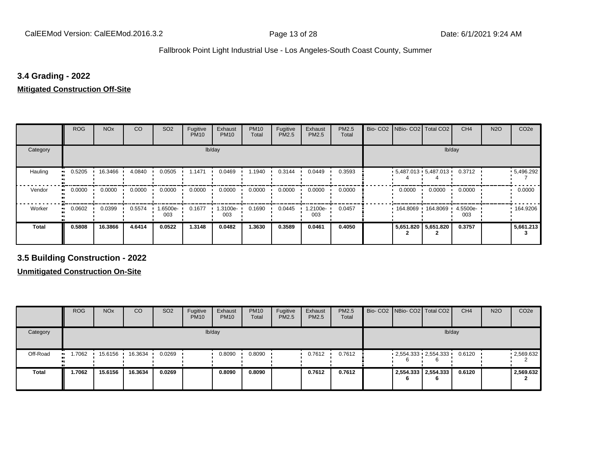#### **3.4 Grading - 2022**

#### **Mitigated Construction Off-Site**

|                          | <b>ROG</b> | <b>NO<sub>x</sub></b> | CO     | SO <sub>2</sub> | Fugitive<br><b>PM10</b> | Exhaust<br><b>PM10</b> | <b>PM10</b><br>Total | Fugitive<br>PM2.5 | Exhaust<br>PM2.5 | PM2.5<br>Total | Bio-CO <sub>2</sub> | NBio- CO2   Total CO2   |                     | CH <sub>4</sub> | <b>N2O</b> | CO <sub>2e</sub> |
|--------------------------|------------|-----------------------|--------|-----------------|-------------------------|------------------------|----------------------|-------------------|------------------|----------------|---------------------|-------------------------|---------------------|-----------------|------------|------------------|
| Category                 |            |                       |        |                 | lb/day                  |                        |                      |                   |                  |                |                     |                         | lb/day              |                 |            |                  |
| Hauling                  | 0.5205     | 16.3466               | 4.0840 | 0.0505          | 1.1471                  | 0.0469                 | .1940                | 0.3144            | 0.0449           | 0.3593         |                     | $5,487.013$ $5,487.013$ |                     | 0.3712          |            | .5,496.292       |
| Vendor<br>$\blacksquare$ | 0.0000     | 0.0000                | 0.0000 | 0.0000          | 0.0000                  | 0.0000                 | 0.0000               | 0.0000            | 0.0000           | 0.0000         |                     | 0.0000                  | 0.0000              | 0.0000          |            | 0.0000           |
| Worker<br>$\bullet$      | 0.0602     | 0.0399                | 0.5574 | 1.6500e-<br>003 | 0.1677                  | 1.3100e-<br>003        | 0.1690               | 0.0445            | 1.2100e-<br>003  | 0.0457         |                     | 164.8069                | 164.8069 ·          | 4.5500e-<br>003 |            | .164.9206        |
| <b>Total</b>             | 0.5808     | 16.3866               | 4.6414 | 0.0522          | 1.3148                  | 0.0482                 | 1.3630               | 0.3589            | 0.0461           | 0.4050         |                     |                         | 5,651.820 5,651.820 | 0.3757          |            | 5,661.213        |

**3.5 Building Construction - 2022**

|                          | <b>ROG</b> | <b>NO<sub>x</sub></b> | CO      | SO <sub>2</sub> | Fugitive<br><b>PM10</b> | Exhaust<br><b>PM10</b> | <b>PM10</b><br>Total | Fugitive<br><b>PM2.5</b> | Exhaust<br><b>PM2.5</b> | <b>PM2.5</b><br>Total |    | Bio- CO2 NBio- CO2 Total CO2 | CH <sub>4</sub> | <b>N2O</b> | CO <sub>2e</sub> |
|--------------------------|------------|-----------------------|---------|-----------------|-------------------------|------------------------|----------------------|--------------------------|-------------------------|-----------------------|----|------------------------------|-----------------|------------|------------------|
| Category                 |            |                       |         |                 |                         | lb/day                 |                      |                          |                         |                       |    |                              | lb/day          |            |                  |
| Off-Road<br>$\mathbf{u}$ | 1.7062     | 15.6156               | 16.3634 | 0.0269          |                         | 0.8090                 | 0.8090               |                          | 0.7612                  | 0.7612                | 6  | $2,554.333$ $2,554.333$      | 0.6120          |            | .2,569.632       |
| <b>Total</b>             | 1.7062     | 15.6156               | 16.3634 | 0.0269          |                         | 0.8090                 | 0.8090               |                          | 0.7612                  | 0.7612                | 'n | 2,554.333 2,554.333          | 0.6120          |            | 2,569.632        |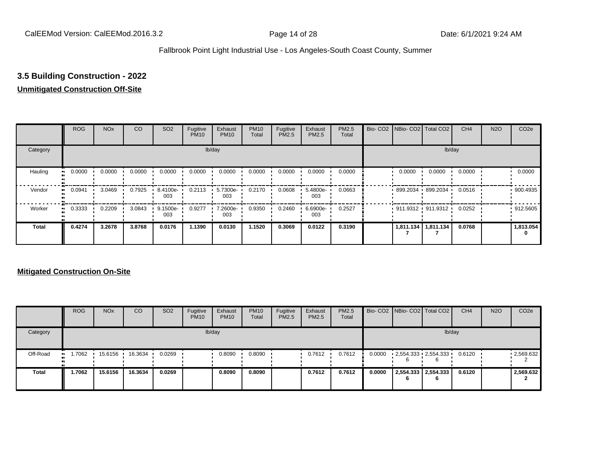# **3.5 Building Construction - 2022**

#### **Unmitigated Construction Off-Site**

|                        | <b>ROG</b> | <b>NO<sub>x</sub></b> | CO     | SO <sub>2</sub> | Fugitive<br><b>PM10</b> | Exhaust<br><b>PM10</b> | <b>PM10</b><br>Total | Fugitive<br><b>PM2.5</b> | Exhaust<br>PM2.5 | PM2.5<br>Total | Bio- CO2   NBio- CO2   Total CO2 |                       | CH <sub>4</sub> | <b>N2O</b> | CO <sub>2e</sub> |
|------------------------|------------|-----------------------|--------|-----------------|-------------------------|------------------------|----------------------|--------------------------|------------------|----------------|----------------------------------|-----------------------|-----------------|------------|------------------|
| Category               |            |                       |        |                 |                         | lb/day                 |                      |                          |                  |                |                                  |                       | lb/day          |            |                  |
| Hauling<br>œ           | 0.0000     | 0.0000                | 0.0000 | 0.0000          | 0.0000                  | 0.0000                 | 0.0000               | 0.0000                   | 0.0000           | 0.0000         | 0.0000                           | 0.0000                | 0.0000          |            | 0.0000           |
| Vendor<br>$\bullet$    | 0.0941     | 3.0469                | 0.7925 | 8.4100e-<br>003 | 0.2113                  | 5.7300e-<br>003        | 0.2170               | 0.0608                   | 5.4800e-<br>003  | 0.0663         | 899.2034 899.2034                |                       | 0.0516          |            | 900.4935         |
| Worker<br>$\mathbf{u}$ | 0.3333     | 0.2209                | 3.0843 | 9.1500e-<br>003 | 0.9277                  | 7.2600e-<br>003        | 0.9350               | 0.2460                   | 6.6900e-<br>003  | 0.2527         | $911.9312$ 911.9312              |                       | 0.0252          |            | 912.5605         |
| <b>Total</b>           | 0.4274     | 3.2678                | 3.8768 | 0.0176          | 1.1390                  | 0.0130                 | 1.1520               | 0.3069                   | 0.0122           | 0.3190         |                                  | 1,811.134   1,811.134 | 0.0768          |            | 1,813.054        |

|              | <b>ROG</b>           | <b>NO<sub>x</sub></b> | CO      | SO <sub>2</sub> | Fugitive<br><b>PM10</b> | Exhaust<br><b>PM10</b> | <b>PM10</b><br>Total | Fugitive<br><b>PM2.5</b> | Exhaust<br><b>PM2.5</b> | PM2.5<br>Total |        | Bio- CO2   NBio- CO2   Total CO2              | CH <sub>4</sub> | <b>N2O</b> | CO <sub>2</sub> e |
|--------------|----------------------|-----------------------|---------|-----------------|-------------------------|------------------------|----------------------|--------------------------|-------------------------|----------------|--------|-----------------------------------------------|-----------------|------------|-------------------|
| Category     |                      |                       |         |                 |                         | lb/day                 |                      |                          |                         |                |        |                                               | lb/day          |            |                   |
| Off-Road     | 1.7062<br><b>ALC</b> | 15.6156               | 16.3634 | 0.0269          |                         | 0.8090                 | 0.8090               |                          | 0.7612                  | 0.7612         | 0.0000 | $2,554.333 \cdot 2,554.333 \cdot 0.6120$<br>6 |                 |            | .2,569.632        |
| <b>Total</b> | 1.7062               | 15.6156               | 16.3634 | 0.0269          |                         | 0.8090                 | 0.8090               |                          | 0.7612                  | 0.7612         | 0.0000 | 2,554.333 2,554.333                           | 0.6120          |            | 2,569.632         |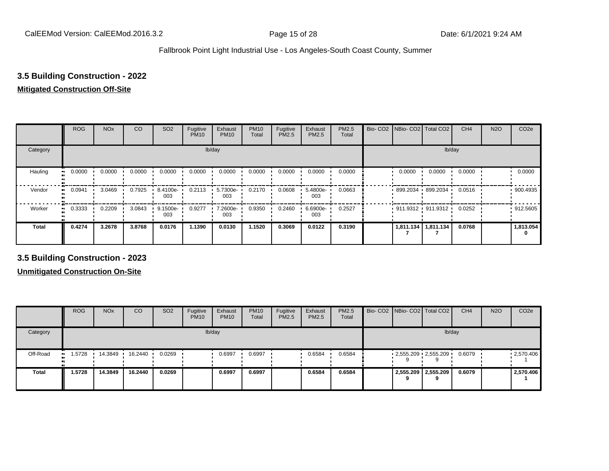# **3.5 Building Construction - 2022**

#### **Mitigated Construction Off-Site**

|                            | <b>ROG</b>                 | <b>NO<sub>x</sub></b> | CO     | SO <sub>2</sub> | Fugitive<br><b>PM10</b> | Exhaust<br><b>PM10</b> | <b>PM10</b><br>Total | Fugitive<br>PM2.5 | Exhaust<br>PM2.5 | PM2.5<br>Total | Bio- CO2   NBio- CO2   Total CO2 |           | CH <sub>4</sub> | <b>N2O</b> | CO <sub>2e</sub> |
|----------------------------|----------------------------|-----------------------|--------|-----------------|-------------------------|------------------------|----------------------|-------------------|------------------|----------------|----------------------------------|-----------|-----------------|------------|------------------|
| Category                   |                            |                       |        |                 |                         | lb/day                 |                      |                   |                  |                |                                  | lb/day    |                 |            |                  |
| Hauling<br>$\bullet$       | 0.0000                     | 0.0000                | 0.0000 | 0.0000          | 0.0000                  | 0.0000                 | 0.0000               | 0.0000            | 0.0000           | 0.0000         | 0.0000                           | 0.0000    | 0.0000          |            | 0.0000           |
| Vendor                     | 0.0941<br>$\bullet\bullet$ | 3.0469                | 0.7925 | 8.4100e-<br>003 | 0.2113                  | 5.7300e-<br>003        | 0.2170               | 0.0608            | 5.4800e-<br>003  | 0.0663         | 899.2034 899.2034                |           | 0.0516          |            | 900.4935         |
| Worker<br>$\bullet\bullet$ | 0.3333                     | 0.2209                | 3.0843 | 9.1500e-<br>003 | 0.9277                  | 7.2600e-<br>003        | 0.9350               | 0.2460            | 6.6900e-<br>003  | 0.2527         | $911.9312$ 911.9312              |           | 0.0252          |            | 912.5605         |
| <b>Total</b>               | 0.4274                     | 3.2678                | 3.8768 | 0.0176          | 1.1390                  | 0.0130                 | 1.1520               | 0.3069            | 0.0122           | 0.3190         | 1,811.134                        | 1,811.134 | 0.0768          |            | 1,813.054<br>0   |

**3.5 Building Construction - 2023**

|              | <b>ROG</b>           | <b>NO<sub>x</sub></b> | CO      | SO <sub>2</sub> | Fugitive<br><b>PM10</b> | Exhaust<br><b>PM10</b> | <b>PM10</b><br>Total | Fugitive<br><b>PM2.5</b> | Exhaust<br><b>PM2.5</b> | <b>PM2.5</b><br>Total | Bio- CO2 NBio- CO2 Total CO2 |                     | CH <sub>4</sub> | <b>N2O</b> | CO <sub>2e</sub> |
|--------------|----------------------|-----------------------|---------|-----------------|-------------------------|------------------------|----------------------|--------------------------|-------------------------|-----------------------|------------------------------|---------------------|-----------------|------------|------------------|
| Category     |                      |                       |         |                 |                         | lb/day                 |                      |                          |                         |                       |                              |                     | lb/day          |            |                  |
| Off-Road     | 1.5728<br><b>ALC</b> | 14.3849               | 16.2440 | 0.0269          |                         | 0.6997                 | 0.6997               |                          | 0.6584                  | 0.6584                | $2,555.209$ $2,555.209$      |                     | 0.6079          |            | .2,570.406       |
| <b>Total</b> | 1.5728               | 14.3849               | 16.2440 | 0.0269          |                         | 0.6997                 | 0.6997               |                          | 0.6584                  | 0.6584                |                              | 2,555.209 2,555.209 | 0.6079          |            | 2,570.406        |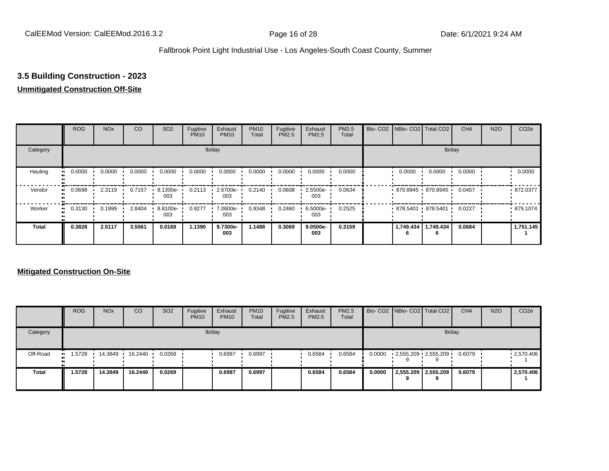# **3.5 Building Construction - 2023**

#### **Unmitigated Construction Off-Site**

|                           | <b>ROG</b>          | <b>NO<sub>x</sub></b> | CO     | SO <sub>2</sub> | Fugitive<br><b>PM10</b> | Exhaust<br><b>PM10</b> | <b>PM10</b><br>Total | Fugitive<br><b>PM2.5</b> | Exhaust<br>PM2.5 | PM2.5<br>Total | Bio- CO2   NBio- CO2   Total CO2 |                     | CH <sub>4</sub> | <b>N2O</b> | CO <sub>2e</sub> |
|---------------------------|---------------------|-----------------------|--------|-----------------|-------------------------|------------------------|----------------------|--------------------------|------------------|----------------|----------------------------------|---------------------|-----------------|------------|------------------|
| Category                  |                     |                       |        |                 |                         | lb/day                 |                      |                          |                  |                |                                  |                     | lb/day          |            |                  |
| Hauling<br>$\blacksquare$ | 0.0000              | 0.0000                | 0.0000 | 0.0000          | 0.0000                  | 0.0000                 | 0.0000               | 0.0000                   | 0.0000           | 0.0000         | 0.0000                           | 0.0000              | 0.0000          |            | 0.0000           |
| Vendor                    | 0.0698<br>$\bullet$ | 2.3119                | 0.7157 | 8.1300e-<br>003 | 0.2113                  | 2.6700e-<br>003        | 0.2140               | 0.0608                   | 2.5500e-<br>003  | 0.0634         | 870.8945 870.8945                |                     | 0.0457          |            | 872.0377         |
| Worker                    | 0.3130<br>$\bullet$ | 0.1999                | 2.8404 | 8.8100e-<br>003 | 0.9277                  | 7.0600e-<br>003        | 0.9348               | 0.2460                   | 6.5000e-<br>003  | 0.2525         | 878.5401 878.5401                |                     | 0.0227          |            | 879.1074         |
| <b>Total</b>              | 0.3828              | 2.5117                | 3.5561 | 0.0169          | 1.1390                  | 9.7300e-<br>003        | 1.1488               | 0.3069                   | 9.0500e-<br>003  | 0.3159         |                                  | 1,749.434 1,749.434 | 0.0684          |            | 1,751.145        |

|              | <b>ROG</b>            | <b>NO<sub>x</sub></b> | CO      | SO <sub>2</sub> | Fugitive<br><b>PM10</b> | Exhaust<br><b>PM10</b> | <b>PM10</b><br>Total | Fugitive<br><b>PM2.5</b> | Exhaust<br><b>PM2.5</b> | <b>PM2.5</b><br>Total |        |                     | Bio- CO2   NBio- CO2   Total CO2 | CH <sub>4</sub> | <b>N2O</b> | CO <sub>2</sub> e |
|--------------|-----------------------|-----------------------|---------|-----------------|-------------------------|------------------------|----------------------|--------------------------|-------------------------|-----------------------|--------|---------------------|----------------------------------|-----------------|------------|-------------------|
| Category     |                       |                       |         |                 |                         | lb/day                 |                      |                          |                         |                       |        |                     | lb/day                           |                 |            |                   |
| Off-Road     | i .5728<br><b>ALC</b> | 14.3849               | 16.2440 | 0.0269          |                         | 0.6997                 | 0.6997               |                          | 0.6584                  | 0.6584                | 0.0000 |                     | $-2,555.209 - 2,555.209$         | 0.6079          |            | .2,570.406        |
| <b>Total</b> | 1.5728                | 14.3849               | 16.2440 | 0.0269          |                         | 0.6997                 | 0.6997               |                          | 0.6584                  | 0.6584                | 0.0000 | 2,555.209 2,555.209 | 9                                | 0.6079          |            | 2,570.406         |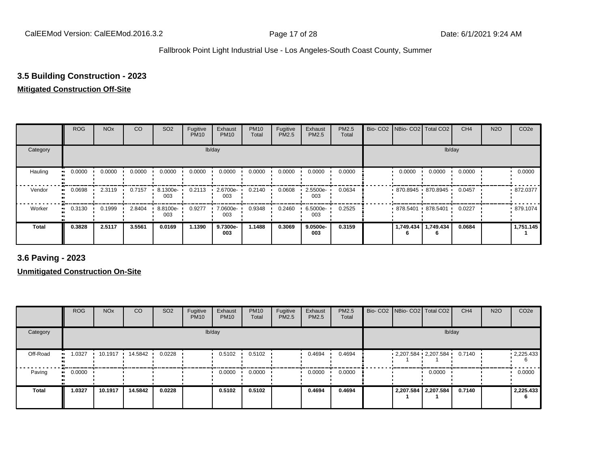### **3.5 Building Construction - 2023**

#### **Mitigated Construction Off-Site**

|              | <b>ROG</b>          | <b>NO<sub>x</sub></b> | CO     | SO <sub>2</sub> | Fugitive<br><b>PM10</b> | Exhaust<br><b>PM10</b> | <b>PM10</b><br>Total | Fugitive<br>PM2.5 | Exhaust<br>PM2.5 | PM2.5<br>Total | Bio-CO <sub>2</sub> | NBio- CO2   Total CO2 |                | CH <sub>4</sub> | <b>N2O</b> | CO <sub>2e</sub> |
|--------------|---------------------|-----------------------|--------|-----------------|-------------------------|------------------------|----------------------|-------------------|------------------|----------------|---------------------|-----------------------|----------------|-----------------|------------|------------------|
| Category     |                     |                       |        |                 |                         | lb/day                 |                      |                   |                  |                |                     |                       | lb/day         |                 |            |                  |
| Hauling      | 0.0000<br>$\bullet$ | 0.0000                | 0.0000 | 0.0000          | 0.0000                  | 0.0000                 | 0.0000               | 0.0000            | 0.0000           | 0.0000         |                     | 0.0000                | 0.0000         | 0.0000          |            | 0.0000           |
| Vendor       | 0.0698<br>ш.        | 2.3119                | 0.7157 | 8.1300e-<br>003 | 0.2113                  | 2.6700e-<br>003        | 0.2140               | 0.0608            | 2.5500e-<br>003  | 0.0634         |                     | 870.8945 870.8945     |                | 0.0457          |            | 872.0377         |
| Worker       | 0.3130<br>ш.        | 0.1999                | 2.8404 | 8.8100e-<br>003 | 0.9277                  | 7.0600e-<br>003        | 0.9348               | 0.2460            | 6.5000e-<br>003  | 0.2525         |                     | 878.5401 878.5401     | . .            | 0.0227          |            | 879.1074         |
| <b>Total</b> | 0.3828              | 2.5117                | 3.5561 | 0.0169          | 1.1390                  | 9.7300e-<br>003        | 1.1488               | 0.3069            | 9.0500e-<br>003  | 0.3159         |                     | 1,749.434<br>6        | 1,749.434<br>6 | 0.0684          |            | 1,751.145        |

**3.6 Paving - 2023**

|              | <b>ROG</b>          | <b>NO<sub>x</sub></b> | CO      | SO <sub>2</sub> | Fugitive<br><b>PM10</b> | Exhaust<br><b>PM10</b> | <b>PM10</b><br>Total | Fugitive<br><b>PM2.5</b> | Exhaust<br>PM2.5 | <b>PM2.5</b><br>Total |  | Bio- CO2   NBio- CO2   Total CO2 | CH <sub>4</sub> | <b>N2O</b> | CO <sub>2e</sub>  |
|--------------|---------------------|-----------------------|---------|-----------------|-------------------------|------------------------|----------------------|--------------------------|------------------|-----------------------|--|----------------------------------|-----------------|------------|-------------------|
| Category     |                     |                       |         |                 |                         | lb/day                 |                      |                          |                  |                       |  | lb/day                           |                 |            |                   |
| Off-Road     | 1.0327<br>.         | 10.1917               | 14.5842 | 0.0228          |                         | 0.5102                 | 0.5102               |                          | 0.4694           | 0.4694                |  | $2,207.584$ $2,207.584$ 0.7140   |                 |            | $\cdot$ 2,225.433 |
| Paving       | 0.0000<br>$\bullet$ |                       |         |                 |                         | 0.0000                 | 0.0000               |                          | 0.0000           | 0.0000                |  | 0.0000                           |                 |            | 0.0000            |
| <b>Total</b> | 1.0327              | 10.1917               | 14.5842 | 0.0228          |                         | 0.5102                 | 0.5102               |                          | 0.4694           | 0.4694                |  | 2,207.584 2,207.584              | 0.7140          |            | 2,225.433         |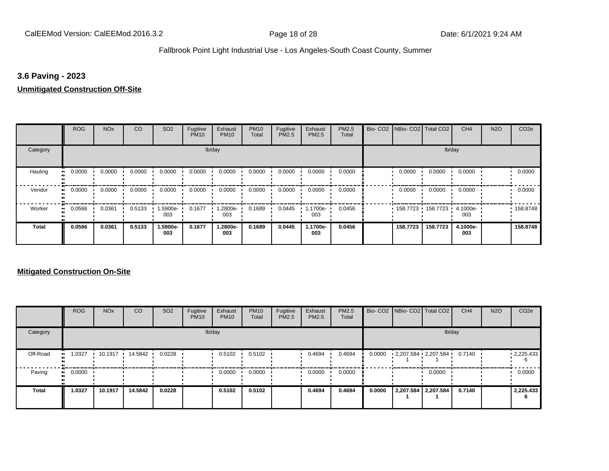#### **3.6 Paving - 2023**

# **Unmitigated Construction Off-Site**

|                            | <b>ROG</b>                 | <b>NO<sub>x</sub></b> | CO     | SO <sub>2</sub> | Fugitive<br><b>PM10</b> | Exhaust<br><b>PM10</b> | <b>PM10</b><br>Total | Fugitive<br>PM2.5 | Exhaust<br>PM2.5 | PM2.5<br>Total | Bio- CO2 NBio- CO2 Total CO2 |                     | CH <sub>4</sub> | <b>N2O</b> | CO <sub>2e</sub> |
|----------------------------|----------------------------|-----------------------|--------|-----------------|-------------------------|------------------------|----------------------|-------------------|------------------|----------------|------------------------------|---------------------|-----------------|------------|------------------|
| Category                   |                            |                       |        |                 |                         | lb/day                 |                      |                   |                  |                |                              |                     | lb/day          |            |                  |
| Hauling<br>$\bullet$       | 0.0000                     | 0.0000                | 0.0000 | 0.0000          | 0.0000                  | 0.0000                 | 0.0000               | 0.0000            | 0.0000           | 0.0000         | 0.0000                       | 0.0000              | 0.0000          |            | 0.0000           |
| Vendor                     | 0.0000<br>$\bullet\bullet$ | 0.0000                | 0.0000 | 0.0000          | 0.0000                  | 0.0000                 | 0.0000               | 0.0000            | 0.0000           | 0.0000         | 0.0000                       | 0.0000              | 0.0000          |            | 0.0000           |
| Worker<br>$\bullet\bullet$ | 0.0566                     | 0.0361                | 0.5133 | 1.5900e-<br>003 | 0.1677                  | 1.2800e-<br>003        | 0.1689               | 0.0445            | .1700e-<br>003   | 0.0456         |                              | 158.7723 158.7723 1 | 4.1000e-<br>003 |            | 158.8748         |
| <b>Total</b>               | 0.0566                     | 0.0361                | 0.5133 | 1.5900e-<br>003 | 0.1677                  | 1.2800e-<br>003        | 0.1689               | 0.0445            | 1.1700e-<br>003  | 0.0456         | 158.7723                     | 158.7723            | 4.1000e-<br>003 |            | 158,8748         |

|              | <b>ROG</b> | <b>NO<sub>x</sub></b> | CO        | SO <sub>2</sub> | Fugitive<br><b>PM10</b> | Exhaust<br><b>PM10</b> | <b>PM10</b><br>Total | Fugitive<br><b>PM2.5</b> | Exhaust<br>PM2.5 | PM2.5<br>Total |        | Bio- CO2   NBio- CO2   Total CO2 |                     | CH <sub>4</sub> | <b>N2O</b> | CO <sub>2e</sub>       |
|--------------|------------|-----------------------|-----------|-----------------|-------------------------|------------------------|----------------------|--------------------------|------------------|----------------|--------|----------------------------------|---------------------|-----------------|------------|------------------------|
| Category     |            |                       |           |                 |                         | lb/day                 |                      |                          |                  |                |        |                                  | lb/day              |                 |            |                        |
| Off-Road     | 1.0327     | 10.1917               | 14.5842 · | 0.0228          |                         | 0.5102                 | 0.5102               |                          | 0.4694           | 0.4694         | 0.0000 | 2,207.584 2,207.584              |                     | 0.7140          |            | $\cdot$ 2,225.433<br>6 |
| Paving       | 0.0000     |                       |           |                 |                         | 0.0000                 | 0.0000               |                          | 0.0000           | 0.0000         |        |                                  | 0.0000              |                 |            | 0.0000                 |
| <b>Total</b> | 1.0327     | 10.1917               | 14.5842   | 0.0228          |                         | 0.5102                 | 0.5102               |                          | 0.4694           | 0.4694         | 0.0000 |                                  | 2,207.584 2,207.584 | 0.7140          |            | 2,225.433<br>6         |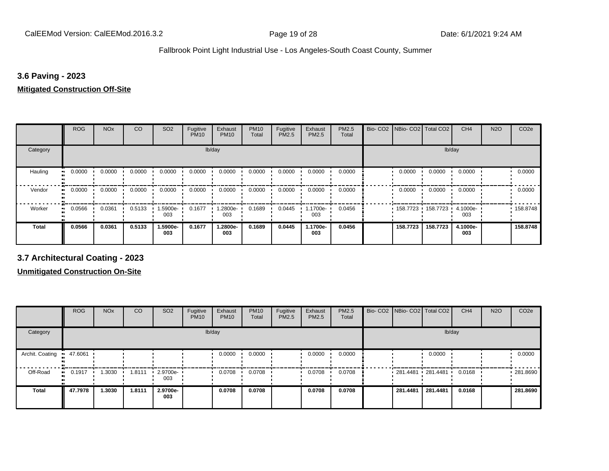#### **3.6 Paving - 2023**

#### **Mitigated Construction Off-Site**

|              | <b>ROG</b>          | <b>NO<sub>x</sub></b> | CO     | SO <sub>2</sub> | Fugitive<br><b>PM10</b> | Exhaust<br><b>PM10</b> | <b>PM10</b><br>Total | Fugitive<br>PM2.5 | Exhaust<br>PM2.5 | PM2.5<br>Total | Bio-CO <sub>2</sub> | NBio- CO2   Total CO2 |                     | CH <sub>4</sub> | <b>N2O</b> | CO <sub>2e</sub> |
|--------------|---------------------|-----------------------|--------|-----------------|-------------------------|------------------------|----------------------|-------------------|------------------|----------------|---------------------|-----------------------|---------------------|-----------------|------------|------------------|
| Category     |                     |                       |        |                 | lb/day                  |                        |                      |                   |                  |                |                     |                       | lb/day              |                 |            |                  |
| Hauling      | 0.0000              | 0.0000                | 0.0000 | 0.0000          | 0.0000                  | 0.0000                 | 0.0000               | 0.0000            | 0.0000           | 0.0000         |                     | 0.0000                | 0.0000              | 0.0000          |            | 0.0000           |
| Vendor       | 0.0000<br>$\bullet$ | 0.0000                | 0.0000 | 0.0000          | 0.0000                  | 0.0000                 | 0.0000               | 0.0000            | 0.0000           | 0.0000         |                     | 0.0000                | 0.0000              | 0.0000          |            | 0.0000           |
| Worker       | 0.0566              | 0.0361                | 0.5133 | -5900e-<br>003  | 0.1677                  | 1.2800e-<br>003        | 0.1689               | 0.0445            | 1.1700e-<br>003  | 0.0456         |                     |                       | 158.7723 158.7723 1 | 4.1000e-<br>003 |            | 158.8748         |
| <b>Total</b> | 0.0566              | 0.0361                | 0.5133 | 1.5900e-<br>003 | 0.1677                  | 1.2800e-<br>003        | 0.1689               | 0.0445            | 1.1700e-<br>003  | 0.0456         |                     | 158.7723              | 158.7723            | 4.1000e-<br>003 |            | 158,8748         |

**3.7 Architectural Coating - 2023**

|                           | <b>ROG</b>  | <b>NO<sub>x</sub></b> | CO     | SO <sub>2</sub>         | Fugitive<br><b>PM10</b> | Exhaust<br><b>PM10</b> | <b>PM10</b><br>Total | Fugitive<br><b>PM2.5</b> | Exhaust<br><b>PM2.5</b> | <b>PM2.5</b><br>Total | Bio- CO2   NBio- CO2   Total CO2 |          | CH <sub>4</sub> | <b>N2O</b> | CO <sub>2e</sub> |
|---------------------------|-------------|-----------------------|--------|-------------------------|-------------------------|------------------------|----------------------|--------------------------|-------------------------|-----------------------|----------------------------------|----------|-----------------|------------|------------------|
| Category                  |             |                       |        |                         |                         | lb/day                 |                      |                          |                         |                       |                                  | lb/day   |                 |            |                  |
| Archit. Coating = 47.6061 |             |                       |        |                         |                         | 0.0000                 | 0.0000               |                          | 0.0000                  | 0.0000                |                                  | 0.0000   |                 |            | 0.0000           |
| Off-Road                  | 0.1917<br>. | .3030                 | 1.8111 | $\cdot$ 2.9700e-<br>003 |                         | 0.0708                 | 0.0708               |                          | 0.0708                  | 0.0708                | $281.4481$ 281.4481              |          | 0.0168          |            | 281.8690         |
| <b>Total</b>              | 47.7978     | 1.3030                | 1.8111 | 2.9700e-<br>003         |                         | 0.0708                 | 0.0708               |                          | 0.0708                  | 0.0708                | 281.4481                         | 281.4481 | 0.0168          |            | 281.8690         |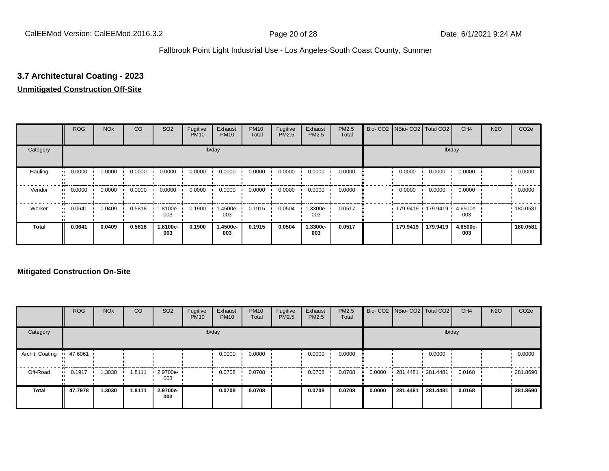# **3.7 Architectural Coating - 2023**

#### **Unmitigated Construction Off-Site**

|                           | <b>ROG</b>   | <b>NO<sub>x</sub></b> | CO     | SO <sub>2</sub> | Fugitive<br><b>PM10</b> | Exhaust<br><b>PM10</b> | <b>PM10</b><br>Total | Fugitive<br><b>PM2.5</b> | Exhaust<br>PM2.5 | PM2.5<br>Total | Bio- CO2   NBio- CO2   Total CO2 |                     | CH <sub>4</sub> | <b>N2O</b> | CO <sub>2e</sub> |
|---------------------------|--------------|-----------------------|--------|-----------------|-------------------------|------------------------|----------------------|--------------------------|------------------|----------------|----------------------------------|---------------------|-----------------|------------|------------------|
| Category                  |              |                       |        |                 |                         | lb/day                 |                      |                          |                  |                |                                  |                     | lb/day          |            |                  |
| Hauling<br>$\blacksquare$ | 0.0000       | 0.0000                | 0.0000 | 0.0000          | 0.0000                  | 0.0000                 | 0.0000               | 0.0000                   | 0.0000           | 0.0000         | 0.0000                           | 0.0000              | 0.0000          |            | 0.0000           |
| Vendor                    | 0.0000<br>ш. | 0.0000                | 0.0000 | 0.0000          | 0.0000                  | 0.0000                 | 0.0000               | 0.0000                   | 0.0000           | 0.0000         | 0.0000                           | 0.0000              | 0.0000          |            | 0.0000           |
| Worker<br>$\bullet$       | 0.0641       | 0.0409                | 0.5818 | -8100e.<br>003  | 0.1900                  | -4500e-<br>003         | 0.1915               | 0.0504                   | -.3300e<br>003   | 0.0517         |                                  | 179.9419 179.9419 1 | 4.6500e-<br>003 |            | .180.0581        |
| <b>Total</b>              | 0.0641       | 0.0409                | 0.5818 | 1.8100e-<br>003 | 0.1900                  | 1.4500e-<br>003        | 0.1915               | 0.0504                   | 1.3300e-<br>003  | 0.0517         | 179.9419                         | 179.9419            | 4.6500e-<br>003 |            | 180.0581         |

|                 | <b>ROG</b>          | <b>NO<sub>x</sub></b> | CO     | SO <sub>2</sub> | Fugitive<br><b>PM10</b> | Exhaust<br><b>PM10</b> | <b>PM10</b><br>Total | Fugitive<br><b>PM2.5</b> | Exhaust<br><b>PM2.5</b> | <b>PM2.5</b><br>Total |        |                   | Bio- CO2 NBio- CO2 Total CO2 | CH <sub>4</sub> | <b>N2O</b> | CO <sub>2e</sub> |
|-----------------|---------------------|-----------------------|--------|-----------------|-------------------------|------------------------|----------------------|--------------------------|-------------------------|-----------------------|--------|-------------------|------------------------------|-----------------|------------|------------------|
| Category        |                     |                       |        |                 |                         | lb/day                 |                      |                          |                         |                       |        |                   | lb/day                       |                 |            |                  |
| Archit. Coating | 47.6061             |                       |        |                 |                         | 0.0000                 | 0.0000               |                          | 0.0000                  | 0.0000                |        |                   | 0.0000                       |                 |            | 0.0000           |
| Off-Road        | 0.1917<br>$\bullet$ | 1.3030                | 1.8111 | 2.9700e-<br>003 |                         | 0.0708                 | 0.0708               |                          | 0.0708                  | 0.0708                | 0.0000 | 281.4481 281.4481 |                              | 0.0168          |            | ■ 281.8690       |
| <b>Total</b>    | 47.7978             | 1.3030                | 1.8111 | 2.9700e-<br>003 |                         | 0.0708                 | 0.0708               |                          | 0.0708                  | 0.0708                | 0.0000 | 281.4481          | 281.4481                     | 0.0168          |            | 281.8690         |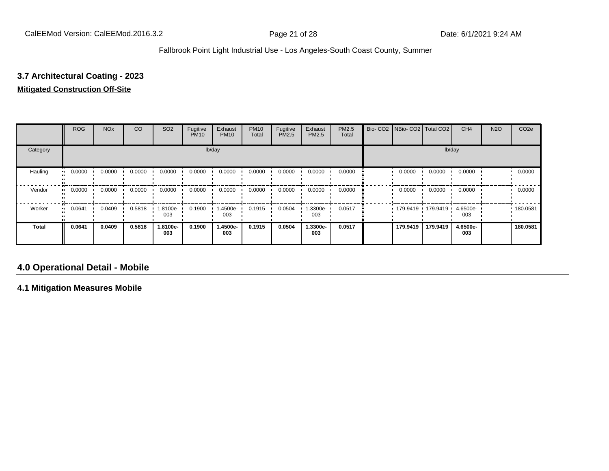# **3.7 Architectural Coating - 2023**

#### **Mitigated Construction Off-Site**

|              | <b>ROG</b> | <b>NO<sub>x</sub></b> | CO     | SO <sub>2</sub> | Fugitive<br><b>PM10</b> | Exhaust<br><b>PM10</b> | <b>PM10</b><br>Total | Fugitive<br>PM2.5 | Exhaust<br>PM2.5 | PM2.5<br>Total | Bio- CO2   NBio- CO2   Total CO2 |          | CH <sub>4</sub> | <b>N2O</b> | CO <sub>2e</sub> |
|--------------|------------|-----------------------|--------|-----------------|-------------------------|------------------------|----------------------|-------------------|------------------|----------------|----------------------------------|----------|-----------------|------------|------------------|
| Category     |            |                       |        |                 |                         | lb/day                 |                      |                   |                  |                |                                  | lb/day   |                 |            |                  |
| Hauling      | 0.0000     | 0.0000                | 0.0000 | 0.0000          | 0.0000                  | 0.0000                 | 0.0000               | 0.0000            | 0.0000           | 0.0000         | 0.0000                           | 0.0000   | 0.0000          |            | 0.0000           |
| Vendor       | 0.0000     | 0.0000                | 0.0000 | 0.0000          | 0.0000                  | 0.0000                 | 0.0000               | 0.0000            | 0.0000           | 0.0000         | 0.0000                           | 0.0000   | 0.0000          |            | 0.0000           |
| Worker       | 0.0641     | 0.0409                | 0.5818 | -9100e-<br>003  | 0.1900                  | 1.4500e-<br>003        | 0.1915               | 0.0504            | .3300e-<br>003   | 0.0517         | 179.9419                         | 179.9419 | 4.6500e-<br>003 |            | 180.0581         |
| <b>Total</b> | 0.0641     | 0.0409                | 0.5818 | 1.8100e-<br>003 | 0.1900                  | 1.4500e-<br>003        | 0.1915               | 0.0504            | 1.3300e-<br>003  | 0.0517         | 179.9419                         | 179.9419 | 4.6500e-<br>003 |            | 180.0581         |

# **4.0 Operational Detail - Mobile**

**4.1 Mitigation Measures Mobile**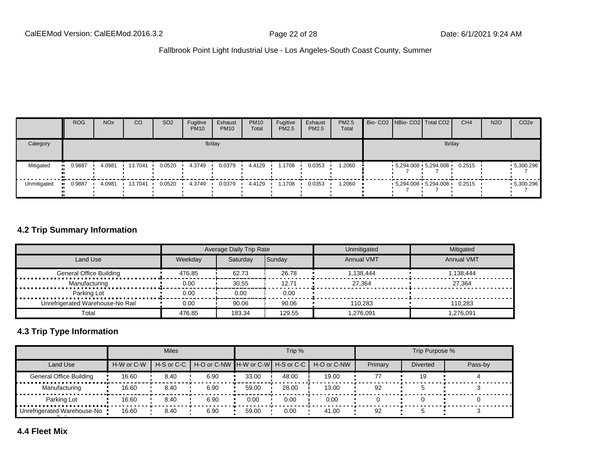|             | <b>ROG</b> | <b>NO<sub>x</sub></b> | CO                      | SO <sub>2</sub> | Fugitive<br><b>PM10</b> | Exhaust<br><b>PM10</b> | <b>PM10</b><br>Total | Fugitive<br>PM2.5 | Exhaust<br><b>PM2.5</b> | PM2.5<br>Total |  | Bio- CO2 NBio- CO2   Total CO2 | CH <sub>4</sub> | <b>N2O</b> | CO <sub>2e</sub> |
|-------------|------------|-----------------------|-------------------------|-----------------|-------------------------|------------------------|----------------------|-------------------|-------------------------|----------------|--|--------------------------------|-----------------|------------|------------------|
| Category    |            |                       |                         |                 |                         | lb/day                 |                      |                   |                         |                |  | lb/day                         |                 |            |                  |
| Mitigated   | $-0.9887$  | 4.0981                | $\cdot$ 13.7041 $\cdot$ | 0.0520          | 4.3749                  | 0.0379                 | 4.4129               | .1708             | 0.0353                  | 2060. ا        |  | $-5,294.008$ $-5,294.008$      | 0.2515          |            | $-5,300.296$     |
| Unmitigated | $-0.9887$  | 4.0981                | 13.7041                 | 0.0520          | 4.3749                  | 0.0379                 | 4.4129               | .1708             | 0.0353                  | 1.2060         |  | $-5,294.008$ $-5,294.008$      | 0.2515          |            | $-5,300.296$     |

#### **4.2 Trip Summary Information**

|                                  |         | Average Daily Trip Rate |        | Unmitigated       | Mitigated         |
|----------------------------------|---------|-------------------------|--------|-------------------|-------------------|
| Land Use                         | Weekdav | Saturdav                | Sunday | <b>Annual VMT</b> | <b>Annual VMT</b> |
| <b>General Office Building</b>   | 476.85  | 62.73                   | 26.78  | 1.138.444         | 1.138.444         |
| Manufacturing                    | 0.00    | 30.55                   | 12.71  | 27.364            | 27.364            |
| Parking Lot                      | 0.00    | 0.00                    | 0.00   |                   |                   |
| Unrefrigerated Warehouse-No Rail | 0.00    | 90.06                   | 90.06  | 110.283           | 110.283           |
| Total                            | 476.85  | 183.34                  | 129.55 | 1.276.091         | 1.276.091         |

# **4.3 Trip Type Information**

|                                |            | <b>Miles</b> |                                                    |       | Trip % |             |         | Trip Purpose %  |         |
|--------------------------------|------------|--------------|----------------------------------------------------|-------|--------|-------------|---------|-----------------|---------|
| Land Use                       | H-W or C-W |              | H-S or C-C I H-O or C-NW IH-W or C-WI H-S or C-C I |       |        | H-O or C-NW | Primary | <b>Diverted</b> | Pass-by |
| <b>General Office Building</b> | 16.60      | 8.40         | 6.90                                               | 33.00 | 48.00  | 19.00       | 77      | 19              |         |
| Manufacturing                  | 16.60      | 8.40         | 6.90                                               | 59.00 | 28.00  | 13.00       | 92      |                 |         |
| Parking Lot                    | 16.60      | 8.40         | 6.90                                               | 0.00  | 0.00   | 0.00        |         |                 |         |
| Unrefrigerated Warehouse-No    | 16.60      | 8.40         | 6.90                                               | 59.00 | 0.00   | 41.00       | 92      |                 |         |

**4.4 Fleet Mix**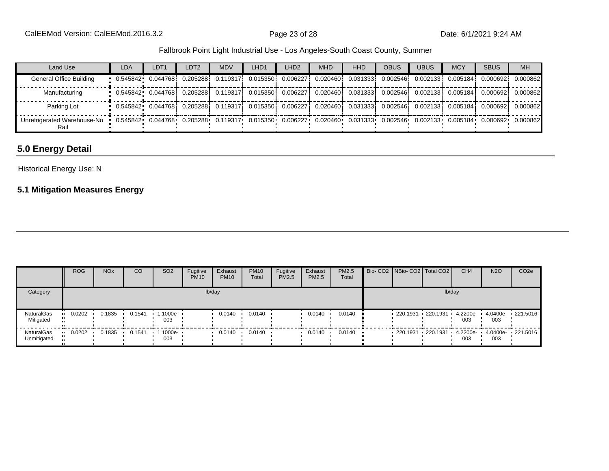| Land Use                                                                                                                                                 | <b>LDA</b>                                                                                                                | LDT <sub>1</sub> | LDT <sub>2</sub> | <b>MDV</b> | LHD <sub>1</sub> | LHD <sub>2</sub> | <b>MHD</b> | <b>HHD</b> | <b>OBUS</b> | <b>UBUS</b> | <b>MCY</b> | <b>SBUS</b> | <b>MH</b> |
|----------------------------------------------------------------------------------------------------------------------------------------------------------|---------------------------------------------------------------------------------------------------------------------------|------------------|------------------|------------|------------------|------------------|------------|------------|-------------|-------------|------------|-------------|-----------|
| General Office Building                                                                                                                                  | • 0.545842• 0.044768i 0.205288i 0.119317i 0.015350i 0.006227i 0.020460i 0.031333i 0.002546i 0.002133i 0.005184i           |                  |                  |            |                  |                  |            |            |             |             |            | 0.0006921   | 0.000862  |
| Manufacturing                                                                                                                                            | $\frac{1}{2}$ 0.545842 0.044768 0.205288 0.119317 0.015350 0.006227 0.020460 0.031333 0.002546 0.002133 0.005184 0.000692 |                  |                  |            |                  |                  |            |            |             |             |            |             | 0.000862  |
| Parking Lot                                                                                                                                              | $\frac{1}{2}$ 0.545842 0.044768 0.205288 0.119317 0.015350 0.006227 0.020460 0.031333 0.002546 0.002133 0.005184 0.000692 |                  |                  |            |                  |                  |            |            |             |             |            |             | 0.000862  |
| Unrefrigerated Warehouse-No 0.545842 0.044768 0.205288 0.119317 0.015350 0.006227 0.020460 0.031333 0.002546 0.002133 0.005184 0.000692 0.000862<br>Rail |                                                                                                                           |                  |                  |            |                  |                  |            |            |             |             |            |             |           |

# **5.0 Energy Detail**

### Historical Energy Use: N

## **5.1 Mitigation Measures Energy**

|                           | <b>ROG</b> | <b>NO<sub>x</sub></b> | <sub>CO</sub> | SO <sub>2</sub>                 | Fugitive<br><b>PM10</b> | Exhaust<br><b>PM10</b> | <b>PM10</b><br>Total | Fugitive<br>PM2.5 | Exhaust<br><b>PM2.5</b> | <b>PM2.5</b><br>Total |  | Bio- CO2 NBio- CO2 Total CO2 | CH <sub>4</sub> | <b>N2O</b>      | CO <sub>2e</sub>                               |
|---------------------------|------------|-----------------------|---------------|---------------------------------|-------------------------|------------------------|----------------------|-------------------|-------------------------|-----------------------|--|------------------------------|-----------------|-----------------|------------------------------------------------|
| Category                  |            |                       |               |                                 |                         | lb/day                 |                      |                   |                         |                       |  | lb/day                       |                 |                 |                                                |
| NaturalGas<br>Mitigated   | 0.0202     | 0.1835                | 0.1541        | 1.1000e- •<br>003               |                         | 0.0140                 | 0.0140               |                   | 0.0140                  | 0.0140                |  | 220.1931 220.1931 4.2200e-   | 003             | 4.0400e-<br>003 | $\cdot$ 221.5016                               |
| NaturalGas<br>Unmitigated | 0.0202     | $0.1835$ $\cdot$      | 0.1541        | $\cdot$ 1.1000e- $\cdot$<br>003 |                         | 0.0140                 | 0.0140               |                   | 0.0140                  | 0.0140                |  |                              | 003             | 003             | 220.1931  220.1931  4.2200e  4.0400e  221.5016 |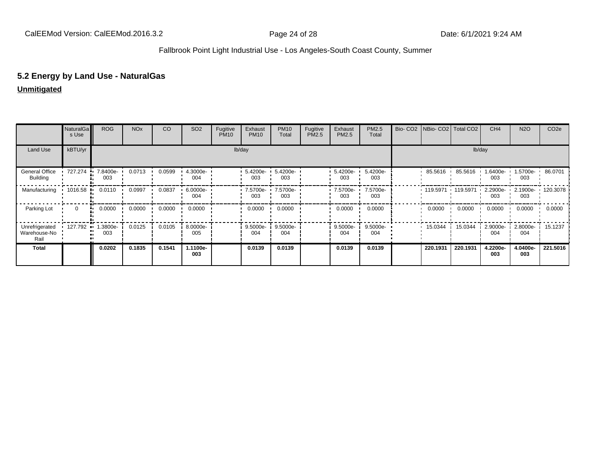## **5.2 Energy by Land Use - NaturalGas**

#### **Unmitigated**

|                                        | NaturalGa<br>s Use      | <b>ROG</b>      | <b>NO<sub>x</sub></b> | <b>CO</b> | SO <sub>2</sub> | Fugitive<br><b>PM10</b> | Exhaust<br><b>PM10</b>         | <b>PM10</b><br>Total | Fugitive<br>PM2.5 | Exhaust<br>PM2.5                | PM2.5<br>Total  |          | Bio- CO2   NBio- CO2   Total CO2 | CH <sub>4</sub> | <b>N2O</b>                | CO <sub>2e</sub>  |
|----------------------------------------|-------------------------|-----------------|-----------------------|-----------|-----------------|-------------------------|--------------------------------|----------------------|-------------------|---------------------------------|-----------------|----------|----------------------------------|-----------------|---------------------------|-------------------|
| Land Use                               | kBTU/yr                 |                 |                       |           |                 |                         | lb/day                         |                      |                   |                                 |                 |          |                                  | lb/day          |                           |                   |
| General Office<br><b>Building</b>      | 727.274<br>.            | 7.8400e-<br>003 | 0.0713                | 0.0599    | 4.3000e-<br>004 |                         | $: 5.4200e - 5.4200e -$<br>003 | 003                  |                   | $\cdot$ 5.4200e- $\cdot$<br>003 | 5.4200e-<br>003 | 85.5616  | 85.5616                          | 1.6400e-<br>003 | 1.5700e- 1 86.0701<br>003 |                   |
| Manufacturing                          | 1016.58<br>.            | 0.0110          | 0.0997                | 0.0837    | 6.0000e-<br>004 |                         | 7.5700e- 7.5700e-<br>003       | 003                  |                   | $\cdot$ 7.5700e- $\cdot$<br>003 | 7.5700e-<br>003 | 119.5971 | 119.5971                         | 2.2900e-<br>003 | 003                       | 2.1900e- 120.3078 |
| Parking Lot                            | $\mathbf{0}$            | 0.0000<br>      | 0.0000                | 0.0000    | 0.0000          |                         | 0.0000                         | 0.0000               |                   | 0.0000                          | 0.0000          | 0.0000   | 0.0000                           | 0.0000          | 0.0000                    | 0.0000            |
| Unrefrigerated<br>Warehouse-No<br>Rail | 127.792<br>$\mathbf{u}$ | .3800e-<br>003  | 0.0125                | 0.0105    | 8.0000e-<br>005 |                         | 9.5000e-<br>004                | 9.5000e-<br>004      |                   | 9.5000e-<br>004                 | 9.5000e-<br>004 | 15.0344  | 15.0344                          | 2.9000e-<br>004 | 2.8000e-<br>004           | 15.1237           |
| <b>Total</b>                           |                         | 0.0202          | 0.1835                | 0.1541    | 1.1100e-<br>003 |                         | 0.0139                         | 0.0139               |                   | 0.0139                          | 0.0139          | 220.1931 | 220.1931                         | 4.2200e-<br>003 | 4.0400e-<br>003           | 221.5016          |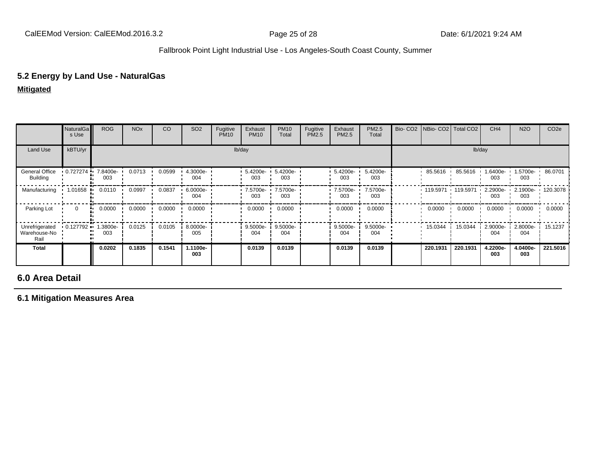### **5.2 Energy by Land Use - NaturalGas**

**Mitigated**

|                                        | NaturalGa<br>s Use        | <b>ROG</b>      | <b>NO<sub>x</sub></b> | CO     | SO <sub>2</sub> | Fugitive<br><b>PM10</b> | Exhaust<br><b>PM10</b> | <b>PM10</b><br>Total | Fugitive<br>PM2.5 | Exhaust<br>PM2.5  | PM2.5<br>Total  | Bio- CO2   NBio- CO2   Total CO2 |          | CH <sub>4</sub> | <b>N2O</b>                            | CO <sub>2e</sub> |
|----------------------------------------|---------------------------|-----------------|-----------------------|--------|-----------------|-------------------------|------------------------|----------------------|-------------------|-------------------|-----------------|----------------------------------|----------|-----------------|---------------------------------------|------------------|
| Land Use                               | kBTU/yr                   |                 |                       |        |                 |                         | lb/day                 |                      |                   |                   |                 |                                  |          | lb/day          |                                       |                  |
| General Office<br>Building             | $0.727274$ $\blacksquare$ | 7.8400e-<br>003 | 0.0713                | 0.0599 | 4.3000e-<br>004 |                         | 5.4200e-<br>003        | 5.4200e-<br>003      |                   | 5.4200e-<br>003   | 5.4200e-<br>003 | 85.5616                          | 85.5616  | -6400e-<br>003  | 1.5700e-<br>003                       | 86.0701          |
| Manufacturing                          | $1.01658$ .               | 0.0110          | 0.0997                | 0.0837 | 6.0000e-<br>004 |                         | 7.5700e- ·<br>003      | 7.5700e-<br>003      |                   | 7.5700e- '<br>003 | 7.5700e-<br>003 | 119.5971 119.5971                |          | 003             | 2.2900e- 1 2.1900e- 1 120.3078<br>003 |                  |
| Parking Lot                            | $\Omega$                  | 0.0000<br>м.    | 0.0000                | 0.0000 | 0.0000          |                         | 0.0000                 | 0.0000               |                   | 0.0000            | 0.0000          | 0.0000                           | 0.0000   | 0.0000          | 0.0000                                | 0.0000           |
| Unrefrigerated<br>Warehouse-No<br>Rail | $0.127792$ $\bullet$      | .3800e-<br>003  | 0.0125                | 0.0105 | 8.0000e-<br>005 |                         | 9.5000e-<br>004        | 9.5000e-<br>004      |                   | 9.5000e-<br>004   | 9.5000e-<br>004 | 15.0344                          | 15.0344  | 2.9000e-<br>004 | 2.8000e-<br>004                       | 15.1237          |
| <b>Total</b>                           |                           | 0.0202          | 0.1835                | 0.1541 | 1.1100e-<br>003 |                         | 0.0139                 | 0.0139               |                   | 0.0139            | 0.0139          | 220.1931                         | 220.1931 | 4.2200e-<br>003 | 4.0400e-<br>003                       | 221.5016         |

# **6.0 Area Detail**

**6.1 Mitigation Measures Area**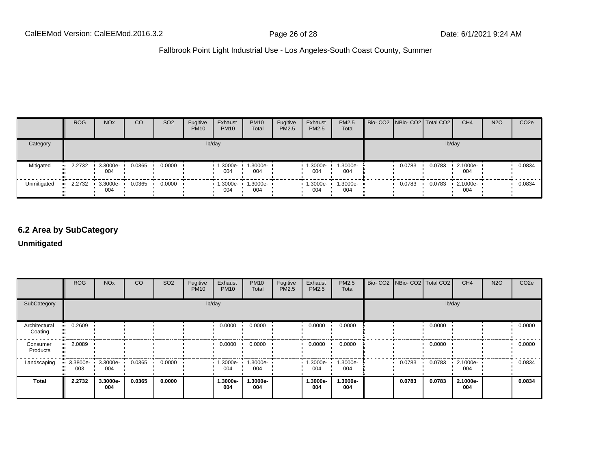|             | <b>ROG</b> | NO <sub>x</sub>                 | CO     | SO <sub>2</sub> | Fugitive<br><b>PM10</b> | Exhaust<br><b>PM10</b>     | <b>PM10</b><br>Total | Fugitive<br>PM2.5 | Exhaust<br><b>PM2.5</b> | <b>PM2.5</b><br>Total | Bio- CO2   NBio- CO2   Total CO2 |        | CH <sub>4</sub> | <b>N2O</b> | CO <sub>2</sub> e |
|-------------|------------|---------------------------------|--------|-----------------|-------------------------|----------------------------|----------------------|-------------------|-------------------------|-----------------------|----------------------------------|--------|-----------------|------------|-------------------|
| Category    |            |                                 |        |                 |                         | lb/day                     |                      |                   |                         |                       |                                  |        | lb/day          |            |                   |
| Mitigated   | $-2.2732$  | 3.3000e-<br>004                 | 0.0365 | 0.0000          |                         | 1.3000e-<br>004            | 1.3000e-<br>004      |                   | $-1.3000e-$<br>004      | 1.3000e-<br>004       | 0.0783                           | 0.0783 | 2.1000e-<br>004 |            | 0.0834            |
| Unmitigated | $-2.2732$  | $\cdot$ 3.3000e- $\cdot$<br>004 | 0.0365 | 0.0000          |                         | $1.3000e - 1.3000e$<br>004 | 004                  |                   | $-1.3000e -$<br>004     | $1.3000e -$<br>004    | 0.0783                           | 0.0783 | 2.1000e-<br>004 |            | 0.0834            |

# **6.2 Area by SubCategory**

#### **Unmitigated**

|                          | <b>ROG</b>                                                            | <b>NO<sub>x</sub></b> | CO.    | SO <sub>2</sub> | Fugitive<br><b>PM10</b> | Exhaust<br><b>PM10</b> | <b>PM10</b><br>Total | Fugitive<br>PM2.5 | Exhaust<br><b>PM2.5</b> | PM2.5<br>Total           | Bio- CO2   NBio- CO2   Total CO2 |        | CH <sub>4</sub> | <b>N2O</b> | CO <sub>2e</sub> |
|--------------------------|-----------------------------------------------------------------------|-----------------------|--------|-----------------|-------------------------|------------------------|----------------------|-------------------|-------------------------|--------------------------|----------------------------------|--------|-----------------|------------|------------------|
| SubCategory              |                                                                       |                       |        |                 |                         | lb/day                 |                      |                   |                         |                          |                                  |        | lb/day          |            |                  |
| Architectural<br>Coating | 0.2609<br>                                                            |                       |        |                 |                         | 0.0000                 | 0.0000               |                   | 0.0000                  | 0.0000                   |                                  | 0.0000 |                 |            | 0.0000           |
| Consumer<br>Products     | 2.0089                                                                |                       |        |                 |                         | 0.0000                 | 0.0000               |                   | 0.0000                  | 0.0000                   |                                  | 0.0000 |                 |            | 0.0000           |
| Landscaping              | $\blacksquare$ 3.3800e- $\blacksquare$ 3.3000e- $\blacksquare$<br>003 | 004                   | 0.0365 | 0.0000          |                         | $1.3000e - 1$<br>004   | 1.3000e-<br>004      |                   | 004                     | 1.3000e- 1.3000e-<br>004 | 0.0783                           | 0.0783 | 2.1000e-<br>004 |            | 0.0834           |
| Total                    | 2.2732                                                                | 3.3000e-<br>004       | 0.0365 | 0.0000          |                         | 1.3000e-<br>004        | 1.3000e-<br>004      |                   | 1.3000e-<br>004         | 1.3000e-<br>004          | 0.0783                           | 0.0783 | 2.1000e-<br>004 |            | 0.0834           |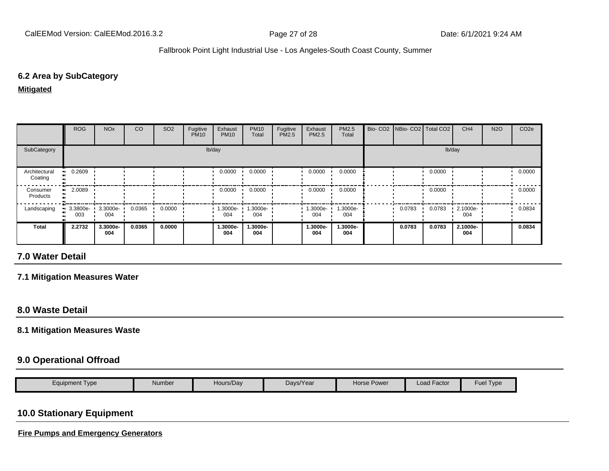#### **6.2 Area by SubCategory**

**Mitigated**

|                          | <b>ROG</b>                     | <b>NO<sub>x</sub></b> | CO     | SO <sub>2</sub> | Fugitive<br><b>PM10</b> | Exhaust<br><b>PM10</b> | <b>PM10</b><br>Total | Fugitive<br>PM2.5 | Exhaust<br><b>PM2.5</b> | PM2.5<br>Total  | Bio- CO2   NBio- CO2   Total CO2 |        | CH <sub>4</sub> | <b>N2O</b> | CO <sub>2e</sub> |
|--------------------------|--------------------------------|-----------------------|--------|-----------------|-------------------------|------------------------|----------------------|-------------------|-------------------------|-----------------|----------------------------------|--------|-----------------|------------|------------------|
| SubCategory              |                                |                       |        |                 |                         | lb/day                 |                      |                   |                         |                 |                                  |        | lb/day          |            |                  |
| Architectural<br>Coating | $-0.2609$                      |                       |        |                 |                         | 0.0000                 | 0.0000               |                   | 0.0000                  | 0.0000          |                                  | 0.0000 |                 |            | 0.0000           |
| Consumer<br>Products     | 2.0089                         |                       |        |                 |                         | 0.0000                 | 0.0000               |                   | 0.0000                  | 0.0000          |                                  | 0.0000 |                 |            | 0.0000           |
| Landscaping              | $\blacksquare$ 3.3800e-<br>003 | 3.3000e-<br>004       | 0.0365 | 0.0000          |                         | 1.3000e-<br>004        | -.3000e<br>004       |                   | 1.3000e-<br>004         | 1.3000e-<br>004 | 0.0783                           | 0.0783 | 2.1000e-<br>004 |            | 0.0834           |
| Total                    | 2.2732                         | 3.3000e-<br>004       | 0.0365 | 0.0000          |                         | 1.3000e-<br>004        | 1.3000e-<br>004      |                   | 1.3000e-<br>004         | 1.3000e-<br>004 | 0.0783                           | 0.0783 | 2.1000e-<br>004 |            | 0.0834           |

# **7.0 Water Detail**

#### **7.1 Mitigation Measures Water**

### **8.0 Waste Detail**

#### **8.1 Mitigation Measures Waste**

#### **9.0 Operational Offroad**

| Equipment Type | Number | Hours/Day | Days/Year | Horse Power | Load Factor | -<br>$-$<br>Fuer<br>Type |
|----------------|--------|-----------|-----------|-------------|-------------|--------------------------|

# **10.0 Stationary Equipment**

**Fire Pumps and Emergency Generators**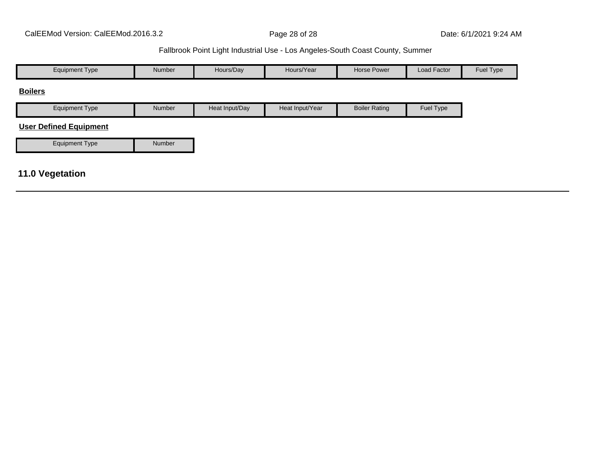| <b>Equipment Type</b>         | Number | Hours/Day      | Hours/Year      | <b>Horse Power</b>   | Load Factor | Fuel Type |
|-------------------------------|--------|----------------|-----------------|----------------------|-------------|-----------|
| <b>Boilers</b>                |        |                |                 |                      |             |           |
| <b>Equipment Type</b>         | Number | Heat Input/Day | Heat Input/Year | <b>Boiler Rating</b> | Fuel Type   |           |
| <b>User Defined Equipment</b> |        |                |                 |                      |             |           |
| <b>Equipment Type</b>         | Number |                |                 |                      |             |           |
|                               |        |                |                 |                      |             |           |
| <b>11.0 Vegetation</b>        |        |                |                 |                      |             |           |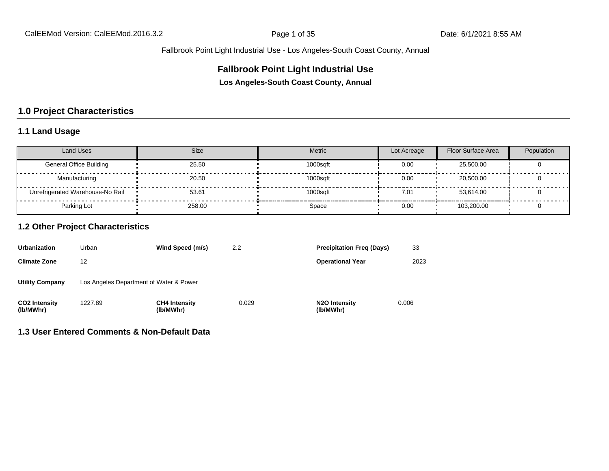### **Fallbrook Point Light Industrial Use**

**Los Angeles-South Coast County, Annual**

# **1.0 Project Characteristics**

## **1.1 Land Usage**

| Land Uses                        | <b>Size</b> | Metric   | Lot Acreage | Floor Surface Area | Population |
|----------------------------------|-------------|----------|-------------|--------------------|------------|
| <b>General Office Building</b>   | 25.50       | 1000sqft | 0.00        | 25,500.00          |            |
| Manufacturing                    | 20.50       | 1000sqft | 0.00        | 20,500,00          |            |
| Unrefrigerated Warehouse-No Rail | 53.61       | 1000saft | 7.01        | 53.614.00          |            |
| Parking Lot                      | 258.00      | Space    | 0.00        | 103.200.00         |            |

#### **1.2 Other Project Characteristics**

| <b>Urbanization</b>               | Urban                                   | Wind Speed (m/s)                  | 2.2   | <b>Precipitation Freg (Days)</b>        | 33    |
|-----------------------------------|-----------------------------------------|-----------------------------------|-------|-----------------------------------------|-------|
| <b>Climate Zone</b>               | 12                                      |                                   |       | <b>Operational Year</b>                 | 2023  |
| <b>Utility Company</b>            | Los Angeles Department of Water & Power |                                   |       |                                         |       |
| <b>CO2 Intensity</b><br>(lb/MWhr) | 1227.89                                 | <b>CH4 Intensity</b><br>(lb/MWhr) | 0.029 | N <sub>2</sub> O Intensity<br>(lb/MWhr) | 0.006 |

#### **1.3 User Entered Comments & Non-Default Data**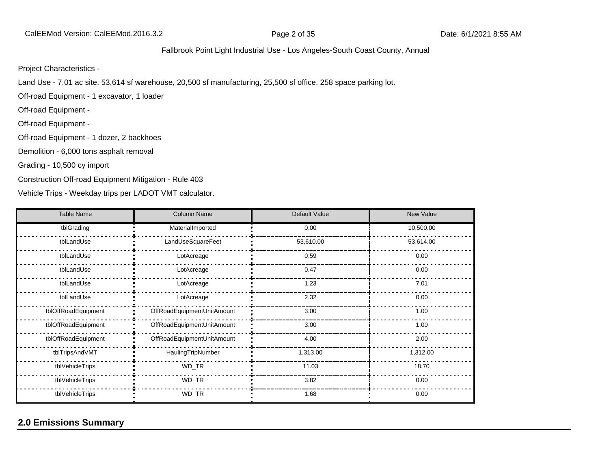#### Project Characteristics -

Land Use - 7.01 ac site. 53,614 sf warehouse, 20,500 sf manufacturing, 25,500 sf office, 258 space parking lot.

Off-road Equipment - 1 excavator, 1 loader

Off-road Equipment -

Off-road Equipment -

Off-road Equipment - 1 dozer, 2 backhoes

Demolition - 6,000 tons asphalt removal

Grading - 10,500 cy import

Construction Off-road Equipment Mitigation - Rule 403

Vehicle Trips - Weekday trips per LADOT VMT calculator.

| <b>Table Name</b>   | <b>Column Name</b>         | Default Value | <b>New Value</b> |
|---------------------|----------------------------|---------------|------------------|
| tblGrading          | MaterialImported           | 0.00          | 10,500.00        |
| tblLandUse          | LandUseSquareFeet          | 53,610.00     | 53,614.00        |
| tblLandUse          | LotAcreage                 | 0.59          | 0.00             |
| tblLandUse          | LotAcreage                 | 0.47          | 0.00             |
| tblLandUse          | LotAcreage                 | 1.23          | 7.01             |
| tblLandUse          | LotAcreage                 | 2.32          | 0.00             |
| tblOffRoadEquipment | OffRoadEquipmentUnitAmount | 3.00          | 1.00             |
| tblOffRoadEquipment | OffRoadEquipmentUnitAmount | 3.00          | 1.00             |
| tblOffRoadEquipment | OffRoadEquipmentUnitAmount | 4.00          | 2.00             |
| tblTripsAndVMT      | HaulingTripNumber          | 1,313.00      | 1,312.00         |
| tblVehicleTrips     | WD_TR                      | 11.03         | 18.70            |
| tblVehicleTrips     | WD_TR                      | 3.82          | 0.00             |
| tblVehicleTrips     | WD_TR                      | 1.68          | 0.00             |

# **2.0 Emissions Summary**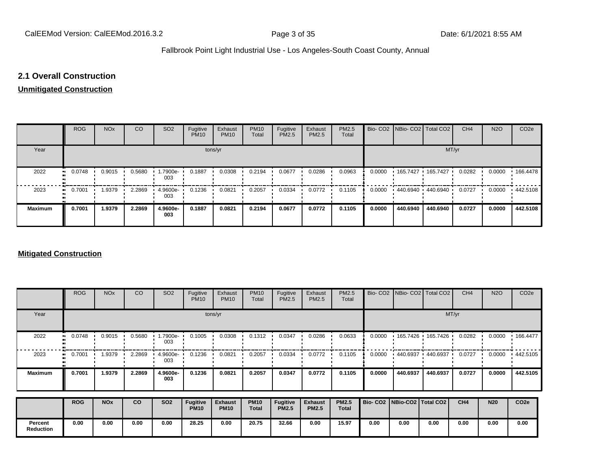#### **2.1 Overall Construction**

# **Unmitigated Construction**

|                | <b>ROG</b> | <b>NO<sub>x</sub></b> | CO     | SO <sub>2</sub> | Fugitive<br><b>PM10</b> | Exhaust<br><b>PM10</b> | <b>PM10</b><br>Total | Fugitive<br>PM2.5 | Exhaust<br>PM2.5 | PM2.5<br>Total |        | Bio- CO2   NBio- CO2   Total CO2          |          | CH <sub>4</sub> | <b>N2O</b> | CO <sub>2e</sub> |
|----------------|------------|-----------------------|--------|-----------------|-------------------------|------------------------|----------------------|-------------------|------------------|----------------|--------|-------------------------------------------|----------|-----------------|------------|------------------|
| Year           |            |                       |        |                 | tons/yr                 |                        |                      |                   |                  |                |        |                                           | MT/yr    |                 |            |                  |
| 2022           | 0.0748     | 0.9015                | 0.5680 | 1.7900e-<br>003 | 0.1887                  | 0.0308                 | 0.2194               | 0.0677            | 0.0286           | 0.0963         | 0.0000 | $\cdot$ 165.7427 $\cdot$ 165.7427         |          | 0.0282          | 0.0000     | .166.4478        |
| 2023           | 0.7001<br> | 1.9379                | 2.2869 | 4.9600e-<br>003 | 0.1236                  | 0.0821                 | 0.2057               | 0.0334            | 0.0772           | 0.1105         | 0.0000 | $\cdot$ 440.6940 $\cdot$ 440.6940 $\cdot$ |          | 0.0727          | 0.0000     | 442.5108         |
| <b>Maximum</b> | 0.7001     | 1.9379                | 2.2869 | 4.9600e-<br>003 | 0.1887                  | 0.0821                 | 0.2194               | 0.0677            | 0.0772           | 0.1105         | 0.0000 | 440.6940                                  | 440.6940 | 0.0727          | 0.0000     | 442.5108         |

#### **Mitigated Construction**

|                             | <b>ROG</b>          | <b>NO<sub>x</sub></b> | CO     | SO <sub>2</sub>  | Fugitive<br><b>PM10</b>        | Exhaust<br><b>PM10</b>        | <b>PM10</b><br>Total        | Fugitive<br>PM2.5               | Exhaust<br>PM2.5               | PM2.5<br>Total               |                                 |           | Bio- CO2   NBio- CO2   Total CO2 | CH <sub>4</sub> | <b>N2O</b> | CO <sub>2</sub> e |  |  |  |  |
|-----------------------------|---------------------|-----------------------|--------|------------------|--------------------------------|-------------------------------|-----------------------------|---------------------------------|--------------------------------|------------------------------|---------------------------------|-----------|----------------------------------|-----------------|------------|-------------------|--|--|--|--|
| Year                        |                     | tons/yr               |        |                  |                                |                               |                             |                                 |                                |                              |                                 |           | MT/yr                            |                 |            |                   |  |  |  |  |
| 2022                        | 0.0748<br>$\bullet$ | 0.9015                | 0.5680 | 1.7900e-<br>003  | 0.1005                         | 0.0308                        | 0.1312                      | 0.0347                          | 0.0286                         | 0.0633                       | 0.0000                          | 165.7426  | 165.7426                         | 0.0282          | 0.0000     | 166.4477          |  |  |  |  |
| 2023                        | 0.7001              | 9379.                 | 2.2869 | 4.9600e ·<br>003 | 0.1236                         | 0.0821                        | 0.2057                      | 0.0334                          | 0.0772                         | 0.1105                       | 0.0000                          | .440.6937 | 440.6937                         | 0.0727          | 0.0000     | 442.5105          |  |  |  |  |
| <b>Maximum</b>              | 0.7001              | 1.9379                | 2.2869 | 4.9600e-<br>003  | 0.1236                         | 0.0821                        | 0.2057                      | 0.0347                          | 0.0772                         | 0.1105                       | 0.0000                          | 440.6937  | 440.6937                         | 0.0727          | 0.0000     | 442.5105          |  |  |  |  |
|                             | <b>ROG</b>          | <b>NO<sub>x</sub></b> | CO     | <b>SO2</b>       | <b>Fugitive</b><br><b>PM10</b> | <b>Exhaust</b><br><b>PM10</b> | <b>PM10</b><br><b>Total</b> | <b>Fugitive</b><br><b>PM2.5</b> | <b>Exhaust</b><br><b>PM2.5</b> | <b>PM2.5</b><br><b>Total</b> | Bio- CO2   NBio-CO2   Total CO2 |           |                                  | CH4             | <b>N20</b> | CO <sub>2e</sub>  |  |  |  |  |
| Percent<br><b>Reduction</b> | 0.00                | 0.00                  | 0.00   | 0.00             | 28.25                          | 0.00                          | 20.75                       | 32.66                           | 0.00                           | 15.97                        | 0.00                            | 0.00      | 0.00                             | 0.00            | 0.00       | 0.00              |  |  |  |  |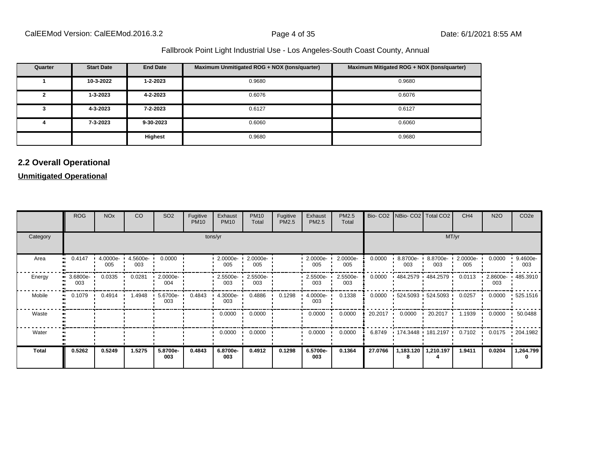| Quarter | <b>Start Date</b> | <b>End Date</b> | Maximum Unmitigated ROG + NOX (tons/quarter) | Maximum Mitigated ROG + NOX (tons/quarter) |
|---------|-------------------|-----------------|----------------------------------------------|--------------------------------------------|
|         | 10-3-2022         | $1 - 2 - 2023$  | 0.9680                                       | 0.9680                                     |
|         | 1-3-2023          | 4-2-2023        | 0.6076                                       | 0.6076                                     |
|         | 4-3-2023          | 7-2-2023        | 0.6127                                       | 0.6127                                     |
|         | 7-3-2023          | 9-30-2023       | 0.6060                                       | 0.6060                                     |
|         |                   | Highest         | 0.9680                                       | 0.9680                                     |

# **2.2 Overall Operational**

#### **Unmitigated Operational**

|          | <b>ROG</b>         | <b>NO<sub>x</sub></b>  | CO              | SO <sub>2</sub>   | Fugitive<br><b>PM10</b> | Exhaust<br><b>PM10</b> | <b>PM10</b><br>Total | Fugitive<br><b>PM2.5</b> | Exhaust<br>PM2.5   | PM2.5<br>Total  |         | Bio- CO2   NBio- CO2   Total CO2 |                                           | CH <sub>4</sub> | <b>N2O</b>      | CO <sub>2e</sub> |
|----------|--------------------|------------------------|-----------------|-------------------|-------------------------|------------------------|----------------------|--------------------------|--------------------|-----------------|---------|----------------------------------|-------------------------------------------|-----------------|-----------------|------------------|
| Category |                    |                        |                 |                   |                         | tons/yr                |                      | MT/yr                    |                    |                 |         |                                  |                                           |                 |                 |                  |
| Area     | 0.4147             | 4.0000e-<br>. .<br>005 | 4.5600e-<br>003 | 0.0000            |                         | $2.0000e -$<br>005     | 2.0000e-<br>005      |                          | 2.0000e-<br>005    | 2.0000e-<br>005 | 0.0000  | 8.8700e-<br>003                  | 8.8700e-<br>003                           | 2.0000e-<br>005 | 0.0000          | 9.4600e-<br>003  |
| Energy   | $3.6800e -$<br>003 | 0.0335                 | 0.0281          | $2.0000e-$<br>004 |                         | $2.5500e -$<br>003     | 2.5500e-<br>003      |                          | 2.5500e-<br>003    | 2.5500e-<br>003 | 0.0000  |                                  | 484.2579 484.2579 1                       | 0.0113          | 2.8600e-<br>003 | 485.3910         |
| Mobile   | 0.1079<br>         | 0.4914                 | 1.4948          | 5.6700e-<br>003   | 0.4843                  | $4.3000e -$<br>003     | 0.4886               | 0.1298                   | $4.0000e -$<br>003 | 0.1338          | 0.0000  |                                  | $\cdot$ 524.5093 $\cdot$ 524.5093 $\cdot$ | 0.0257          | 0.0000          | 525.1516         |
| Waste    |                    |                        |                 |                   |                         | 0.0000                 | 0.0000               |                          | 0.0000             | 0.0000          | 20.2017 | 0.0000                           | 20.2017<br>. .                            | 1.1939          | 0.0000          | 50.0488          |
| Water    |                    |                        |                 |                   |                         | 0.0000                 | 0.0000               |                          | 0.0000             | 0.0000          | 6.8749  |                                  | • 174.3448 • 181.2197 • 0.7102 •          |                 | 0.0175          | .204.1982        |
| Total    | 0.5262             | 0.5249                 | 1.5275          | 5.8700e-<br>003   | 0.4843                  | 6.8700e-<br>003        | 0.4912               | 0.1298                   | 6.5700e-<br>003    | 0.1364          | 27.0766 | 1,183.120                        | 1,210.197                                 | 1.9411          | 0.0204          | 1,264.799<br>0   |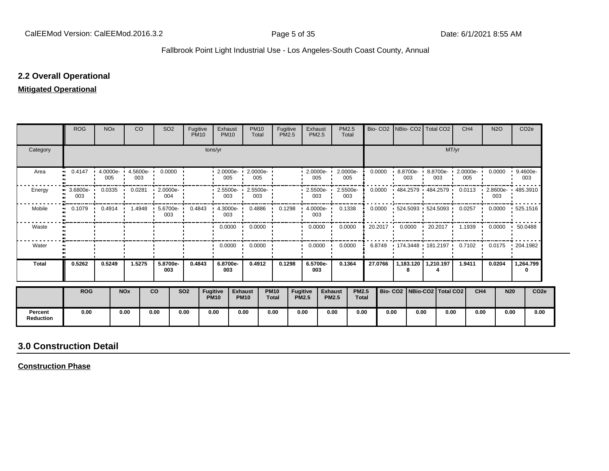#### **2.2 Overall Operational**

#### **Mitigated Operational**

|                             | <b>ROG</b>                 | <b>NO<sub>x</sub></b> |            | <b>CO</b> | SO <sub>2</sub>                                                                | Fugitive<br><b>PM10</b> |                         | Exhaust<br><b>PM10</b>                           | <b>PM10</b><br>Total            | Fugitive<br><b>PM2.5</b>    |                          | Exhaust<br><b>PM2.5</b> |                                | PM2.5<br>Total  |                              |         | Bio- CO2   NBio- CO2   Total CO2                         |      |       | CH <sub>4</sub>         |                 | <b>N2O</b> | CO <sub>2e</sub>          |                  |
|-----------------------------|----------------------------|-----------------------|------------|-----------|--------------------------------------------------------------------------------|-------------------------|-------------------------|--------------------------------------------------|---------------------------------|-----------------------------|--------------------------|-------------------------|--------------------------------|-----------------|------------------------------|---------|----------------------------------------------------------|------|-------|-------------------------|-----------------|------------|---------------------------|------------------|
| Category                    |                            |                       |            |           |                                                                                |                         | tons/yr                 |                                                  |                                 |                             |                          |                         |                                |                 |                              |         |                                                          |      | MT/yr |                         |                 |            |                           |                  |
| Area                        | 0.4147<br>$\bullet\bullet$ | 005                   |            | 003       | $\cdot$ 4.0000e 4.5600e 0.0000                                                 |                         |                         | $\cdot$ 2.0000e- $\cdot$ 2.0000e- $\cdot$<br>005 | 005                             |                             |                          | $-2.0000e -$<br>005     |                                | 2.0000e-<br>005 |                              | 0.0000  | 8.8700e- 1 8.8700e- 1<br>003                             |      | 003   | 2.0000e-<br>005         |                 |            | $0.0000 + 9.4600e$<br>003 |                  |
| Energy                      | $3.6800e -$<br>003         | 0.0335                | 0.0281     |           | $-2.0000e-$<br>004                                                             |                         |                         | $\cdot$ 2.5500e- $\cdot$ 2.5500e-<br>003         | 003                             |                             |                          | $-2.5500e-$<br>003      |                                | 2.5500e-<br>003 |                              | 0.0000  | 484.2579 484.2579 1                                      |      |       | $0.0113$ $\blacksquare$ |                 | 003        | 2.8600e- 1485.3910        |                  |
| Mobile                      | $\bullet$                  |                       |            |           | 0.1079   0.4914   1.4948   5.6700e-  0.4843   4.3000e-  0.4886   0.1298<br>003 |                         |                         | 003                                              |                                 |                             |                          | $4.0000e -$<br>003      |                                | 0.1338          |                              | 0.0000  | 1 524.5093 1 524.5093 1 0.0257 1 0.0000 1 525.1516       |      |       |                         |                 |            |                           |                  |
| Waste                       |                            |                       |            |           |                                                                                |                         |                         |                                                  | $0.0000$ $\cdot$ 0.0000 $\cdot$ |                             |                          | $0.0000$ $\blacksquare$ |                                | 0.0000          |                              |         |                                                          |      |       |                         |                 |            |                           |                  |
| Water                       |                            |                       |            |           |                                                                                |                         |                         | $0.0000$ $\cdot$                                 | 0.0000                          |                             |                          | 0.0000                  |                                | 0.0000          |                              | 6.8749  | $\cdot$ 174.3448 $\cdot$ 181.2197 $\cdot$ 0.7102 $\cdot$ |      |       |                         |                 |            | $0.0175$ $\cdot$ 204.1982 |                  |
| <b>Total</b>                | 0.5262                     | 0.5249                |            | 1.5275    | 5.8700e-<br>003                                                                | 0.4843                  |                         | 6.8700e-<br>003                                  | 0.4912                          |                             | 0.1298                   | 6.5700e-<br>003         |                                | 0.1364          |                              | 27.0766 | 1,183.120   1,210.197                                    |      |       | 1.9411                  |                 | 0.0204     | 1,264.799<br>0            |                  |
|                             | <b>ROG</b>                 |                       | <b>NOx</b> |           | <b>CO</b>                                                                      | <b>SO2</b>              | Fugitive<br><b>PM10</b> |                                                  | <b>Exhaust</b><br><b>PM10</b>   | <b>PM10</b><br><b>Total</b> | Fugitive<br><b>PM2.5</b> |                         | <b>Exhaust</b><br><b>PM2.5</b> |                 | <b>PM2.5</b><br><b>Total</b> |         | Bio- CO2   NBio-CO2   Total CO2                          |      |       |                         | CH <sub>4</sub> | <b>N20</b> |                           | CO <sub>2e</sub> |
| Percent<br><b>Reduction</b> | 0.00                       |                       | 0.00       |           | 0.00                                                                           | 0.00                    | 0.00                    |                                                  | 0.00                            | 0.00                        | 0.00                     |                         | 0.00                           |                 | 0.00                         | 0.00    |                                                          | 0.00 | 0.00  |                         | 0.00            | 0.00       |                           | 0.00             |

# **3.0 Construction Detail**

**Construction Phase**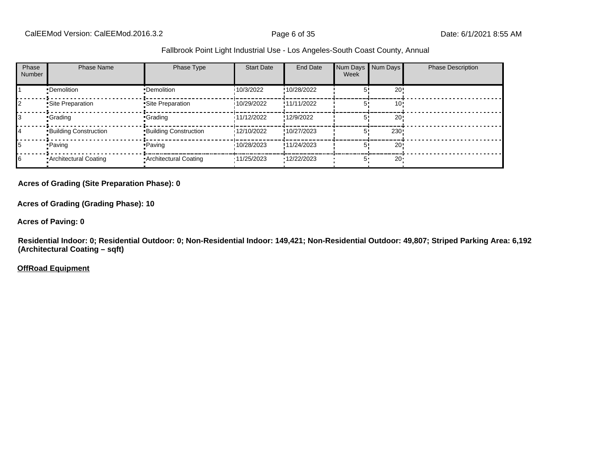| Phase<br><b>Number</b> | <b>Phase Name</b>            | Phase Type                   | <b>Start Date</b> | End Date    | Num Days Num Days<br>Week |        | <b>Phase Description</b> |
|------------------------|------------------------------|------------------------------|-------------------|-------------|---------------------------|--------|--------------------------|
|                        | •Demolition                  | •Demolition                  | 10/3/2022         | !10/28/2022 |                           | 20!    |                          |
|                        | Site Preparation             | Site Preparation             | 10/29/2022        | !11/11/2022 |                           | 10'    |                          |
|                        | <b>Crading</b>               | -Grading                     | 11/12/2022        | !12/9/2022  |                           | 20!    |                          |
| 14                     | <b>Building Construction</b> | <b>Building Construction</b> | 12/10/2022        | !10/27/2023 | 5'                        | 230!   |                          |
|                        | • Paving                     | • Paving                     | 10/28/2023        | !11/24/2023 |                           | 20!    |                          |
| 16                     | Architectural Coating        | • Architectural Coating      | '11/25/2023       | '12/22/2023 | 5'                        | $20 -$ |                          |

#### **Acres of Grading (Site Preparation Phase): 0**

**Acres of Grading (Grading Phase): 10**

**Acres of Paving: 0**

**Residential Indoor: 0; Residential Outdoor: 0; Non-Residential Indoor: 149,421; Non-Residential Outdoor: 49,807; Striped Parking Area: 6,192 (Architectural Coating – sqft)**

**OffRoad Equipment**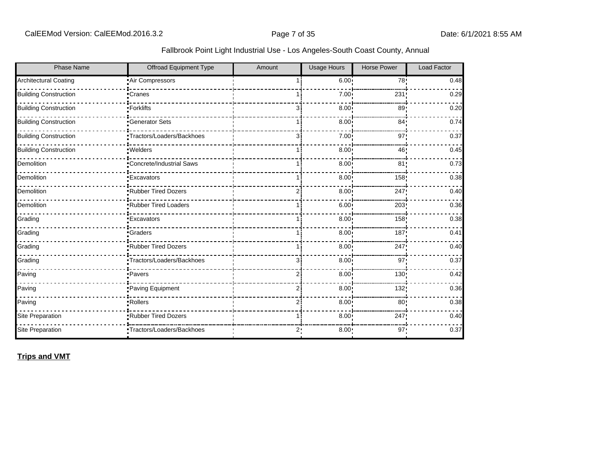| Fallbrook Point Light Industrial Use - Los Angeles-South Coast County, Annual |  |
|-------------------------------------------------------------------------------|--|
|                                                                               |  |

| <b>Phase Name</b>            | <b>Offroad Equipment Type</b> | Amount | <b>Usage Hours</b> | <b>Horse Power</b> | <b>Load Factor</b> |
|------------------------------|-------------------------------|--------|--------------------|--------------------|--------------------|
| Architectural Coating        | Air Compressors               |        | 6.00:              | 78!                | 0.48               |
| <b>Building Construction</b> | Cranes                        |        | 7.00 <sub>1</sub>  | 231                | 0.29               |
| <b>Building Construction</b> | -Forklifts                    | 31     | 8.00               | 89                 | 0.20               |
| <b>Building Construction</b> | <b>Generator Sets</b>         |        | 8.00 <sub>1</sub>  | 84 <sub>1</sub>    | 0.74               |
| <b>Building Construction</b> | Tractors/Loaders/Backhoes     | з:     | 7.00 <sub>1</sub>  | 97:                | 0.37               |
| <b>Building Construction</b> | ·Welders                      | 1 :    | 8.00               | 46!                | 0.45               |
| Demolition                   | Concrete/Industrial Saws      |        | 8.00               | 81 <sub>2</sub>    | 0.73               |
| Demolition                   | <b>Excavators</b>             |        | 8.00               | 158                | 0.38               |
| Demolition                   | Rubber Tired Dozers           | 2      | $8.00$ !           | 247!               | 0.40               |
| Demolition                   | Rubber Tired Loaders          |        | $6.00$ !           | 203                | 0.36               |
| Grading                      | <b>Excavators</b>             |        | 8.00 <sub>1</sub>  | 158                | 0.38               |
| Grading                      | <b>•Graders</b>               | 11     | 8.00               | 187                | 0.41               |
| Grading                      | Rubber Tired Dozers           | 1 :    | 8.00               | 247                | 0.40               |
| Grading                      | *Tractors/Loaders/Backhoes    | Зi     | 8.00 <sub>1</sub>  | 97 <sub>1</sub>    | 0.37               |
| Paving                       | -Pavers                       | 2      | 8.00               | 130                | 0.42               |
| Paving                       | Paving Equipment              | 2i     | $8.00$ !           | 132!               | 0.36               |
| Paving                       | -Rollers                      | ا 2    | 8.00               | 80                 | 0.38               |
| Site Preparation             | Rubber Tired Dozers           |        | 8.00 <sub>1</sub>  | 247                | 0.40               |
| Site Preparation             | "Tractors/Loaders/Backhoes    | 2:     | 8.00               | 97:                | 0.37               |

**Trips and VMT**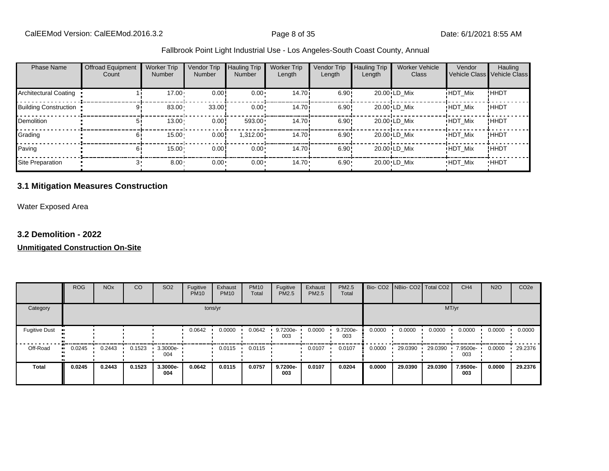| <b>Phase Name</b>            | Offroad Equipment<br>Count | <b>Worker Trip</b><br>Number | Vendor Trip<br><b>Number</b> | Hauling Trip<br><b>Number</b> | <b>Worker Trip</b><br>Length | Vendor Trip<br>Length | <b>Hauling Trip</b><br>Length | <b>Worker Vehicle</b><br>Class | Vendor         | Hauling<br>Vehicle Class Vehicle Class |
|------------------------------|----------------------------|------------------------------|------------------------------|-------------------------------|------------------------------|-----------------------|-------------------------------|--------------------------------|----------------|----------------------------------------|
| <b>Architectural Coating</b> |                            | 17.00                        | 0.00                         | $0.00 \cdot$                  | 14.70 <sup>i</sup>           | 6.90!                 |                               | 20.00 LD Mix                   | <b>HDT Mix</b> | <b>!HHDT</b>                           |
| <b>Building Construction</b> |                            | 83.00                        | 33.00                        | $0.00 \cdot$                  | 14.70 <sup>i</sup>           | 6.90!                 |                               | 20.00 LD Mix                   | <b>HDT Mix</b> | ! ННDТ                                 |
| <b>Demolition</b>            | 51                         | $13.00 -$                    | 0.00!                        | 593.00                        | 14.70i                       | 6.90!                 |                               | 20.00 LD Mix                   | <b>HDT Mix</b> | <b>HHDT</b>                            |
| Grading                      | 61                         | $15.00 -$                    | 0.00                         | $1,312.00 \cdot$              | 14.70i                       | 6.90!                 |                               | 20.00 LD Mix                   | <b>HDT Mix</b> | !HHDT                                  |
| Paving                       | 61                         | 15.00                        | 0.00                         | $0.00 \cdot$                  | 14.70 <sup>i</sup>           | 6.90!                 |                               | 20.00 LD Mix                   | <b>HDT Mix</b> | ! ННDТ                                 |
| Site Preparation             |                            | $8.00 -$                     | $0.00 -$                     | $0.00 \cdot$                  | $14.70 \cdot$                | $6.90 -$              |                               | 20.00 LD Mix                   | <b>HDT Mix</b> | <b>HHDT</b>                            |

#### **3.1 Mitigation Measures Construction**

Water Exposed Area

#### **3.2 Demolition - 2022**

|                      | <b>ROG</b>   | <b>NO<sub>x</sub></b> | CO     | SO <sub>2</sub> | Fugitive<br><b>PM10</b> | Exhaust<br><b>PM10</b> | <b>PM10</b><br>Total | Fugitive<br><b>PM2.5</b> | Exhaust<br>PM2.5 | <b>PM2.5</b><br>Total |        | Bio- CO2 NBio- CO2 Total CO2 |         | CH <sub>4</sub> | <b>N2O</b> | CO <sub>2e</sub> |
|----------------------|--------------|-----------------------|--------|-----------------|-------------------------|------------------------|----------------------|--------------------------|------------------|-----------------------|--------|------------------------------|---------|-----------------|------------|------------------|
| Category             |              |                       |        |                 |                         | tons/yr                |                      |                          |                  |                       |        |                              |         | MT/yr           |            |                  |
| <b>Fugitive Dust</b> |              |                       |        |                 | 0.0642                  | 0.0000                 | 0.0642               | 9.7200e-<br>003          | 0.0000           | 9.7200e-<br>003       | 0.0000 | 0.0000                       | 0.0000  | 0.0000          | 0.0000     | 0.0000           |
| Off-Road             | 0.0245<br>ш. | 0.2443                | 0.1523 | 3.3000e-<br>004 |                         | 0.0115                 | 0.0115               |                          | 0.0107           | 0.0107                | 0.0000 | 29.0390                      | 29.0390 | 7.9500e-<br>003 | 0.0000     | 29.2376          |
| <b>Total</b>         | 0.0245       | 0.2443                | 0.1523 | 3.3000e-<br>004 | 0.0642                  | 0.0115                 | 0.0757               | 9.7200e-<br>003          | 0.0107           | 0.0204                | 0.0000 | 29.0390                      | 29.0390 | 7.9500e-<br>003 | 0.0000     | 29.2376          |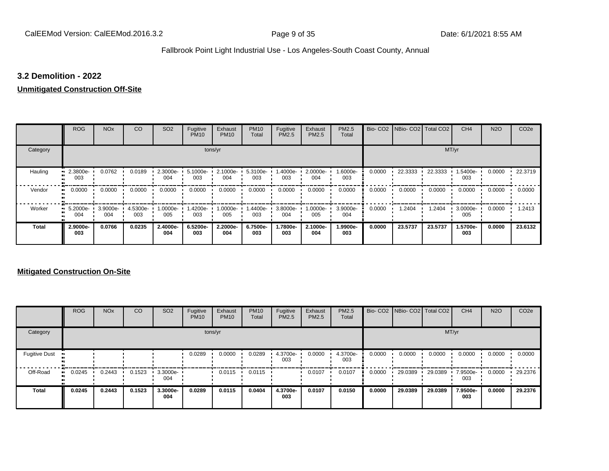#### **3.2 Demolition - 2022**

#### **Unmitigated Construction Off-Site**

|              | <b>ROG</b>      | <b>NO<sub>x</sub></b> | CO              | SO <sub>2</sub> | Fugitive<br><b>PM10</b> | Exhaust<br><b>PM10</b> | <b>PM10</b><br>Total | Fugitive<br><b>PM2.5</b> | Exhaust<br><b>PM2.5</b> | PM2.5<br>Total  | Bio-CO <sub>2</sub> | NBio- CO2   Total CO2 |         | CH <sub>4</sub> | <b>N2O</b> | CO <sub>2e</sub> |
|--------------|-----------------|-----------------------|-----------------|-----------------|-------------------------|------------------------|----------------------|--------------------------|-------------------------|-----------------|---------------------|-----------------------|---------|-----------------|------------|------------------|
| Category     |                 |                       |                 |                 |                         | tons/yr                |                      |                          |                         |                 |                     |                       | MT/yr   |                 |            |                  |
| Hauling      | 2.3800e-<br>003 | 0.0762                | 0.0189          | 2.3000e-<br>004 | 5.1000e-<br>003         | 2.1000e-<br>004        | 5.3100e<br>003       | 1.4000e-<br>003          | 2.0000e-<br>004         | 1.6000e-<br>003 | 0.0000              | 22.3333               | 22.3333 | 1.5400e-<br>003 | 0.0000     | 22.3719          |
| Vendor       | 0.0000<br>œ     | 0.0000                | 0.0000          | 0.0000          | 0.0000                  | 0.0000                 | 0.0000               | 0.0000                   | 0.0000                  | 0.0000          | 0.0000              | 0.0000                | 0.0000  | 0.0000          | 0.0000     | 0.0000           |
| Worker       | 5.2000e-<br>004 | 3.9000e-<br>004       | 4.5300e-<br>003 | 1.0000e-<br>005 | -4200e.<br>003          | 1.0000e-<br>005        | 1.4400e-<br>003      | 3.8000e-<br>004          | -:0000e<br>005          | 3.9000e-<br>004 | 0.0000              | 1.2404                | 1.2404  | 3.0000e-<br>005 | 0.0000     | 1.2413           |
| <b>Total</b> | 2.9000e-<br>003 | 0.0766                | 0.0235          | 2.4000e-<br>004 | 6.5200e-<br>003         | 2.2000e-<br>004        | 6.7500e-<br>003      | 1.7800e-<br>003          | 2.1000e-<br>004         | 1.9900e-<br>003 | 0.0000              | 23.5737               | 23.5737 | 1.5700e-<br>003 | 0.0000     | 23.6132          |

|                      | <b>ROG</b>   | <b>NO<sub>x</sub></b> | CO     | SO <sub>2</sub> | Fugitive<br><b>PM10</b> | Exhaust<br><b>PM10</b> | <b>PM10</b><br>Total | Fugitive<br>PM2.5 | Exhaust<br><b>PM2.5</b> | <b>PM2.5</b><br>Total |        | Bio- CO2   NBio- CO2   Total CO2 |         | CH <sub>4</sub> | <b>N2O</b> | CO <sub>2e</sub> |
|----------------------|--------------|-----------------------|--------|-----------------|-------------------------|------------------------|----------------------|-------------------|-------------------------|-----------------------|--------|----------------------------------|---------|-----------------|------------|------------------|
| Category             |              |                       |        |                 |                         | tons/yr                |                      |                   |                         |                       |        |                                  |         | MT/yr           |            |                  |
| <b>Fugitive Dust</b> |              |                       |        |                 | 0.0289                  | 0.0000                 | 0.0289               | 4.3700e-<br>003   | 0.0000                  | 4.3700e-<br>003       | 0.0000 | 0.0000                           | 0.0000  | 0.0000          | 0.0000     | 0.0000           |
| Off-Road             | 0.0245<br>ш. | 0.2443                | 0.1523 | 3.3000e-<br>004 |                         | 0.0115                 | 0.0115               |                   | 0.0107                  | 0.0107                | 0.0000 | 29.0389                          | 29.0389 | 7.9500e-<br>003 | 0.0000     | 29.2376          |
| <b>Total</b>         | 0.0245       | 0.2443                | 0.1523 | 3.3000e-<br>004 | 0.0289                  | 0.0115                 | 0.0404               | 4.3700e-<br>003   | 0.0107                  | 0.0150                | 0.0000 | 29.0389                          | 29.0389 | 7.9500e-<br>003 | 0.0000     | 29.2376          |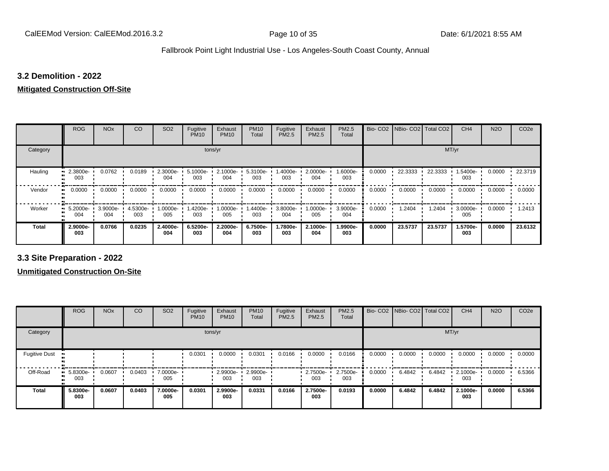#### **3.2 Demolition - 2022**

# **Mitigated Construction Off-Site**

|                     | <b>ROG</b>      | <b>NO<sub>x</sub></b> | CO              | SO <sub>2</sub> | Fugitive<br><b>PM10</b> | Exhaust<br><b>PM10</b> | <b>PM10</b><br>Total | Fugitive<br>PM2.5 | Exhaust<br>PM2.5 | PM2.5<br>Total  |        | Bio- CO2   NBio- CO2   Total CO2 |         | CH <sub>4</sub> | <b>N2O</b> | CO <sub>2e</sub> |
|---------------------|-----------------|-----------------------|-----------------|-----------------|-------------------------|------------------------|----------------------|-------------------|------------------|-----------------|--------|----------------------------------|---------|-----------------|------------|------------------|
| Category            |                 |                       |                 |                 | tons/yr                 |                        |                      |                   |                  |                 |        |                                  | MT/yr   |                 |            |                  |
| Hauling             | 2.3800e-<br>003 | 0.0762                | 0.0189          | 2.3000e-<br>004 | $5.1000e -$<br>003      | 2.1000e-<br>004        | 5.3100e-<br>003      | -.4000e<br>003    | 2.0000e-<br>004  | 1.6000e-<br>003 | 0.0000 | 22.3333                          | 22.3333 | 1.5400e-<br>003 | 0.0000     | 22.3719          |
| Vendor<br>$\bullet$ | 0.0000          | 0.0000                | 0.0000          | 0.0000          | 0.0000                  | 0.0000                 | 0.0000               | 0.0000            | 0.0000           | 0.0000          | 0.0000 | 0.0000                           | 0.0000  | 0.0000          | 0.0000     | 0.0000           |
| Worker<br>$\bullet$ | 5.2000e-<br>004 | 3.9000e-<br>004       | 4.5300e-<br>003 | 1.0000e-<br>005 | -4200e-<br>003          | 1.0000e-<br>005        | 1.4400e-<br>003      | 3.8000e-<br>004   | $.0000e-$<br>005 | 3.9000e-<br>004 | 0.0000 | 1.2404                           | 1.2404  | 3.0000e-<br>005 | 0.0000     | 1.2413           |
| <b>Total</b>        | 2.9000e-<br>003 | 0.0766                | 0.0235          | 2.4000e-<br>004 | 6.5200e-<br>003         | 2.2000e-<br>004        | 6.7500e-<br>003      | 1.7800e-<br>003   | 2.1000e-<br>004  | 1.9900e-<br>003 | 0.0000 | 23.5737                          | 23.5737 | 1.5700e-<br>003 | 0.0000     | 23.6132          |

**3.3 Site Preparation - 2022**

|                      | <b>ROG</b>                   | <b>NO<sub>x</sub></b> | CO     | SO <sub>2</sub> | Fugitive<br><b>PM10</b> | Exhaust<br><b>PM10</b> | <b>PM10</b><br>Total | Fugitive<br>PM2.5 | Exhaust<br><b>PM2.5</b> | PM2.5<br>Total  |        | Bio- CO2   NBio- CO2   Total CO2 |        | CH <sub>4</sub> | <b>N2O</b> | CO <sub>2e</sub> |
|----------------------|------------------------------|-----------------------|--------|-----------------|-------------------------|------------------------|----------------------|-------------------|-------------------------|-----------------|--------|----------------------------------|--------|-----------------|------------|------------------|
| Category             |                              |                       |        |                 |                         | tons/yr                |                      |                   |                         |                 |        |                                  | MT/yr  |                 |            |                  |
| <b>Fugitive Dust</b> |                              |                       |        |                 | 0.0301                  | 0.0000                 | 0.0301               | 0.0166            | 0.0000                  | 0.0166          | 0.0000 | 0.0000                           | 0.0000 | 0.0000          | 0.0000     | 0.0000           |
| Off-Road             | 5.8300e-<br>$\bullet$<br>003 | 0.0607                | 0.0403 | 7.0000e-<br>005 |                         | 2.9900e-<br>003        | 2.9900e-<br>003      |                   | 2.7500e-<br>003         | 2.7500e-<br>003 | 0.0000 | 6.4842                           | 6.4842 | 2.1000e-<br>003 | 0.0000     | 6.5366           |
| <b>Total</b>         | 5.8300e-<br>003              | 0.0607                | 0.0403 | 7.0000e-<br>005 | 0.0301                  | 2.9900e-<br>003        | 0.0331               | 0.0166            | 2.7500e-<br>003         | 0.0193          | 0.0000 | 6.4842                           | 6.4842 | 2.1000e-<br>003 | 0.0000     | 6.5366           |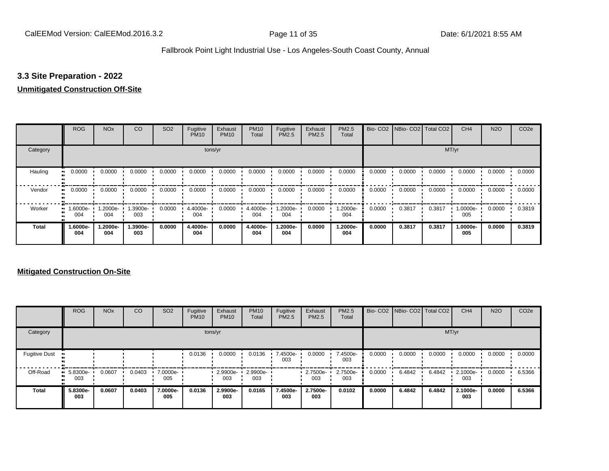#### **3.3 Site Preparation - 2022**

#### **Unmitigated Construction Off-Site**

|              | <b>ROG</b>      | <b>NO<sub>x</sub></b> | CO              | SO <sub>2</sub> | Fugitive<br><b>PM10</b> | Exhaust<br><b>PM10</b> | <b>PM10</b><br>Total | Fugitive<br><b>PM2.5</b> | Exhaust<br>PM2.5 | PM2.5<br>Total  |        | Bio- CO2   NBio- CO2   Total CO2 |        | CH <sub>4</sub> | <b>N2O</b> | CO <sub>2e</sub> |
|--------------|-----------------|-----------------------|-----------------|-----------------|-------------------------|------------------------|----------------------|--------------------------|------------------|-----------------|--------|----------------------------------|--------|-----------------|------------|------------------|
| Category     |                 |                       |                 |                 |                         | tons/yr                |                      |                          |                  |                 |        |                                  | MT/yr  |                 |            |                  |
| Hauling      | 0.0000          | 0.0000                | 0.0000          | 0.0000          | 0.0000                  | 0.0000                 | 0.0000               | 0.0000                   | 0.0000           | 0.0000          | 0.0000 | 0.0000                           | 0.0000 | 0.0000          | 0.0000     | 0.0000           |
| Vendor<br>œ  | 0.0000          | 0.0000                | 0.0000          | 0.0000          | 0.0000                  | 0.0000                 | 0.0000               | 0.0000                   | 0.0000           | 0.0000          | 0.0000 | 0.0000                           | 0.0000 | 0.0000          | 0.0000     | 0.0000           |
| Worker       | 1.6000e-<br>004 | 1.2000e-<br>004       | 1.3900e-<br>003 | 0.0000          | 4.4000e-<br>004         | 0.0000                 | 4.4000e-<br>004      | -2000e.<br>004           | 0.0000           | 1.2000e-<br>004 | 0.0000 | 0.3817                           | 0.3817 | 1.0000e-<br>005 | 0.0000     | 0.3819           |
| <b>Total</b> | -.6000e<br>004  | 1.2000e-<br>004       | 1.3900e-<br>003 | 0.0000          | 4.4000e-<br>004         | 0.0000                 | 4.4000e-<br>004      | -2000e.<br>004           | 0.0000           | 1.2000e-<br>004 | 0.0000 | 0.3817                           | 0.3817 | 1.0000e-<br>005 | 0.0000     | 0.3819           |

|                      | <b>ROG</b>         | <b>NO<sub>x</sub></b> | CO     | SO <sub>2</sub> | Fugitive<br><b>PM10</b> | Exhaust<br><b>PM10</b> | <b>PM10</b><br>Total | Fugitive<br>PM2.5 | Exhaust<br><b>PM2.5</b> | PM2.5<br>Total  |        | Bio- CO2   NBio- CO2   Total CO2 |        | CH <sub>4</sub> | <b>N2O</b> | CO <sub>2e</sub> |
|----------------------|--------------------|-----------------------|--------|-----------------|-------------------------|------------------------|----------------------|-------------------|-------------------------|-----------------|--------|----------------------------------|--------|-----------------|------------|------------------|
| Category             |                    |                       |        |                 |                         | tons/yr                |                      |                   |                         |                 |        |                                  | MT/yr  |                 |            |                  |
| <b>Fugitive Dust</b> |                    |                       |        |                 | 0.0136                  | 0.0000                 | 0.0136               | 7.4500e-<br>003   | 0.0000                  | 7.4500e-<br>003 | 0.0000 | 0.0000                           | 0.0000 | 0.0000          | 0.0000     | 0.0000           |
| Off-Road             | $-5.8300e-$<br>003 | 0.0607                | 0.0403 | 7.0000e-<br>005 |                         | 2.9900e-<br>003        | 2.9900e-<br>003      |                   | 2.7500e-<br>003         | 2.7500e-<br>003 | 0.0000 | 6.4842                           | 6.4842 | 2.1000e-<br>003 | 0.0000     | 6.5366           |
| <b>Total</b>         | 5.8300e-<br>003    | 0.0607                | 0.0403 | 7.0000e-<br>005 | 0.0136                  | 2.9900e-<br>003        | 0.0165               | 7.4500e-<br>003   | 2.7500e-<br>003         | 0.0102          | 0.0000 | 6.4842                           | 6.4842 | 2.1000e-<br>003 | 0.0000     | 6.5366           |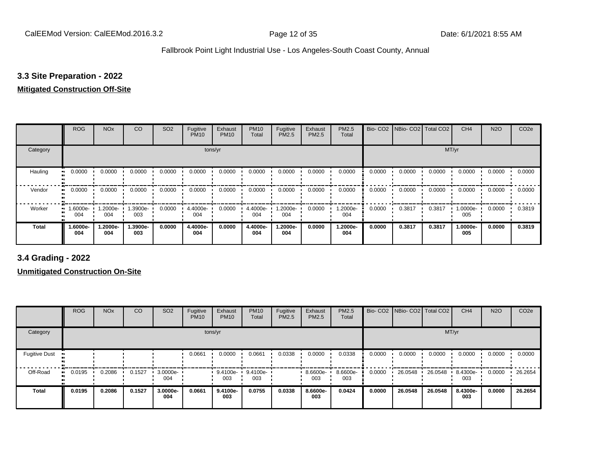#### **3.3 Site Preparation - 2022**

#### **Mitigated Construction Off-Site**

|                     | <b>ROG</b>      | <b>NO<sub>x</sub></b> | CO              | SO <sub>2</sub> | Fugitive<br><b>PM10</b> | Exhaust<br><b>PM10</b> | <b>PM10</b><br>Total | Fugitive<br>PM2.5 | Exhaust<br>PM2.5 | PM2.5<br>Total  |        | Bio- CO2   NBio- CO2   Total CO2 |        | CH <sub>4</sub> | <b>N2O</b> | CO <sub>2e</sub> |
|---------------------|-----------------|-----------------------|-----------------|-----------------|-------------------------|------------------------|----------------------|-------------------|------------------|-----------------|--------|----------------------------------|--------|-----------------|------------|------------------|
| Category            |                 |                       |                 |                 | tons/yr                 |                        |                      |                   |                  |                 |        |                                  | MT/yr  |                 |            |                  |
| Hauling             | 0.0000          | 0.0000                | 0.0000          | 0.0000          | 0.0000                  | 0.0000                 | 0.0000               | 0.0000            | 0.0000           | 0.0000          | 0.0000 | 0.0000                           | 0.0000 | 0.0000          | 0.0000     | 0.0000           |
| Vendor<br>$\bullet$ | 0.0000          | 0.0000                | 0.0000          | 0.0000          | 0.0000                  | 0.0000                 | 0.0000               | 0.0000            | 0.0000           | 0.0000          | 0.0000 | 0.0000                           | 0.0000 | 0.0000          | 0.0000     | 0.0000           |
| Worker<br>$\bullet$ | -6000e-<br>004  | 1.2000e-<br>004       | .3900e-<br>003  | 0.0000          | 4.4000e-<br>004         | 0.0000                 | 4.4000e-<br>004      | -2000e.<br>004    | 0.0000           | 1.2000e-<br>004 | 0.0000 | 0.3817                           | 0.3817 | 1.0000e-<br>005 | 0.0000     | 0.3819           |
| <b>Total</b>        | 1.6000e-<br>004 | 1.2000e-<br>004       | 1.3900e-<br>003 | 0.0000          | 4.4000e-<br>004         | 0.0000                 | 4.4000e-<br>004      | 1.2000e-<br>004   | 0.0000           | 1.2000e-<br>004 | 0.0000 | 0.3817                           | 0.3817 | 1.0000e-<br>005 | 0.0000     | 0.3819           |

**3.4 Grading - 2022**

|                      | <b>ROG</b> | <b>NO<sub>x</sub></b> | CO     | SO <sub>2</sub>    | Fugitive<br><b>PM10</b> | Exhaust<br><b>PM10</b>   | <b>PM10</b><br>Total | Fugitive<br>PM2.5 | Exhaust<br><b>PM2.5</b> | PM2.5<br>Total  |        | Bio- CO2   NBio- CO2   Total CO2 |         | CH <sub>4</sub> | <b>N2O</b> | CO <sub>2e</sub> |
|----------------------|------------|-----------------------|--------|--------------------|-------------------------|--------------------------|----------------------|-------------------|-------------------------|-----------------|--------|----------------------------------|---------|-----------------|------------|------------------|
| Category             |            |                       |        |                    |                         | tons/yr                  |                      |                   |                         |                 |        |                                  | MT/yr   |                 |            |                  |
| <b>Fugitive Dust</b> |            |                       |        |                    | 0.0661                  | 0.0000                   | 0.0661               | 0.0338            | 0.0000                  | 0.0338          | 0.0000 | 0.0000                           | 0.0000  | 0.0000          | 0.0000     | 0.0000           |
| Off-Road             | 0.0195     | 0.2086                | 0.1527 | $3.0000e -$<br>004 |                         | 9.4100e- 9.4100e-<br>003 | 003                  |                   | 8.6600e-<br>003         | 8.6600e-<br>003 | 0.0000 | 26.0548                          | 26.0548 | 8.4300e-<br>003 | 0.0000     | 26.2654          |
| <b>Total</b>         | 0.0195     | 0.2086                | 0.1527 | 3.0000e-<br>004    | 0.0661                  | 9.4100e-<br>003          | 0.0755               | 0.0338            | 8.6600e-<br>003         | 0.0424          | 0.0000 | 26.0548                          | 26.0548 | 8.4300e-<br>003 | 0.0000     | 26.2654          |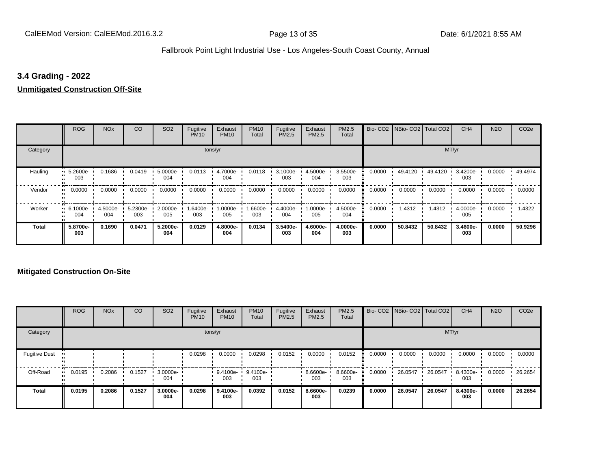#### **3.4 Grading - 2022**

#### **Unmitigated Construction Off-Site**

|              | <b>ROG</b>                     | <b>NO<sub>x</sub></b> | CO              | SO <sub>2</sub> | Fugitive<br><b>PM10</b> | Exhaust<br><b>PM10</b> | <b>PM10</b><br>Total | Fugitive<br><b>PM2.5</b> | Exhaust<br>PM2.5 | <b>PM2.5</b><br>Total |        | Bio- CO2   NBio- CO2   Total CO2 |         | CH <sub>4</sub> | <b>N2O</b> | CO <sub>2e</sub> |
|--------------|--------------------------------|-----------------------|-----------------|-----------------|-------------------------|------------------------|----------------------|--------------------------|------------------|-----------------------|--------|----------------------------------|---------|-----------------|------------|------------------|
| Category     |                                |                       |                 |                 |                         | tons/yr                |                      |                          |                  |                       |        |                                  | MT/yr   |                 |            |                  |
| Hauling      | 5.2600e-<br>ш<br>003           | 0.1686                | 0.0419          | 5.0000e-<br>004 | 0.0113                  | 4.7000e-<br>004        | 0.0118               | 3.1000e-<br>003          | 4.5000e-<br>004  | 3.5500e-<br>003       | 0.0000 | 49.4120                          | 49.4120 | 3.4200e-<br>003 | 0.0000     | 49.4974          |
| Vendor       | 0.0000<br>$\bullet$            | 0.0000                | 0.0000          | 0.0000          | 0.0000                  | 0.0000                 | 0.0000               | 0.0000                   | 0.0000           | 0.0000                | 0.0000 | 0.0000                           | 0.0000  | 0.0000          | 0.0000     | 0.0000           |
| Worker       | $\blacksquare$ 6.1000e-<br>004 | 4.5000e-<br>004       | 5.2300e-<br>003 | 2.0000e-<br>005 | 1.6400e-<br>003         | 1.0000e-<br>005        | 1.6600e-<br>003      | 4.4000e-<br>004          | -.0000e<br>005   | 4.5000e-<br>004       | 0.0000 | 1.4312                           | 1.4312  | 4.0000e-<br>005 | 0.0000     | 1.4322           |
| <b>Total</b> | 5.8700e-<br>003                | 0.1690                | 0.0471          | 5.2000e-<br>004 | 0.0129                  | 4.8000e-<br>004        | 0.0134               | 3.5400e-<br>003          | 4.6000e-<br>004  | 4.0000e-<br>003       | 0.0000 | 50.8432                          | 50.8432 | 3.4600e-<br>003 | 0.0000     | 50.9296          |

|                      | <b>ROG</b> | <b>NO<sub>x</sub></b> | CO     | SO <sub>2</sub> | Fugitive<br><b>PM10</b> | Exhaust<br><b>PM10</b> | <b>PM10</b><br>Total | Fugitive<br>PM2.5 | Exhaust<br><b>PM2.5</b> | PM2.5<br>Total  |        | Bio- CO2   NBio- CO2   Total CO2 |         | CH <sub>4</sub> | <b>N2O</b> | CO <sub>2e</sub> |
|----------------------|------------|-----------------------|--------|-----------------|-------------------------|------------------------|----------------------|-------------------|-------------------------|-----------------|--------|----------------------------------|---------|-----------------|------------|------------------|
| Category             |            |                       |        |                 |                         | tons/yr                |                      |                   |                         |                 |        |                                  |         | MT/yr           |            |                  |
| <b>Fugitive Dust</b> |            |                       |        |                 | 0.0298                  | 0.0000                 | 0.0298               | 0.0152            | 0.0000                  | 0.0152          | 0.0000 | 0.0000                           | 0.0000  | 0.0000          | 0.0000     | 0.0000           |
| Off-Road             | 0.0195     | 0.2086                | 0.1527 | 3.0000e-<br>004 |                         | 9.4100e-<br>003        | 9.4100e-<br>003      |                   | 8.6600e-<br>003         | 8.6600e-<br>003 | 0.0000 | 26.0547                          | 26.0547 | 8.4300e-<br>003 | 0.0000     | 26.2654          |
| <b>Total</b>         | 0.0195     | 0.2086                | 0.1527 | 3.0000e-<br>004 | 0.0298                  | 9.4100e-<br>003        | 0.0392               | 0.0152            | 8.6600e-<br>003         | 0.0239          | 0.0000 | 26.0547                          | 26.0547 | 8.4300e-<br>003 | 0.0000     | 26.2654          |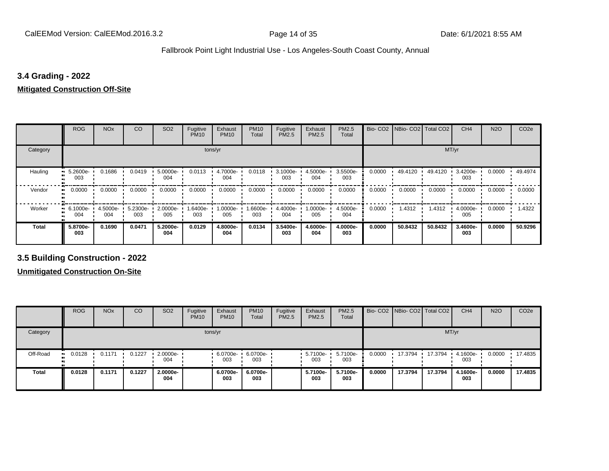#### **3.4 Grading - 2022**

#### **Mitigated Construction Off-Site**

|                     | <b>ROG</b>      | <b>NO<sub>x</sub></b> | CO              | SO <sub>2</sub> | Fugitive<br><b>PM10</b> | Exhaust<br><b>PM10</b> | <b>PM10</b><br>Total | Fugitive<br><b>PM2.5</b> | Exhaust<br>PM2.5 | PM2.5<br>Total  |        | Bio- CO2 NBio- CO2 Total CO2 |         | CH <sub>4</sub> | <b>N2O</b> | CO <sub>2e</sub> |  |  |
|---------------------|-----------------|-----------------------|-----------------|-----------------|-------------------------|------------------------|----------------------|--------------------------|------------------|-----------------|--------|------------------------------|---------|-----------------|------------|------------------|--|--|
| Category            | tons/yr         |                       |                 |                 |                         |                        |                      |                          |                  |                 |        | MT/yr                        |         |                 |            |                  |  |  |
| Hauling             | 5.2600e-<br>003 | 0.1686                | 0.0419          | 5.0000e-<br>004 | 0.0113                  | 4.7000e-<br>004        | 0.0118               | 3.1000e-<br>003          | 4.5000e-<br>004  | 3.5500e-<br>003 | 0.0000 | 49.4120                      | 49.4120 | 3.4200e-<br>003 | 0.0000     | 49.4974          |  |  |
| Vendor<br>$\bullet$ | 0.0000          | 0.0000                | 0.0000          | 0.0000          | 0.0000                  | 0.0000                 | 0.0000               | 0.0000                   | 0.0000           | 0.0000          | 0.0000 | 0.0000                       | 0.0000  | 0.0000          | 0.0000     | 0.0000           |  |  |
| Worker<br>$\bullet$ | 6.1000e-<br>004 | 4.5000e-<br>004       | 5.2300e-<br>003 | 2.0000e-<br>005 | 1.6400e-<br>003         | 1.0000e-<br>005        | 1.6600e-<br>003      | 4.4000e-<br>004          | $.0000e-$<br>005 | 4.5000e-<br>004 | 0.0000 | 1.4312                       | 1.4312  | 4.0000e-<br>005 | 0.0000     | 1.4322           |  |  |
| <b>Total</b>        | 5.8700e-<br>003 | 0.1690                | 0.0471          | 5.2000e-<br>004 | 0.0129                  | 4.8000e-<br>004        | 0.0134               | 3.5400e-<br>003          | 4.6000e-<br>004  | 4.0000e-<br>003 | 0.0000 | 50.8432                      | 50.8432 | 3.4600e-<br>003 | 0.0000     | 50.9296          |  |  |

**3.5 Building Construction - 2022**

|              | <b>ROG</b>          | <b>NO<sub>x</sub></b> | CO     | SO <sub>2</sub>         | Fugitive<br><b>PM10</b> | Exhaust<br><b>PM10</b> | <b>PM10</b><br>Total | Fugitive<br><b>PM2.5</b> | Exhaust<br><b>PM2.5</b> | PM2.5<br>Total  |        | Bio- CO2   NBio- CO2   Total CO2 |         | CH <sub>4</sub> | <b>N2O</b> | CO <sub>2e</sub> |
|--------------|---------------------|-----------------------|--------|-------------------------|-------------------------|------------------------|----------------------|--------------------------|-------------------------|-----------------|--------|----------------------------------|---------|-----------------|------------|------------------|
| Category     |                     |                       |        |                         | tons/yr                 |                        |                      |                          |                         |                 |        |                                  | MT/yr   |                 |            |                  |
| Off-Road<br> | 0.0128<br>$\bullet$ | 0.1171                | 0.1227 | $\cdot$ 2.0000e-<br>004 |                         | 6.0700e-<br>003        | 6.0700e-<br>003      |                          | $.57100e-$<br>003       | 5.7100e-<br>003 | 0.0000 | 17.3794                          | 17.3794 | 4.1600e-<br>003 | 0.0000     | 17.4835          |
| <b>Total</b> | 0.0128              | 0.1171                | 0.1227 | 2.0000e-<br>004         |                         | 6.0700e-<br>003        | 6.0700e-<br>003      |                          | 5.7100e-<br>003         | 5.7100e-<br>003 | 0.0000 | 17.3794                          | 17.3794 | 4.1600e-<br>003 | 0.0000     | 17.4835          |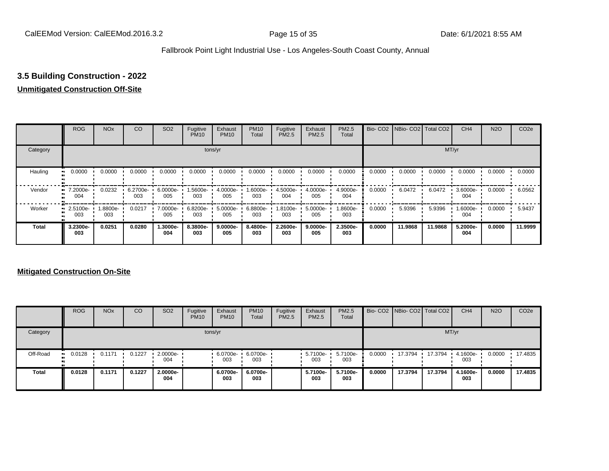# **3.5 Building Construction - 2022**

#### **Unmitigated Construction Off-Site**

|              | <b>ROG</b>              | <b>NO<sub>x</sub></b> | CO              | SO <sub>2</sub> | Fugitive<br><b>PM10</b> | Exhaust<br><b>PM10</b> | <b>PM10</b><br>Total | Fugitive<br><b>PM2.5</b> | Exhaust<br>PM2.5 | <b>PM2.5</b><br>Total |        | Bio- CO2   NBio- CO2   Total CO2 |         | CH <sub>4</sub> | <b>N2O</b> | CO <sub>2e</sub> |
|--------------|-------------------------|-----------------------|-----------------|-----------------|-------------------------|------------------------|----------------------|--------------------------|------------------|-----------------------|--------|----------------------------------|---------|-----------------|------------|------------------|
| Category     |                         |                       |                 |                 | tons/yr                 | MT/yr                  |                      |                          |                  |                       |        |                                  |         |                 |            |                  |
| Hauling      | 0.0000                  | 0.0000                | 0.0000          | 0.0000          | 0.0000                  | 0.0000                 | 0.0000               | 0.0000                   | 0.0000           | 0.0000                | 0.0000 | 0.0000                           | 0.0000  | 0.0000          | 0.0000     | 0.0000           |
| Vendor       | 7.2000e-<br>004         | 0.0232                | 6.2700e-<br>003 | 6.0000e-<br>005 | -5600e-<br>003          | 4.0000e-<br>005        | 1.6000e-<br>003      | 4.5000e-<br>004          | 4.0000e-<br>005  | 4.9000e-<br>004       | 0.0000 | 6.0472                           | 6.0472  | 3.6000e-<br>004 | 0.0000     | 6.0562           |
| Worker       | $\cdot$ 2.5100e-<br>003 | 1.8800e-<br>003       | 0.0217          | 7.0000e-<br>005 | 6.8200e-<br>003         | 5.0000e-<br>005        | 6.8800e-<br>003      | 1.8100e-<br>003          | 5.0000e-<br>005  | 1.8600e-<br>003       | 0.0000 | 5.9396                           | 5.9396  | 1.6000e-<br>004 | 0.0000     | 5.9437           |
| <b>Total</b> | 3.2300e-<br>003         | 0.0251                | 0.0280          | 1.3000e-<br>004 | 8.3800e-<br>003         | 9.0000e-<br>005        | 8.4800e-<br>003      | 2.2600e-<br>003          | 9.0000e-<br>005  | 2.3500e-<br>003       | 0.0000 | 11.9868                          | 11.9868 | 5.2000e-<br>004 | 0.0000     | 11.9999          |

|          | <b>ROG</b>           | <b>NO<sub>x</sub></b> | CO     | SO <sub>2</sub>                 | Fugitive<br><b>PM10</b> | Exhaust<br><b>PM10</b> | <b>PM10</b><br>Total | Fugitive<br><b>PM2.5</b> | Exhaust<br><b>PM2.5</b> | <b>PM2.5</b><br>Total |        | Bio- CO2   NBio- CO2   Total CO2 |         | CH <sub>4</sub> | <b>N2O</b> | CO <sub>2e</sub> |  |  |  |
|----------|----------------------|-----------------------|--------|---------------------------------|-------------------------|------------------------|----------------------|--------------------------|-------------------------|-----------------------|--------|----------------------------------|---------|-----------------|------------|------------------|--|--|--|
| Category |                      | tons/yr               |        |                                 |                         |                        |                      |                          |                         |                       |        |                                  | MT/yr   |                 |            |                  |  |  |  |
| Off-Road | 0.0128<br><b>ALC</b> | 0.1171                | 0.1227 | $\cdot$ 2.0000e- $\cdot$<br>004 |                         | 6.0700e-<br>003        | 6.0700e-<br>003      |                          | $-5.7100e-$<br>003      | 5.7100e-<br>003       | 0.0000 | 17.3794 17.3794                  |         | 4.1600e-<br>003 | 0.0000     | 17.4835          |  |  |  |
| Total    | 0.0128               | 0.1171                | 0.1227 | 2.0000e-<br>004                 |                         | 6.0700e-<br>003        | 6.0700e-<br>003      |                          | 5.7100e-<br>003         | 5.7100e-<br>003       | 0.0000 | 17.3794                          | 17.3794 | 4.1600e-<br>003 | 0.0000     | 17.4835          |  |  |  |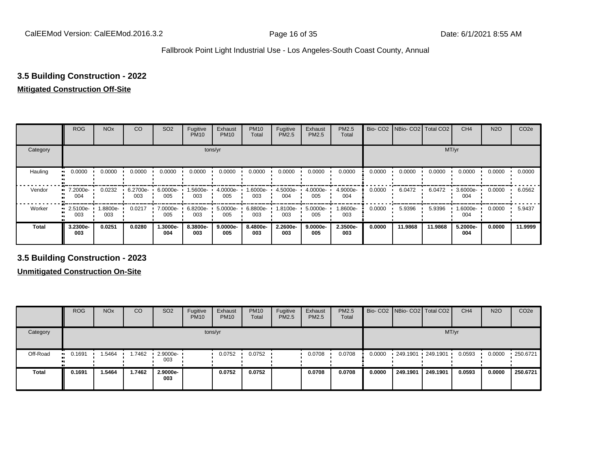### **3.5 Building Construction - 2022**

#### **Mitigated Construction Off-Site**

|              | <b>ROG</b>                   | <b>NO<sub>x</sub></b> | CO              | SO <sub>2</sub> | Fugitive<br><b>PM10</b> | Exhaust<br><b>PM10</b> | <b>PM10</b><br>Total | Fugitive<br><b>PM2.5</b> | Exhaust<br>PM2.5 | <b>PM2.5</b><br>Total |        | Bio- CO2   NBio- CO2   Total CO2 |         | CH <sub>4</sub> | <b>N2O</b> | CO <sub>2e</sub> |  |  |  |
|--------------|------------------------------|-----------------------|-----------------|-----------------|-------------------------|------------------------|----------------------|--------------------------|------------------|-----------------------|--------|----------------------------------|---------|-----------------|------------|------------------|--|--|--|
| Category     | tons/yr                      |                       |                 |                 |                         |                        |                      |                          |                  |                       |        | MT/yr                            |         |                 |            |                  |  |  |  |
| Hauling<br>œ | 0.0000                       | 0.0000                | 0.0000          | 0.0000          | 0.0000                  | 0.0000                 | 0.0000               | 0.0000                   | 0.0000           | 0.0000                | 0.0000 | 0.0000                           | 0.0000  | 0.0000          | 0.0000     | 0.0000           |  |  |  |
| Vendor<br>œ  | 7.2000e-<br>004              | 0.0232                | 6.2700e-<br>003 | 6.0000e-<br>005 | 1.5600e-<br>003         | 4.0000e-<br>005        | 1.6000e-<br>003      | 4.5000e-<br>004          | 4.0000e-<br>005  | 4.9000e-<br>004       | 0.0000 | 6.0472                           | 6.0472  | 3.6000e-<br>004 | 0.0000     | 6.0562           |  |  |  |
| Worker       | 2.5100e-<br>$\bullet$<br>003 | 1.8800e-<br>003       | 0.0217          | 7.0000e-<br>005 | 6.8200e-<br>003         | 5.0000e-<br>005        | 6.8800e-<br>003      | -9100e-<br>003           | 5.0000e-<br>005  | 1.8600e-<br>003       | 0.0000 | 5.9396                           | 5.9396  | 1.6000e-<br>004 | 0.0000     | 5.9437           |  |  |  |
| <b>Total</b> | 3.2300e-<br>003              | 0.0251                | 0.0280          | -.3000e<br>004  | 8.3800e-<br>003         | 9.0000e-<br>005        | 8.4800e-<br>003      | 2.2600e-<br>003          | 9.0000e-<br>005  | 2.3500e-<br>003       | 0.0000 | 11.9868                          | 11.9868 | 5.2000e-<br>004 | 0.0000     | 11.9999          |  |  |  |

**3.5 Building Construction - 2023**

|              | <b>ROG</b>  | <b>NO<sub>x</sub></b> | CO     | SO <sub>2</sub>                 | Fugitive<br><b>PM10</b> | Exhaust<br><b>PM10</b> | <b>PM10</b><br>Total | Fugitive<br><b>PM2.5</b> | Exhaust<br><b>PM2.5</b> | <b>PM2.5</b><br>Total |        |                   | Bio- CO2 NBio- CO2 Total CO2 | CH <sub>4</sub> | <b>N2O</b> | CO <sub>2e</sub> |  |  |  |
|--------------|-------------|-----------------------|--------|---------------------------------|-------------------------|------------------------|----------------------|--------------------------|-------------------------|-----------------------|--------|-------------------|------------------------------|-----------------|------------|------------------|--|--|--|
| Category     |             | tons/yr               |        |                                 |                         |                        |                      |                          |                         |                       |        |                   | MT/yr                        |                 |            |                  |  |  |  |
| Off-Road     | 0.1691<br>. | .5464                 | 1.7462 | $\cdot$ 2.9000e- $\cdot$<br>003 |                         | 0.0752                 | 0.0752               |                          | 0.0708                  | 0.0708                | 0.0000 | 249.1901 249.1901 |                              | 0.0593          | 0.0000     | 250.6721         |  |  |  |
| <b>Total</b> | 0.1691      | 1.5464                | 1.7462 | 2.9000e-<br>003                 |                         | 0.0752                 | 0.0752               |                          | 0.0708                  | 0.0708                | 0.0000 | 249.1901          | 249.1901                     | 0.0593          | 0.0000     | 250.6721         |  |  |  |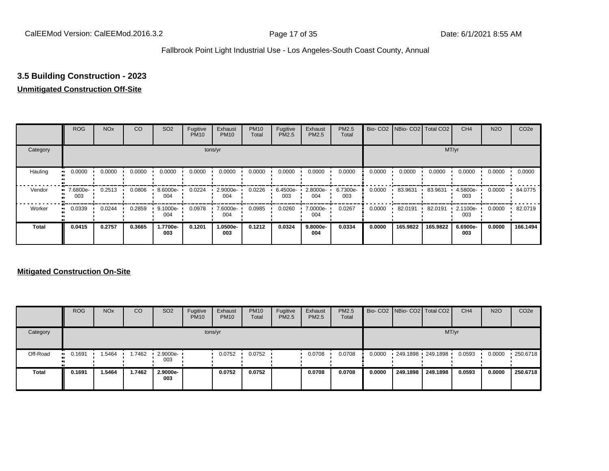## **3.5 Building Construction - 2023**

#### **Unmitigated Construction Off-Site**

|          | <b>ROG</b>      | <b>NO<sub>x</sub></b> | CO     | SO <sub>2</sub> | Fugitive<br><b>PM10</b> | Exhaust<br><b>PM10</b> | <b>PM10</b><br>Total | Fugitive<br><b>PM2.5</b> | Exhaust<br>PM2.5 | <b>PM2.5</b><br>Total |        | Bio- CO2   NBio- CO2   Total CO2 |          | CH <sub>4</sub> | <b>N2O</b> | CO <sub>2e</sub> |
|----------|-----------------|-----------------------|--------|-----------------|-------------------------|------------------------|----------------------|--------------------------|------------------|-----------------------|--------|----------------------------------|----------|-----------------|------------|------------------|
| Category |                 |                       |        |                 |                         | tons/yr                |                      |                          |                  |                       |        |                                  |          | MT/yr           |            |                  |
| Hauling  | 0.0000          | 0.0000                | 0.0000 | 0.0000          | 0.0000                  | 0.0000                 | 0.0000               | 0.0000                   | 0.0000           | 0.0000                | 0.0000 | 0.0000                           | 0.0000   | 0.0000          | 0.0000     | 0.0000           |
| Vendor   | 7.6800e-<br>003 | 0.2513                | 0.0806 | 8.6000e-<br>004 | 0.0224                  | 2.9000e-<br>004        | 0.0226               | 6.4500e-<br>003          | 2.8000e-<br>004  | 6.7300e-<br>003       | 0.0000 | 83.9631                          | 83.9631  | 4.5800e-<br>003 | 0.0000     | 84.0775          |
| Worker   | 0.0339          | 0.0244                | 0.2859 | 9.1000e-<br>004 | 0.0978                  | 7.6000e-<br>004        | 0.0985               | 0.0260                   | 7.0000e-<br>004  | 0.0267                | 0.0000 | 82.0191                          | 82.0191  | 2.1100e-<br>003 | 0.0000     | 82.0719          |
| Total    | 0.0415          | 0.2757                | 0.3665 | 1.7700e-<br>003 | 0.1201                  | 1.0500e-<br>003        | 0.1212               | 0.0324                   | 9.8000e-<br>004  | 0.0334                | 0.0000 | 165.9822                         | 165.9822 | 6.6900e-<br>003 | 0.0000     | 166.1494         |

#### **Mitigated Construction On-Site**

|              | <b>ROG</b>             | <b>NO<sub>x</sub></b> | CO     | SO <sub>2</sub>                 | Fugitive<br><b>PM10</b> | Exhaust<br><b>PM10</b> | <b>PM10</b><br><b>Total</b> | Fugitive<br><b>PM2.5</b> | Exhaust<br><b>PM2.5</b> | <b>PM2.5</b><br>Total |        |          | Bio- CO2 NBio- CO2 Total CO2 | CH <sub>4</sub> | <b>N2O</b> | CO <sub>2e</sub> |
|--------------|------------------------|-----------------------|--------|---------------------------------|-------------------------|------------------------|-----------------------------|--------------------------|-------------------------|-----------------------|--------|----------|------------------------------|-----------------|------------|------------------|
| Category     |                        |                       |        |                                 |                         | tons/yr                |                             |                          |                         |                       |        |          |                              | MT/yr           |            |                  |
| Off-Road     | 0.1691<br><b>COLLE</b> | 1.5464                | 1.7462 | $\cdot$ 2.9000e- $\cdot$<br>003 |                         | 0.0752                 | 0.0752                      |                          | 0.0708                  | 0.0708                | 0.0000 |          | 249.1898 249.1898            | 0.0593          | 0.0000     | .250.6718        |
| <b>Total</b> | 0.1691                 | 1.5464                | 1.7462 | 2.9000e-<br>003                 |                         | 0.0752                 | 0.0752                      |                          | 0.0708                  | 0.0708                | 0.0000 | 249.1898 | 249.1898                     | 0.0593          | 0.0000     | 250.6718         |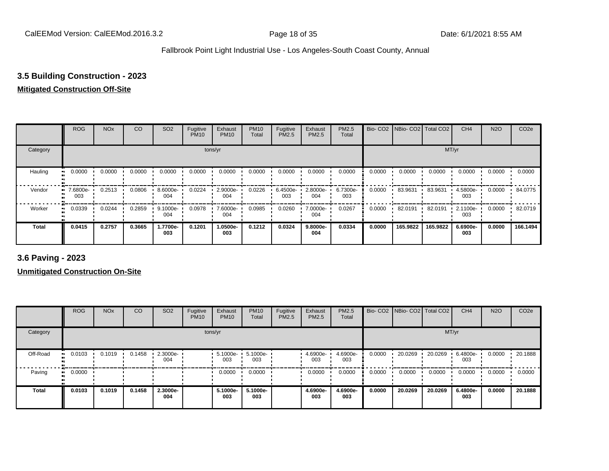## **3.5 Building Construction - 2023**

## **Mitigated Construction Off-Site**

|                     | <b>ROG</b>                   | <b>NO<sub>x</sub></b> | CO     | SO <sub>2</sub> | Fugitive<br><b>PM10</b> | Exhaust<br><b>PM10</b> | <b>PM10</b><br>Total | Fugitive<br>PM2.5 | Exhaust<br>PM2.5 | PM2.5<br>Total  | Bio-CO <sub>2</sub> | NBio- CO2   Total CO2 |          | CH <sub>4</sub> | <b>N2O</b> | CO <sub>2e</sub> |
|---------------------|------------------------------|-----------------------|--------|-----------------|-------------------------|------------------------|----------------------|-------------------|------------------|-----------------|---------------------|-----------------------|----------|-----------------|------------|------------------|
| Category            |                              |                       |        |                 |                         | tons/yr                |                      |                   |                  |                 |                     |                       | MT/yr    |                 |            |                  |
| Hauling<br>œ        | 0.0000                       | 0.0000                | 0.0000 | 0.0000          | 0.0000                  | 0.0000                 | 0.0000               | 0.0000            | 0.0000           | 0.0000          | 0.0000              | 0.0000                | 0.0000   | 0.0000          | 0.0000     | 0.0000           |
| Vendor              | 7.6800e-<br>$\bullet$<br>003 | 0.2513                | 0.0806 | 8.6000e-<br>004 | 0.0224                  | 2.9000e-<br>004        | 0.0226               | 6.4500e-<br>003   | 2.8000e-<br>004  | 6.7300e-<br>003 | 0.0000              | 83.9631               | 83.9631  | 4.5800e-<br>003 | 0.0000     | 84.0775          |
| Worker<br>$\bullet$ | 0.0339                       | 0.0244                | 0.2859 | 9.1000e-<br>004 | 0.0978                  | 7.6000e-<br>004        | 0.0985               | 0.0260            | 7.0000e-<br>004  | 0.0267          | 0.0000              | 82.0191               | 82.0191  | 2.1100e-<br>003 | 0.0000     | 82.0719          |
| <b>Total</b>        | 0.0415                       | 0.2757                | 0.3665 | 1.7700e-<br>003 | 0.1201                  | 1.0500e-<br>003        | 0.1212               | 0.0324            | 9.8000e-<br>004  | 0.0334          | 0.0000              | 165.9822              | 165.9822 | 6.6900e-<br>003 | 0.0000     | 166.1494         |

**3.6 Paving - 2023**

**Unmitigated Construction On-Site**

|              | <b>ROG</b>          | <b>NO<sub>x</sub></b> | CO     | SO <sub>2</sub> | Fugitive<br><b>PM10</b> | Exhaust<br><b>PM10</b> | <b>PM10</b><br>Total | Fugitive<br>PM2.5 | Exhaust<br><b>PM2.5</b> | PM2.5<br>Total  |        | Bio- CO2   NBio- CO2   Total CO2 |         | CH <sub>4</sub> | <b>N2O</b> | CO <sub>2e</sub> |
|--------------|---------------------|-----------------------|--------|-----------------|-------------------------|------------------------|----------------------|-------------------|-------------------------|-----------------|--------|----------------------------------|---------|-----------------|------------|------------------|
| Category     |                     |                       |        |                 |                         | tons/yr                |                      |                   |                         |                 |        |                                  | MT/yr   |                 |            |                  |
| Off-Road     | 0.0103              | 0.1019                | 0.1458 | 2.3000e-<br>004 |                         | 5.1000e-<br>003        | 5.1000e-<br>003      |                   | 4.6900e-<br>003         | 4.6900e-<br>003 | 0.0000 | 20.0269                          | 20.0269 | 6.4800e-<br>003 | 0.0000     | 20.1888          |
| Paving       | 0.0000<br>$\bullet$ |                       |        |                 |                         | 0.0000                 | 0.0000               |                   | 0.0000                  | 0.0000          | 0.0000 | 0.0000                           | 0.0000  | 0.0000          | 0.0000     | 0.0000           |
| <b>Total</b> | 0.0103              | 0.1019                | 0.1458 | 2.3000e-<br>004 |                         | 5.1000e-<br>003        | 5.1000e-<br>003      |                   | 4.6900e-<br>003         | 4.6900e-<br>003 | 0.0000 | 20.0269                          | 20.0269 | 6.4800e-<br>003 | 0.0000     | 20.1888          |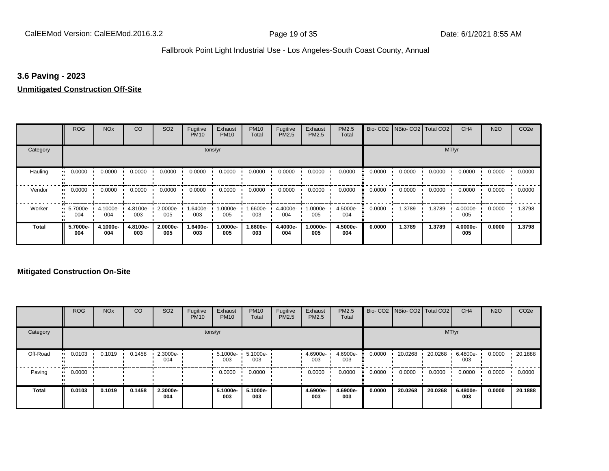#### **3.6 Paving - 2023**

#### **Unmitigated Construction Off-Site**

|              | <b>ROG</b>                   | <b>NO<sub>x</sub></b> | CO              | SO <sub>2</sub> | Fugitive<br><b>PM10</b> | Exhaust<br><b>PM10</b> | <b>PM10</b><br>Total | Fugitive<br><b>PM2.5</b> | Exhaust<br>PM2.5 | PM2.5<br>Total  |        | Bio- CO2   NBio- CO2   Total CO2 |        | CH <sub>4</sub> | <b>N2O</b> | CO <sub>2e</sub> |
|--------------|------------------------------|-----------------------|-----------------|-----------------|-------------------------|------------------------|----------------------|--------------------------|------------------|-----------------|--------|----------------------------------|--------|-----------------|------------|------------------|
| Category     |                              |                       |                 |                 |                         | tons/yr                |                      |                          |                  |                 |        |                                  | MT/yr  |                 |            |                  |
| Hauling<br>œ | 0.0000                       | 0.0000                | 0.0000          | 0.0000          | 0.0000                  | 0.0000                 | 0.0000               | 0.0000                   | 0.0000           | 0.0000          | 0.0000 | 0.0000                           | 0.0000 | 0.0000          | 0.0000     | 0.0000           |
| Vendor       | 0.0000<br>$\bullet$          | 0.0000                | 0.0000          | 0.0000          | 0.0000                  | 0.0000                 | 0.0000               | 0.0000                   | 0.0000           | 0.0000          | 0.0000 | 0.0000                           | 0.0000 | 0.0000          | 0.0000     | 0.0000           |
| Worker       | 5.7000e-<br>$\bullet$<br>004 | 4.1000e-<br>004       | 4.8100e-<br>003 | 2.0000e-<br>005 | 1.6400e-<br>003         | 1.0000e-<br>005        | 1.6600e-<br>003      | 4.4000e-<br>004          | 1.0000e-<br>005  | 4.5000e-<br>004 | 0.0000 | 1.3789                           | 1.3789 | 4.0000e-<br>005 | 0.0000     | 1.3798           |
| <b>Total</b> | 5.7000e-<br>004              | 4.1000e-<br>004       | 4.8100e-<br>003 | 2.0000e-<br>005 | 1.6400e-<br>003         | 1.0000e-<br>005        | 1.6600e-<br>003      | 4.4000e-<br>004          | -.0000e<br>005   | 4.5000e-<br>004 | 0.0000 | 1.3789                           | 1.3789 | 4.0000e-<br>005 | 0.0000     | 1.3798           |

#### **Mitigated Construction On-Site**

|          | <b>ROG</b>   | <b>NO<sub>x</sub></b> | CO     | SO <sub>2</sub> | Fugitive<br><b>PM10</b> | Exhaust<br><b>PM10</b> | <b>PM10</b><br>Total | Fugitive<br><b>PM2.5</b> | Exhaust<br><b>PM2.5</b> | PM2.5<br>Total  |        | Bio- CO2 NBio- CO2 Total CO2 |         | CH <sub>4</sub> | <b>N2O</b> | CO <sub>2e</sub> |
|----------|--------------|-----------------------|--------|-----------------|-------------------------|------------------------|----------------------|--------------------------|-------------------------|-----------------|--------|------------------------------|---------|-----------------|------------|------------------|
| Category |              |                       |        |                 |                         | tons/yr                |                      |                          |                         |                 |        |                              | MT/yr   |                 |            |                  |
| Off-Road | 0.0103       | 0.1019                | 0.1458 | 2.3000e-<br>004 |                         | 5.1000e-<br>003        | 5.1000e-<br>003      |                          | 4.6900e-<br>003         | 4.6900e-<br>003 | 0.0000 | 20.0268                      | 20.0268 | 6.4800e-<br>003 | 0.0000     | 20.1888          |
| Paving   | 0.0000<br>ш. |                       |        |                 |                         | 0.0000                 | 0.0000               |                          | 0.0000                  | 0.0000          | 0.0000 | 0.0000                       | 0.0000  | 0.0000          | 0.0000     | 0.0000           |
| Total    | 0.0103       | 0.1019                | 0.1458 | 2.3000e-<br>004 |                         | 5.1000e-<br>003        | 5.1000e-<br>003      |                          | 4.6900e-<br>003         | 4.6900e-<br>003 | 0.0000 | 20.0268                      | 20.0268 | 6.4800e-<br>003 | 0.0000     | 20.1888          |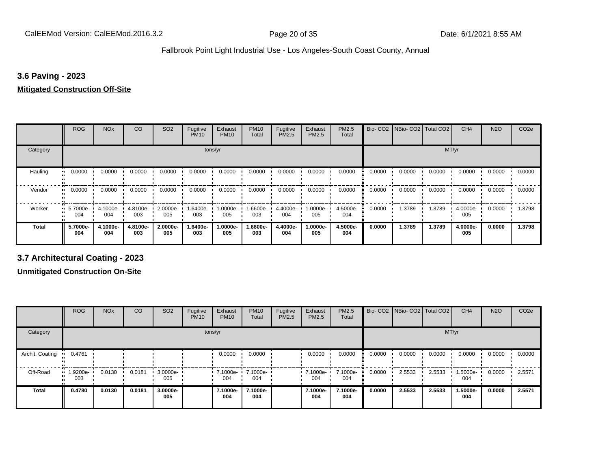#### **3.6 Paving - 2023**

#### **Mitigated Construction Off-Site**

|                     | <b>ROG</b>      | <b>NO<sub>x</sub></b> | CO              | SO <sub>2</sub> | Fugitive<br><b>PM10</b> | Exhaust<br><b>PM10</b> | <b>PM10</b><br>Total | Fugitive<br>PM2.5 | Exhaust<br>PM2.5 | PM2.5<br>Total  |        | Bio- CO2   NBio- CO2   Total CO2 |        | CH <sub>4</sub> | <b>N2O</b> | CO <sub>2e</sub> |
|---------------------|-----------------|-----------------------|-----------------|-----------------|-------------------------|------------------------|----------------------|-------------------|------------------|-----------------|--------|----------------------------------|--------|-----------------|------------|------------------|
| Category            |                 |                       |                 |                 | tons/yr                 |                        |                      |                   |                  |                 |        |                                  | MT/yr  |                 |            |                  |
| Hauling<br>81       | 0.0000          | 0.0000                | 0.0000          | 0.0000          | 0.0000                  | 0.0000                 | 0.0000               | 0.0000            | 0.0000           | 0.0000          | 0.0000 | 0.0000                           | 0.0000 | 0.0000          | 0.0000     | 0.0000           |
| Vendor<br>$\bullet$ | 0.0000          | 0.0000                | 0.0000          | 0.0000          | 0.0000                  | 0.0000                 | 0.0000               | 0.0000            | 0.0000           | 0.0000          | 0.0000 | 0.0000                           | 0.0000 | 0.0000          | 0.0000     | 0.0000           |
| Worker<br>$\bullet$ | 5.7000e-<br>004 | 4.1000e-<br>004       | 4.8100e-<br>003 | 2.0000e-<br>005 | 1.6400e-<br>003         | 1.0000e-<br>005        | 1.6600e-<br>003      | 4.4000e-<br>004   | $.0000e-$<br>005 | 4.5000e-<br>004 | 0.0000 | 1.3789                           | 1.3789 | 4.0000e-<br>005 | 0.0000     | 1.3798           |
| <b>Total</b>        | 5.7000e-<br>004 | 4.1000e-<br>004       | 4.8100e-<br>003 | 2.0000e-<br>005 | 1.6400e-<br>003         | 1.0000e-<br>005        | 1.6600e-<br>003      | 4.4000e-<br>004   | .0000e-<br>005   | 4.5000e-<br>004 | 0.0000 | 1.3789                           | 1.3789 | 4.0000e-<br>005 | 0.0000     | 1.3798           |

**3.7 Architectural Coating - 2023**

**Unmitigated Construction On-Site**

|                 | <b>ROG</b>      | <b>NO<sub>x</sub></b> | CO     | SO <sub>2</sub> | Fugitive<br><b>PM10</b> | Exhaust<br><b>PM10</b> | <b>PM10</b><br>Total | Fugitive<br><b>PM2.5</b> | Exhaust<br><b>PM2.5</b> | <b>PM2.5</b><br>Total |        | Bio- CO2   NBio- CO2   Total CO2 |        | CH <sub>4</sub> | <b>N2O</b> | CO <sub>2e</sub> |
|-----------------|-----------------|-----------------------|--------|-----------------|-------------------------|------------------------|----------------------|--------------------------|-------------------------|-----------------------|--------|----------------------------------|--------|-----------------|------------|------------------|
| Category        |                 |                       |        |                 |                         | tons/yr                |                      |                          |                         |                       |        |                                  | MT/yr  |                 |            |                  |
| Archit. Coating | 0.4761<br>.     |                       |        |                 |                         | 0.0000                 | 0.0000               |                          | 0.0000                  | 0.0000                | 0.0000 | 0.0000                           | 0.0000 | 0.0000          | 0.0000     | 0.0000           |
| Off-Road        | 1.9200e-<br>003 | 0.0130                | 0.0181 | 3.0000e-<br>005 |                         | 7.1000e-<br>004        | 7.1000e-<br>004      |                          | $\cdot$ 7.1000e-<br>004 | 7.1000e-<br>004       | 0.0000 | 2.5533                           | 2.5533 | 1.5000e-<br>004 | 0.0000     | 2.5571           |
| <b>Total</b>    | 0.4780          | 0.0130                | 0.0181 | 3.0000e-<br>005 |                         | 7.1000e-<br>004        | 7.1000e-<br>004      |                          | 7.1000e-<br>004         | 7.1000e-<br>004       | 0.0000 | 2.5533                           | 2.5533 | 1.5000e-<br>004 | 0.0000     | 2.5571           |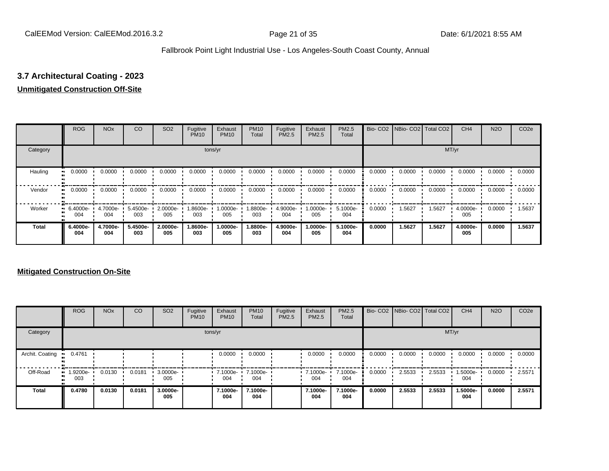# **3.7 Architectural Coating - 2023**

#### **Unmitigated Construction Off-Site**

|          | <b>ROG</b>      | <b>NO<sub>x</sub></b> | CO              | SO <sub>2</sub> | Fugitive<br><b>PM10</b> | Exhaust<br><b>PM10</b> | <b>PM10</b><br>Total | Fugitive<br><b>PM2.5</b> | Exhaust<br>PM2.5 | <b>PM2.5</b><br>Total |        | Bio- CO2   NBio- CO2   Total CO2 |        | CH <sub>4</sub> | <b>N2O</b> | CO <sub>2e</sub> |
|----------|-----------------|-----------------------|-----------------|-----------------|-------------------------|------------------------|----------------------|--------------------------|------------------|-----------------------|--------|----------------------------------|--------|-----------------|------------|------------------|
| Category |                 |                       |                 |                 |                         | tons/yr                |                      |                          |                  |                       |        |                                  |        | MT/yr           |            |                  |
| Hauling  | 0.0000          | 0.0000                | 0.0000          | 0.0000          | 0.0000                  | 0.0000                 | 0.0000               | 0.0000                   | 0.0000           | 0.0000                | 0.0000 | 0.0000                           | 0.0000 | 0.0000          | 0.0000     | 0.0000           |
| Vendor   | 0.0000          | 0.0000                | 0.0000          | 0.0000          | 0.0000                  | 0.0000                 | 0.0000               | 0.0000                   | 0.0000           | 0.0000                | 0.0000 | 0.0000                           | 0.0000 | 0.0000          | 0.0000     | 0.0000           |
| Worker   | 6.4000e-<br>004 | 4.7000e-<br>004       | 5.4500e-<br>003 | 2.0000e-<br>005 | -9006.l<br>003          | 1.0000e-<br>005        | 1.8800e-<br>003      | 4.9000e-<br>004          | 1.0000e-<br>005  | 5.1000e-<br>004       | 0.0000 | 1.5627                           | 1.5627 | 4.0000e-<br>005 | 0.0000     | 1.5637           |
| Total    | 6.4000e-<br>004 | 4.7000e-<br>004       | 5.4500e-<br>003 | 2.0000e-<br>005 | 1.8600e-<br>003         | 1.0000e-<br>005        | 1.8800e-<br>003      | 4.9000e-<br>004          | 1.0000e-<br>005  | 5.1000e-<br>004       | 0.0000 | 1.5627                           | 1.5627 | 4.0000e-<br>005 | 0.0000     | 1.5637           |

#### **Mitigated Construction On-Site**

|                 | <b>ROG</b>                     | <b>NO<sub>x</sub></b> | CO     | SO <sub>2</sub> | Fugitive<br><b>PM10</b> | Exhaust<br><b>PM10</b> | <b>PM10</b><br>Total | Fugitive<br>PM2.5 | Exhaust<br><b>PM2.5</b> | PM2.5<br>Total  |        | Bio- CO2 NBio- CO2 Total CO2 |        | CH <sub>4</sub> | <b>N2O</b> | CO <sub>2e</sub> |
|-----------------|--------------------------------|-----------------------|--------|-----------------|-------------------------|------------------------|----------------------|-------------------|-------------------------|-----------------|--------|------------------------------|--------|-----------------|------------|------------------|
| Category        |                                |                       |        |                 |                         | tons/yr                |                      |                   |                         |                 |        |                              | MT/yr  |                 |            |                  |
| Archit. Coating | 0.4761                         |                       |        |                 |                         | 0.0000                 | 0.0000               |                   | 0.0000                  | 0.0000          | 0.0000 | 0.0000                       | 0.0000 | 0.0000          | 0.0000     | 0.0000           |
| Off-Road        | $\blacksquare$ 1.9200e-<br>003 | 0.0130                | 0.0181 | 3.0000e-<br>005 |                         | $-7.1000e-$<br>004     | 7.1000e-<br>004      |                   | $\cdot$ 7.1000e-<br>004 | 7.1000e-<br>004 | 0.0000 | 2.5533                       | 2.5533 | 1.5000e-<br>004 | 0.0000     | 2.5571           |
| Total           | 0.4780                         | 0.0130                | 0.0181 | 3.0000e-<br>005 |                         | 7.1000e-<br>004        | 7.1000e-<br>004      |                   | 7.1000e-<br>004         | 7.1000e-<br>004 | 0.0000 | 2.5533                       | 2.5533 | 1.5000e-<br>004 | 0.0000     | 2.5571           |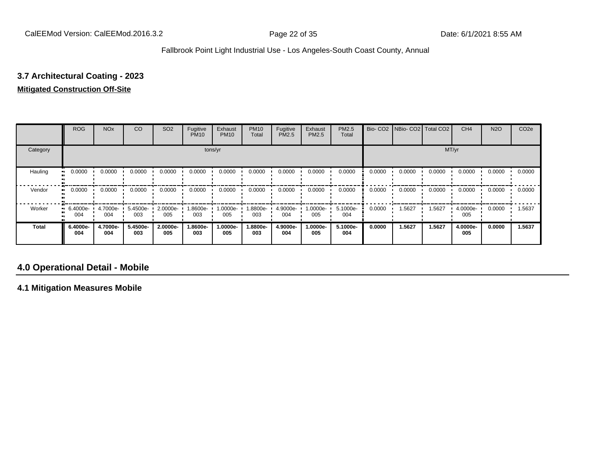# **3.7 Architectural Coating - 2023**

#### **Mitigated Construction Off-Site**

|              | <b>ROG</b>      | <b>NO<sub>x</sub></b> | CO              | SO <sub>2</sub> | Fugitive<br><b>PM10</b> | Exhaust<br><b>PM10</b> | <b>PM10</b><br>Total | Fugitive<br>PM2.5 | Exhaust<br>PM2.5 | <b>PM2.5</b><br>Total |        | Bio- CO2   NBio- CO2   Total CO2 |        | CH <sub>4</sub> | <b>N2O</b> | CO <sub>2e</sub> |
|--------------|-----------------|-----------------------|-----------------|-----------------|-------------------------|------------------------|----------------------|-------------------|------------------|-----------------------|--------|----------------------------------|--------|-----------------|------------|------------------|
| Category     |                 |                       |                 |                 |                         | tons/yr                |                      |                   |                  |                       |        |                                  | MT/yr  |                 |            |                  |
| Hauling      | 0.0000          | 0.0000                | 0.0000          | 0.0000          | 0.0000                  | 0.0000                 | 0.0000               | 0.0000            | 0.0000           | 0.0000                | 0.0000 | 0.0000                           | 0.0000 | 0.0000          | 0.0000     | 0.0000           |
| Vendor       | 0.0000          | 0.0000                | 0.0000          | 0.0000          | 0.0000                  | 0.0000                 | 0.0000               | 0.0000            | 0.0000           | 0.0000                | 0.0000 | 0.0000                           | 0.0000 | 0.0000          | 0.0000     | 0.0000           |
| Worker       | 6.4000e-<br>004 | 4.7000e-<br>004       | 5.4500e-<br>003 | 2.0000e-<br>005 | 1.8600e-<br>003         | 1.0000e-<br>005        | 1.8800e-<br>003      | 4.9000e-<br>004   | $.0000e-$<br>005 | 5.1000e-<br>004       | 0.0000 | 1.5627                           | 1.5627 | 4.0000e-<br>005 | 0.0000     | 1.5637           |
| <b>Total</b> | 6.4000e-<br>004 | 4.7000e-<br>004       | 5.4500e-<br>003 | 2.0000e-<br>005 | 1.8600e-<br>003         | 1.0000e-<br>005        | 1.8800e-<br>003      | 4.9000e-<br>004   | .0000e-<br>005   | 5.1000e-<br>004       | 0.0000 | 1.5627                           | 1.5627 | 4.0000e-<br>005 | 0.0000     | 1.5637           |

## **4.0 Operational Detail - Mobile**

**4.1 Mitigation Measures Mobile**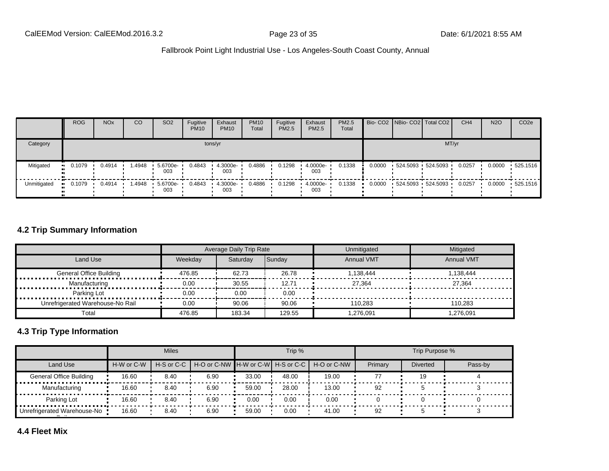|             | <b>ROG</b>            | <b>NO<sub>x</sub></b> | CO      | SO <sub>2</sub> | Fugitive<br><b>PM10</b> | Exhaust<br><b>PM10</b> | <b>PM10</b><br>Total | Fugitive<br>PM2.5 | Exhaust<br><b>PM2.5</b> | <b>PM2.5</b><br>Total |        |                   | Bio- CO2   NBio- CO2   Total CO2 | CH <sub>4</sub> | <b>N2O</b> | CO <sub>2e</sub> |
|-------------|-----------------------|-----------------------|---------|-----------------|-------------------------|------------------------|----------------------|-------------------|-------------------------|-----------------------|--------|-------------------|----------------------------------|-----------------|------------|------------------|
| Category    |                       |                       |         |                 |                         | tons/yr                |                      |                   |                         |                       |        |                   | MT/yr                            |                 |            |                  |
| Mitigated   | $-0.1079$             | 0.4914                | 4948، ، | 5.6700e-<br>003 | 0.4843                  | 4.3000e-<br>003        | 0.4886               | 0.1298            | 4.0000e-<br>003         | 0.1338                | 0.0000 | 524.5093 524.5093 |                                  | 0.0257          | 0.0000     | $\cdot$ 525.1516 |
| Unmitigated | $\blacksquare$ 0.1079 | 0.4914                | l.4948  | 5.6700e-<br>003 | 0.4843                  | 4.3000e-<br>003        | 0.4886               | 0.1298            | 4.0000e-<br>003         | 0.1338                | 0.0000 |                   | 524.5093 524.5093                | 0.0257          | 0.0000     | $+525.1516$      |

#### **4.2 Trip Summary Information**

|                                  |         | Average Daily Trip Rate |        | Unmitigated       | Mitigated         |
|----------------------------------|---------|-------------------------|--------|-------------------|-------------------|
| Land Use                         | Weekdav | Saturdav                | Sunday | <b>Annual VMT</b> | <b>Annual VMT</b> |
| <b>General Office Building</b>   | 476.85  | 62.73                   | 26.78  | 1.138.444         | 1.138.444         |
| Manufacturing                    | 0.00    | 30.55                   | 12.71  | 27.364            | 27.364            |
| Parking Lot                      | 0.00    | 0.00                    | 0.00   |                   |                   |
| Unrefrigerated Warehouse-No Rail | 0.00    | 90.06                   | 90.06  | 110.283           | 110.283           |
| Total                            | 476.85  | 183.34                  | 129.55 | 1.276.091         | 1.276.091         |

## **4.3 Trip Type Information**

|                                |            | <b>Miles</b> |                                                    |       | Trip % |             |         | Trip Purpose %  |         |
|--------------------------------|------------|--------------|----------------------------------------------------|-------|--------|-------------|---------|-----------------|---------|
| Land Use                       | H-W or C-W |              | H-S or C-C I H-O or C-NW IH-W or C-WI H-S or C-C I |       |        | H-O or C-NW | Primary | <b>Diverted</b> | Pass-by |
| <b>General Office Building</b> | 16.60      | 8.40         | 6.90                                               | 33.00 | 48.00  | 19.00       | 77      | 19              |         |
| Manufacturing                  | 16.60      | 8.40         | 6.90                                               | 59.00 | 28.00  | 13.00       | 92      |                 |         |
| Parking Lot                    | 16.60      | 8.40         | 6.90                                               | 0.00  | 0.00   | 0.00        |         |                 |         |
| Unrefrigerated Warehouse-No    | 16.60      | 8.40         | 6.90                                               | 59.00 | 0.00   | 41.00       | 92      |                 |         |

**4.4 Fleet Mix**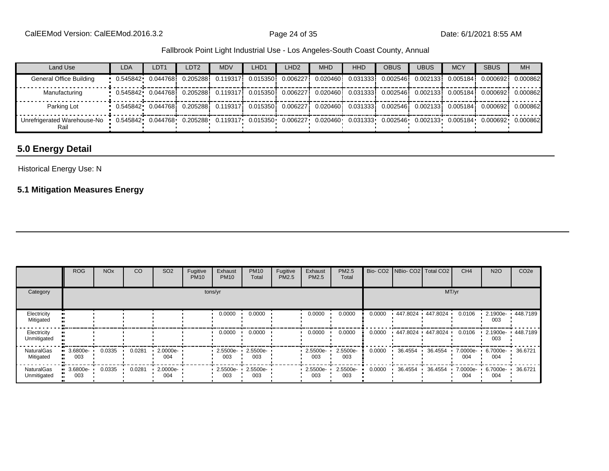| Land Use                                                                                                                                                              | <b>LDA</b>                                                                                                             | LDT <sub>1</sub> | LDT <sub>2</sub>                                                                                                          | <b>MDV</b> | LHD <sub>1</sub> | LHD <sub>2</sub> | <b>MHD</b> | <b>HHD</b> | <b>OBUS</b> | <b>UBUS</b> | <b>MCY</b> | <b>SBUS</b> | <b>MH</b> |
|-----------------------------------------------------------------------------------------------------------------------------------------------------------------------|------------------------------------------------------------------------------------------------------------------------|------------------|---------------------------------------------------------------------------------------------------------------------------|------------|------------------|------------------|------------|------------|-------------|-------------|------------|-------------|-----------|
| General Office Building                                                                                                                                               | 10.0025341 0.044768 0.205288 0.119317 0.015350 0.006227 0.020460 0.031333 0.002546 0.002133 0.005184 0.000692          |                  |                                                                                                                           |            |                  |                  |            |            |             |             |            |             | 0.000862  |
| Manufacturing                                                                                                                                                         | . 0.545842 0.044768 0.205288 0.119317 0.015350 0.006227 0.020460 0.031333 0.002546 0.002133 0.005184 0.000692 0.000862 |                  |                                                                                                                           |            |                  |                  |            |            |             |             |            |             |           |
| Parking Lot                                                                                                                                                           |                                                                                                                        |                  | $\,$ 0.545842 0.044768 0.205288 0.119317 0.015350 0.006227 0.020460 0.031333 0.002546 0.002133 0.005184 0.000692 0.000862 |            |                  |                  |            |            |             |             |            |             |           |
| Unrefrigerated Warehouse-No  0.545842  0.044768  0.205288  0.119317  0.015350  0.006227  0.020460  0.031333  0.002546  0.002133  0.005184  0.000692  0.000862<br>Rail |                                                                                                                        |                  |                                                                                                                           |            |                  |                  |            |            |             |             |            |             |           |

# **5.0 Energy Detail**

#### Historical Energy Use: N

## **5.1 Mitigation Measures Energy**

|                                  | <b>ROG</b>      | <b>NO<sub>x</sub></b> | CO     | SO <sub>2</sub> | Fugitive<br><b>PM10</b> | Exhaust<br><b>PM10</b> | <b>PM10</b><br>Total | Fugitive<br>PM2.5 | Exhaust<br>PM2.5 | PM2.5<br>Total  |        | Bio- CO2   NBio- CO2   Total CO2 |         | CH <sub>4</sub>   | <b>N2O</b>      | CO <sub>2e</sub> |
|----------------------------------|-----------------|-----------------------|--------|-----------------|-------------------------|------------------------|----------------------|-------------------|------------------|-----------------|--------|----------------------------------|---------|-------------------|-----------------|------------------|
| Category                         | tons/yr         |                       |        |                 |                         |                        |                      |                   |                  |                 |        |                                  | MT/yr   |                   |                 |                  |
| Electricity<br>Mitigated         |                 |                       |        |                 |                         | 0.0000                 | 0.0000               |                   | 0.0000           | 0.0000          | 0.0000 | 447.8024 447.8024                |         | 0.0106            | 2.1900e-<br>003 | 448.7189         |
| Electricity<br>Unmitigated       |                 |                       |        |                 |                         | 0.0000                 | 0.0000               |                   | 0.0000           | 0.0000          | 0.0000 | 447.8024 447.8024                |         | 0.0106            | 2.1900e-<br>003 | 448.7189         |
| <b>NaturalGas</b><br>Mitigated   | 3.6800e-<br>003 | 0.0335                | 0.0281 | 2.0000e-<br>004 |                         | 2.5500e-<br>003        | 2.5500e-<br>003      |                   | 2.5500e-<br>003  | 2.5500e-<br>003 | 0.0000 | 36.4554                          | 36.4554 | 7.0000e- ·<br>004 | 6.7000e-<br>004 | 36.6721          |
| <b>NaturalGas</b><br>Unmitigated | 3.6800e-<br>003 | 0.0335                | 0.0281 | 2.0000e-<br>004 |                         | 2.5500e-<br>003        | 2.5500e-<br>003      |                   | 2.5500e-<br>003  | 2.5500e-<br>003 | 0.0000 | 36.4554                          | 36.4554 | 7.0000e-<br>004   | 6.7000e-<br>004 | 36.6721          |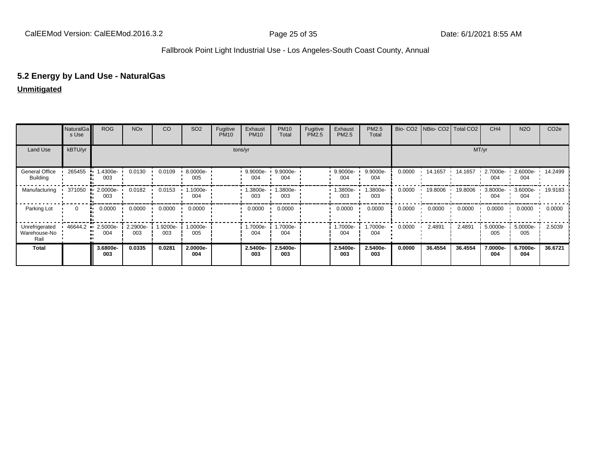## **5.2 Energy by Land Use - NaturalGas**

|                                        | NaturalGa<br>s Use      | <b>ROG</b>      | <b>NO<sub>x</sub></b> | CO             | SO <sub>2</sub> | Fugitive<br><b>PM10</b> | Exhaust<br><b>PM10</b> | <b>PM10</b><br>Total | Fugitive<br>PM2.5 | Exhaust<br>PM2.5   | PM2.5<br>Total  | Bio-CO <sub>2</sub> | <b>NBio-CO2</b> Total CO2 |         | CH <sub>4</sub> | <b>N2O</b>         | CO <sub>2e</sub> |
|----------------------------------------|-------------------------|-----------------|-----------------------|----------------|-----------------|-------------------------|------------------------|----------------------|-------------------|--------------------|-----------------|---------------------|---------------------------|---------|-----------------|--------------------|------------------|
| Land Use                               | kBTU/yr                 |                 |                       |                |                 |                         | tons/yr                |                      |                   |                    |                 |                     |                           |         | MT/yr           |                    |                  |
| General Office<br><b>Building</b>      | 265455                  | .4300e-<br>003  | 0.0130                | 0.0109         | 8.0000e-<br>005 |                         | $9.9000e-$<br>004      | $9.9000e-$<br>004    |                   | $.9.9000e-$<br>004 | 9.9000e-<br>004 | 0.0000              | 14.1657                   | 14.1657 | 2.7000e-<br>004 | $2.6000e -$<br>004 | 14.2499          |
| Manufacturing                          | 371050<br>.             | 2.0000e-<br>003 | 0.0182                | 0.0153         | 1.1000e-<br>004 |                         | -3800e.<br>003         | .3800e-<br>003       |                   | .3800e-<br>003     | .3800e-<br>003  | 0.0000              | 19.8006                   | 19.8006 | 3.8000e-<br>004 | 3.6000e-<br>004    | 19.9183          |
| Parking Lot                            | $\Omega$<br>            | 0.0000          | 0.0000                | 0.0000         | 0.0000          |                         | 0.0000                 | 0.0000               |                   | 0.0000             | 0.0000          | 0.0000              | 0.0000                    | 0.0000  | 0.0000          | 0.0000             | 0.0000           |
| Unrefrigerated<br>Warehouse-No<br>Rail | 46644.2<br>$\mathbf{u}$ | 2.5000e-<br>004 | 2.2900e-<br>003       | .9200e-<br>003 | 1.0000e-<br>005 |                         | 1.7000e-<br>004        | 1.7000e-<br>004      |                   | 1.7000e-<br>004    | .7000e-<br>004  | 0.0000              | 2.4891                    | 2.4891  | 5.0000e-<br>005 | 5.0000e-<br>005    | 2.5039           |
| Total                                  |                         | 3.6800e-<br>003 | 0.0335                | 0.0281         | 2.0000e-<br>004 |                         | 2.5400e-<br>003        | 2.5400e-<br>003      |                   | 2.5400e-<br>003    | 2.5400e-<br>003 | 0.0000              | 36.4554                   | 36.4554 | 7.0000e-<br>004 | 6.7000e-<br>004    | 36.6721          |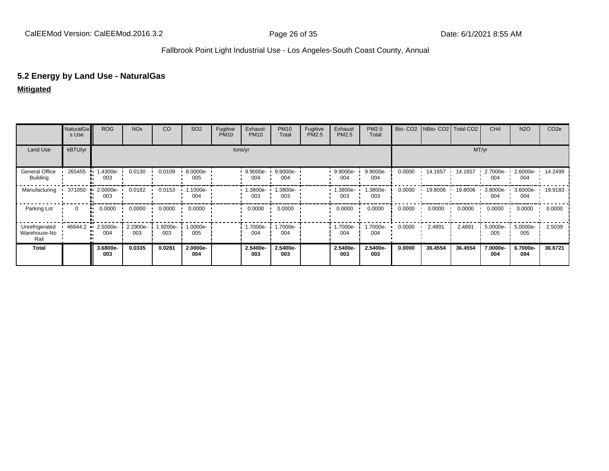#### **5.2 Energy by Land Use - NaturalGas**

**Mitigated**

|                                        | <b>NaturalGa</b><br>s Use | <b>ROG</b>      | NO <sub>x</sub> | CO.            | SO <sub>2</sub> | Fugitive<br><b>PM10</b> | Exhaust<br><b>PM10</b> | <b>PM10</b><br>Total | Fugitive<br>PM2.5 | Exhaust<br>PM2.5 | PM2.5<br>Total  |        | Bio- CO2   NBio- CO2   Total CO2 |         | CH <sub>4</sub>      | <b>N2O</b>              | CO <sub>2e</sub> |
|----------------------------------------|---------------------------|-----------------|-----------------|----------------|-----------------|-------------------------|------------------------|----------------------|-------------------|------------------|-----------------|--------|----------------------------------|---------|----------------------|-------------------------|------------------|
| Land Use                               | kBTU/yr                   |                 |                 |                |                 |                         | tons/yr                |                      |                   |                  |                 |        |                                  |         | MT/yr                |                         |                  |
| General Office<br><b>Building</b>      | 265455                    | .4300e-<br>003  | 0.0130          | 0.0109         | 8.0000e-<br>005 |                         | 9.9000e-<br>004        | 9.9000e-<br>004      |                   | 9.9000e-<br>004  | 9.9000e-<br>004 | 0.0000 | 14.1657                          | 14.1657 | $2.7000e-$<br>004    | 2.6000e- 14.2499<br>004 |                  |
| Manufacturing                          | 371050                    | 2.0000e-<br>003 | 0.0182          | 0.0153         | 1.1000e-<br>004 |                         | .3800e-<br>003         | .3800e-<br>003       |                   | 1.3800e-<br>003  | .3800e-<br>003  | 0.0000 | 19,8006                          | 19.8006 | $3.8000e - 1$<br>004 | 3.6000e- 19.9183<br>004 |                  |
| Parking Lot                            | $\Omega$                  | 0.0000<br>      | 0.0000          | 0.0000         | 0.0000          |                         | 0.0000                 | 0.0000               |                   | 0.0000           | 0.0000          | 0.0000 | 0.0000                           | 0.0000  | 0.0000               | 0.0000                  | 0.0000           |
| Unrefrigerated<br>Warehouse-No<br>Rail | 46644.2                   | 2.5000e-<br>004 | 2.2900e-<br>003 | -9200e.<br>003 | 1.0000e-<br>005 |                         | 1.7000e-<br>004        | .7000e-<br>004       |                   | 1.7000e-<br>004  | .7000e-<br>004  | 0.0000 | 2.4891                           | 2.4891  | 5.0000e-<br>005      | 5.0000e-<br>005         | 2.5039           |
| Total                                  |                           | 3.6800e-<br>003 | 0.0335          | 0.0281         | 2.0000e-<br>004 |                         | 2.5400e-<br>003        | 2.5400e-<br>003      |                   | 2.5400e-<br>003  | 2.5400e-<br>003 | 0.0000 | 36.4554                          | 36.4554 | 7.0000e-<br>004      | 6.7000e-<br>004         | 36.6721          |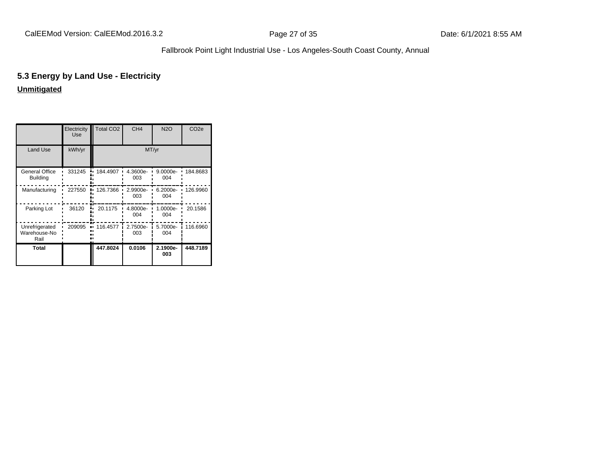# **5.3 Energy by Land Use - Electricity**

|                                        | Electricity<br>Use | <b>Total CO2</b> | CH <sub>4</sub> | <b>N2O</b>      | CO <sub>2e</sub> |
|----------------------------------------|--------------------|------------------|-----------------|-----------------|------------------|
| Land Use                               | kWh/yr             |                  |                 | MT/yr           |                  |
| General Office<br><b>Building</b>      | 331245             | 184.4907         | 4.3600e-<br>003 | 9.0000e-<br>004 | 184.8683         |
| Manufacturing                          | 227550             | 126.7366         | 2.9900e-<br>003 | 6.2000e-<br>004 | 126.9960         |
| Parking Lot                            | 36120              | 20.1175          | 4.8000e-<br>004 | 1.0000e-<br>004 | 20.1586          |
| Unrefrigerated<br>Warehouse-No<br>Rail | 209095             | 116.4577         | 2.7500e-<br>003 | 5.7000e-<br>004 | 116.6960         |
| Total                                  |                    | 447.8024         | 0.0106          | 2.1900e-<br>003 | 448.7189         |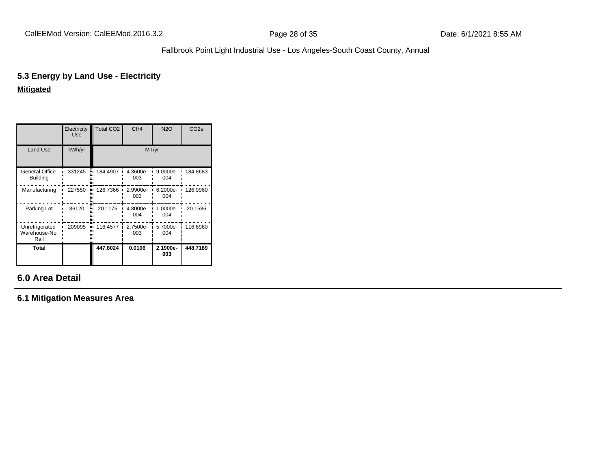# **5.3 Energy by Land Use - Electricity**

**Mitigated**

|                                        | Electricity<br>Use | <b>Total CO2</b> | CH <sub>4</sub> | <b>N2O</b>      | CO <sub>2e</sub> |
|----------------------------------------|--------------------|------------------|-----------------|-----------------|------------------|
| Land Use                               | kWh/yr             |                  | MT/yr           |                 |                  |
| General Office<br><b>Building</b>      | 331245             | 184.4907         | 4.3600e-<br>003 | 9.0000e-<br>004 | 184.8683         |
| Manufacturing                          | 227550<br>٠.       | 126.7366         | 2.9900e-<br>003 | 6.2000e-<br>004 | 126.9960         |
| Parking Lot                            | 36120              | 20.1175          | 4.8000e-<br>004 | 1.0000e-<br>004 | 20.1586          |
| Unrefrigerated<br>Warehouse-No<br>Rail | 209095             | 116.4577         | 2.7500e-<br>003 | 5.7000e-<br>004 | 116.6960         |
| Total                                  |                    | 447.8024         | 0.0106          | 2.1900e-<br>003 | 448.7189         |

# **6.0 Area Detail**

**6.1 Mitigation Measures Area**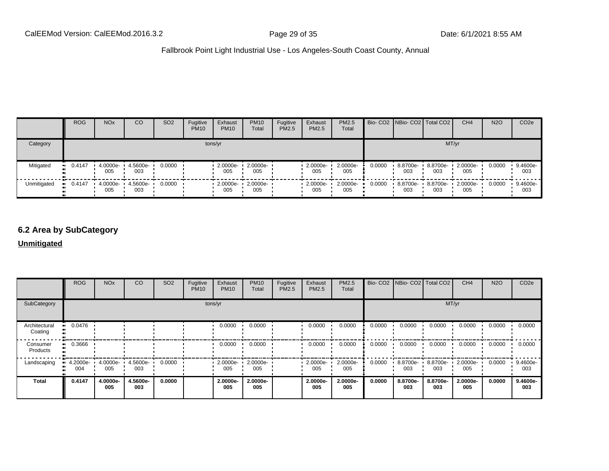|             | <b>ROG</b>            | <b>NO<sub>x</sub></b> | CO                       | SO <sub>2</sub> | Fugitive<br><b>PM10</b> | Exhaust<br><b>PM10</b>                   | <b>PM10</b><br>Total       | Fugitive<br>PM2.5 | Exhaust<br><b>PM2.5</b> | <b>PM2.5</b><br>Total |        | Bio- CO2 NBio- CO2   Total CO2 |                 | CH <sub>4</sub>                   | <b>N2O</b> | CO <sub>2</sub> e |
|-------------|-----------------------|-----------------------|--------------------------|-----------------|-------------------------|------------------------------------------|----------------------------|-------------------|-------------------------|-----------------------|--------|--------------------------------|-----------------|-----------------------------------|------------|-------------------|
| Category    |                       |                       |                          |                 | tons/yr                 |                                          |                            |                   |                         |                       |        |                                |                 | MT/yr                             |            |                   |
| Mitigated   | $-0.4147$             | 005                   | 4.0000e- 4.5600e-<br>003 | 0.0000          |                         | 005                                      | 2.0000e- 1 2.0000e-<br>005 |                   | 2.0000e-<br>005         | 2.0000e-<br>005       | 0.0000 | 8.8700e-<br>003                | 8.8700e-<br>003 | 2.0000e-<br>005                   | 0.0000     | 9.4600e-<br>003   |
| Unmitigated | $\blacksquare$ 0.4147 | 005                   | 4.0000e- 4.5600e-<br>003 | 0.0000          |                         | $\cdot$ 2.0000e- $\cdot$ 2.0000e-<br>005 | 005                        |                   | $-2.0000e -$<br>005     | 2.0000e-<br>005       | 0.0000 | 003                            | 003             | 8.8700e- 8.8700e- 2.0000e-<br>005 | 0.0000     | 9.4600e-<br>003   |

## **6.2 Area by SubCategory**

|                          | <b>ROG</b>         | <b>NO<sub>x</sub></b> | CO                       | SO <sub>2</sub> | Fugitive<br><b>PM10</b> | Exhaust<br><b>PM10</b> | <b>PM10</b><br>Total     | Fugitive<br>PM2.5 | Exhaust<br><b>PM2.5</b> | PM2.5<br>Total    |        | Bio- CO2 NBio- CO2 Total CO2 |                 | CH <sub>4</sub> | <b>N2O</b> | CO <sub>2</sub> e |
|--------------------------|--------------------|-----------------------|--------------------------|-----------------|-------------------------|------------------------|--------------------------|-------------------|-------------------------|-------------------|--------|------------------------------|-----------------|-----------------|------------|-------------------|
| SubCategory              | tons/yr            |                       |                          |                 |                         |                        |                          |                   |                         |                   |        |                              |                 | MT/yr           |            |                   |
| Architectural<br>Coating | 0.0476             |                       |                          |                 |                         | 0.0000                 | 0.0000                   |                   | 0.0000                  | 0.0000            | 0.0000 | 0.0000                       | 0.0000          | 0.0000          | 0.0000     | 0.0000            |
| Consumer<br>Products     | $-0.3666$          |                       |                          |                 |                         | 0.0000                 | 0.0000                   |                   | 0.0000                  | 0.0000            | 0.0000 | 0.0000                       | 0.0000          | 0.0000          | 0.0000     | 0.0000            |
| Landscaping              | $4.2000e -$<br>004 | 005                   | 4.0000e- 4.5600e-<br>003 | 0.0000          |                         | 005                    | 2.0000e- 2.0000e-<br>005 |                   | $2.0000e -$<br>005      | 2.0000e-<br>005   | 0.0000 | 8.8700e- •<br>003            | 8.8700e-<br>003 | 2.0000e-<br>005 | 0.0000     | 9.4600e-<br>003   |
| Total                    | 0.4147             | 4.0000e-<br>005       | 4.5600e-<br>003          | 0.0000          |                         | 2.0000e-<br>005        | 2.0000e-<br>005          |                   | 2.0000e-<br>005         | $2.0000e-$<br>005 | 0.0000 | 8.8700e-<br>003              | 8.8700e-<br>003 | 2.0000e-<br>005 | 0.0000     | 9.4600e-<br>003   |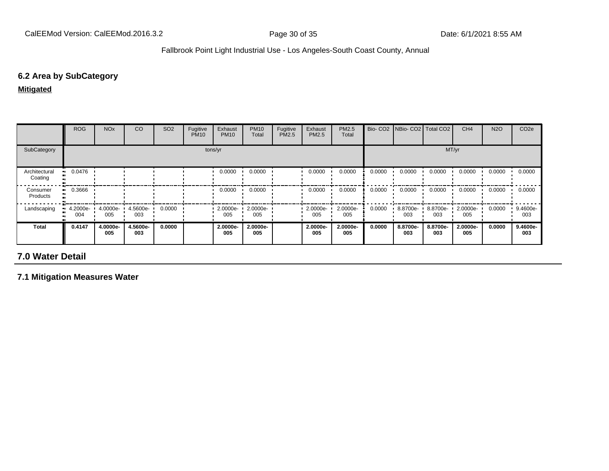# **6.2 Area by SubCategory**

**Mitigated**

|                          | <b>ROG</b>            | <b>NO<sub>x</sub></b> | CO              | SO <sub>2</sub> | Fugitive<br><b>PM10</b> | Exhaust<br><b>PM10</b> | <b>PM10</b><br>Total | Fugitive<br>PM2.5 | Exhaust<br><b>PM2.5</b> | <b>PM2.5</b><br>Total | Bio-CO <sub>2</sub> | <b>INBio-CO2</b> Total CO2 |                 | CH <sub>4</sub> | <b>N2O</b> | CO <sub>2e</sub> |
|--------------------------|-----------------------|-----------------------|-----------------|-----------------|-------------------------|------------------------|----------------------|-------------------|-------------------------|-----------------------|---------------------|----------------------------|-----------------|-----------------|------------|------------------|
| SubCategory              | tons/yr               |                       |                 |                 |                         |                        |                      |                   |                         |                       |                     |                            | MT/yr           |                 |            |                  |
| Architectural<br>Coating | $\blacksquare$ 0.0476 |                       |                 |                 |                         | 0.0000                 | 0.0000               |                   | 0.0000                  | 0.0000                | 0.0000              | 0.0000                     | 0.0000          | 0.0000          | 0.0000     | 0.0000           |
| Consumer<br>Products     | 0.3666                |                       |                 |                 |                         | 0.0000                 | 0.0000               |                   | 0.0000                  | 0.0000                | 0.0000              | 0.0000                     | 0.0000          | 0.0000          | 0.0000     | 0.0000           |
| Landscaping              | $-4.2000e-$<br>004    | 4.0000e-<br>005       | 4.5600e-<br>003 | 0.0000          |                         | 2.0000e-<br>005        | 2.0000e-<br>005      |                   | $-2.0000e-$<br>005      | 2.0000e-<br>005       | 0.0000              | 8.8700e-<br>003            | 8.8700e-<br>003 | 2.0000e-<br>005 | 0.0000     | 9.4600e-<br>003  |
| <b>Total</b>             | 0.4147                | 4.0000e-<br>005       | 4.5600e-<br>003 | 0.0000          |                         | 2.0000e-<br>005        | 2.0000e-<br>005      |                   | 2.0000e-<br>005         | 2.0000e-<br>005       | 0.0000              | 8.8700e-<br>003            | 8.8700e-<br>003 | 2.0000e-<br>005 | 0.0000     | 9.4600e-<br>003  |

## **7.0 Water Detail**

**7.1 Mitigation Measures Water**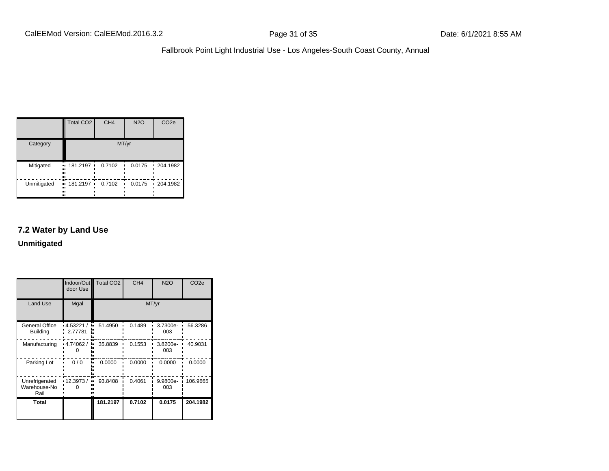|             | <b>Total CO2</b>           | CH <sub>4</sub> | <b>N2O</b>  | CO <sub>2e</sub> |
|-------------|----------------------------|-----------------|-------------|------------------|
| Category    |                            |                 | MT/yr       |                  |
| Mitigated   | 181.2197<br><br><br><br>n  | 0.7102<br>٠     | 0.0175      | $-204.1982$      |
| Unmitigated | 181.2197 ·<br>ш.<br>.,<br> | 0.7102          | 0.0175<br>٠ | $-204.1982$      |

## **7.2 Water by Land Use**

|                                          | Indoor/Out<br>door Use     | Total CO <sub>2</sub> | CH <sub>4</sub> | <b>N2O</b>      | CO <sub>2e</sub> |  |
|------------------------------------------|----------------------------|-----------------------|-----------------|-----------------|------------------|--|
| <b>Land Use</b>                          | Mgal                       | MT/yr                 |                 |                 |                  |  |
| <b>General Office</b><br><b>Building</b> | .4.53221/<br>۰.<br>2.77781 | 51.4950               | 0.1489          | 3.7300e-<br>003 | 56.3286          |  |
| Manufacturing                            | .4.74062/                  | 35.8839               | 0.1553          | 3.8200e-<br>003 | 40.9031          |  |
| Parking Lot                              | 0/0                        | 0.0000                | 0.0000          | 0.0000          | 0.0000           |  |
| Unrefrigerated<br>Warehouse-No<br>Rail   | 12.3973/<br>.,             | 93.8408               | 0.4061          | 9.9800e-<br>003 | 106.9665         |  |
| Total                                    |                            | 181.2197              | 0.7102          | 0.0175          | 204.1982         |  |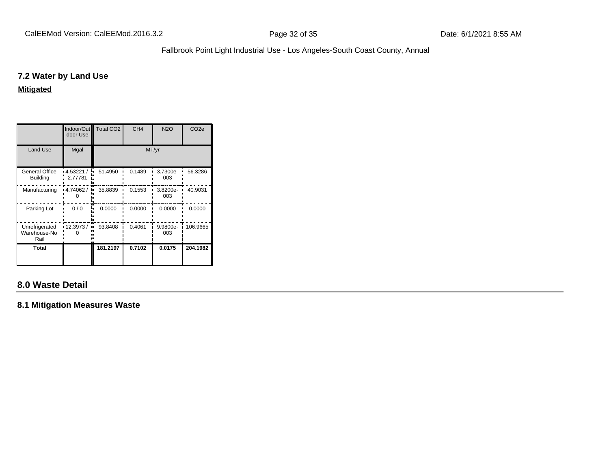#### **7.2 Water by Land Use**

#### **Mitigated**

|                                        | Indoor/Out<br>door Use | <b>Total CO2</b> | CH <sub>4</sub> | <b>N2O</b>      | CO <sub>2e</sub> |  |  |
|----------------------------------------|------------------------|------------------|-----------------|-----------------|------------------|--|--|
| <b>Land Use</b>                        | Mgal                   | MT/yr            |                 |                 |                  |  |  |
| General Office<br><b>Building</b>      | 4.53221 /<br>2.77781   | 51.4950          | 0.1489          | 3.7300e-<br>003 | 56.3286          |  |  |
| Manufacturing                          | 4.74062 /              | 35.8839          | 0.1553          | 3.8200e-<br>003 | 40.9031          |  |  |
| Parking Lot                            | 0/0                    | 0.0000           | 0.0000          | 0.0000          | 0.0000           |  |  |
| Unrefrigerated<br>Warehouse-No<br>Rail | 12.3973/               | 93.8408          | 0.4061          | 9.9800e-<br>003 | 106.9665         |  |  |
| Total                                  |                        | 181.2197         | 0.7102          | 0.0175          | 204.1982         |  |  |

## **8.0 Waste Detail**

**8.1 Mitigation Measures Waste**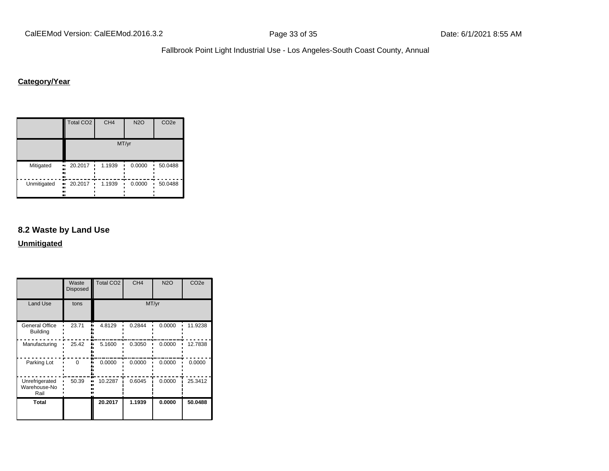## **Category/Year**

|             | <b>Total CO2</b>                 | CH <sub>4</sub> | <b>N2O</b> | CO <sub>2e</sub> |  |  |  |  |
|-------------|----------------------------------|-----------------|------------|------------------|--|--|--|--|
|             | MT/yr                            |                 |            |                  |  |  |  |  |
| Mitigated   | 20.2017<br>٠<br>ш.<br><br><br>ш  | 1.1939          | 0.0000     | 50.0488          |  |  |  |  |
| Unmitigated | 20.2017<br>ш,<br>٠<br><br><br>., | 1.1939          | 0.0000     | 50.0488          |  |  |  |  |

#### **8.2 Waste by Land Use**

|                                        | Waste<br>Disposed | Total CO <sub>2</sub> | CH <sub>4</sub> | <b>N2O</b> | CO <sub>2e</sub> |  |
|----------------------------------------|-------------------|-----------------------|-----------------|------------|------------------|--|
| <b>Land Use</b>                        | tons              | MT/yr                 |                 |            |                  |  |
| General Office<br><b>Building</b>      | 23.71             | 4.8129                | 0.2844          | 0.0000     | 11.9238          |  |
| Manufacturing                          | 25.42             | 5.1600                | 0.3050          | 0.0000     | 12.7838          |  |
| Parking Lot                            | 0                 | 0.0000                | 0.0000          | 0.0000     | 0.0000           |  |
| Unrefrigerated<br>Warehouse-No<br>Rail | 50.39             | 10.2287               | 0.6045          | 0.0000     | 25.3412          |  |
| Total                                  |                   | 20.2017               | 1.1939          | 0.0000     | 50.0488          |  |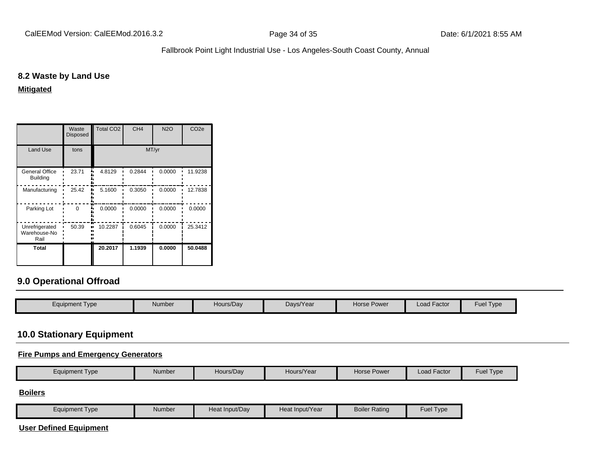#### **8.2 Waste by Land Use**

**Mitigated**

|                                          | Waste<br><b>Disposed</b> | <b>Total CO2</b> | CH <sub>4</sub> | <b>N2O</b> | CO <sub>2e</sub> |  |
|------------------------------------------|--------------------------|------------------|-----------------|------------|------------------|--|
| <b>Land Use</b>                          | tons                     | MT/yr            |                 |            |                  |  |
| <b>General Office</b><br><b>Building</b> | 23.71                    | 4.8129           | 0.2844          | 0.0000     | 11.9238          |  |
| Manufacturing                            | 25.42                    | 5.1600           | 0.3050          | 0.0000     | 12.7838          |  |
| Parking Lot                              | $\Omega$                 | 0.0000           | 0.0000          | 0.0000     | 0.0000           |  |
| Unrefrigerated<br>Warehouse-No<br>Rail   | 50.39                    | 10.2287          | 0.6045          | 0.0000     | 25.3412          |  |
| Total                                    |                          | 20.2017          | 1.1939          | 0.0000     | 50.0488          |  |

## **9.0 Operational Offroad**

| Hours/Day<br>Load Factor<br><b>Horse Power</b><br>Days/Year<br>Equipment Type |                  |  |  |        |  |
|-------------------------------------------------------------------------------|------------------|--|--|--------|--|
|                                                                               | <b>Fuel Type</b> |  |  | Number |  |

## **10.0 Stationary Equipment**

#### **Fire Pumps and Emergency Generators**

| Equipment Type | Number | Hours/Dav | Hours/Year | Horse Power | Load Factor | Fuel⊺<br>Type |
|----------------|--------|-----------|------------|-------------|-------------|---------------|

## **Boilers**

| Equipment Type | Number | Heat Input/Dav | Heat Input/Year | <b>Boiler Rating</b> | ruleT<br>Type |
|----------------|--------|----------------|-----------------|----------------------|---------------|
|                |        |                |                 |                      |               |

#### **User Defined Equipment**